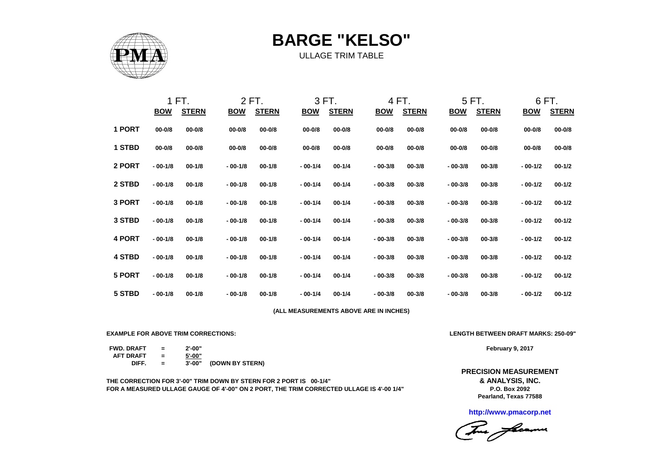

**BARGE "KELSO"**

ULLAGE TRIM TABLE

|               |            | 1 FT.        |            | 2 FT.        |                                        | 3 FT.        |            | 4 FT.        |            | 5 FT.        |            | 6 FT.        |
|---------------|------------|--------------|------------|--------------|----------------------------------------|--------------|------------|--------------|------------|--------------|------------|--------------|
|               | <b>BOW</b> | <b>STERN</b> | <b>BOW</b> | <b>STERN</b> | <b>BOW</b>                             | <b>STERN</b> | <b>BOW</b> | <b>STERN</b> | <b>BOW</b> | <b>STERN</b> | <b>BOW</b> | <b>STERN</b> |
| 1 PORT        | $00 - 0/8$ | $00 - 0/8$   | $00 - 0/8$ | $00 - 0/8$   | $00 - 0/8$                             | $00 - 0/8$   | $00 - 0/8$ | $00 - 0/8$   | $00 - 0/8$ | $00 - 0/8$   | $00 - 0/8$ | $00 - 0/8$   |
| 1 STBD        | $00 - 0/8$ | $00 - 0/8$   | $00 - 0/8$ | $00 - 0/8$   | $00 - 0/8$                             | $00 - 0/8$   | $00 - 0/8$ | $00 - 0/8$   | $00 - 0/8$ | $00 - 0/8$   | $00 - 0/8$ | $00 - 0/8$   |
| 2 PORT        | $-00-1/8$  | $00 - 1/8$   | $-00-1/8$  | $00 - 1/8$   | $-00-1/4$                              | $00 - 1/4$   | $-00-3/8$  | $00 - 3/8$   | $-00-3/8$  | $00 - 3/8$   | $-00-1/2$  | $00 - 1/2$   |
| 2 STBD        | $-00-1/8$  | $00 - 1/8$   | $-00-1/8$  | $00 - 1/8$   | $-00-1/4$                              | $00 - 1/4$   | $-00-3/8$  | $00 - 3/8$   | $-00-3/8$  | $00 - 3/8$   | $-00-1/2$  | $00 - 1/2$   |
| 3 PORT        | $-00-1/8$  | $00 - 1/8$   | $-00-1/8$  | $00 - 1/8$   | $-00-1/4$                              | $00 - 1/4$   | $-00-3/8$  | $00 - 3/8$   | $-00-3/8$  | $00 - 3/8$   | $-00-1/2$  | $00 - 1/2$   |
| 3 STBD        | $-00-1/8$  | $00 - 1/8$   | $-00-1/8$  | $00 - 1/8$   | $-00-1/4$                              | $00 - 1/4$   | $-00-3/8$  | $00 - 3/8$   | $-00-3/8$  | $00 - 3/8$   | $-00-1/2$  | $00 - 1/2$   |
| 4 PORT        | $-00-1/8$  | $00 - 1/8$   | $-00-1/8$  | $00 - 1/8$   | $-00-1/4$                              | $00 - 1/4$   | $-00-3/8$  | $00 - 3/8$   | $-00-3/8$  | $00 - 3/8$   | $-00-1/2$  | $00 - 1/2$   |
| <b>4 STBD</b> | $-00-1/8$  | $00 - 1/8$   | $-00-1/8$  | $00 - 1/8$   | $-00-1/4$                              | $00 - 1/4$   | $-00-3/8$  | $00 - 3/8$   | $-00-3/8$  | $00 - 3/8$   | $-00-1/2$  | $00 - 1/2$   |
| 5 PORT        | $-00-1/8$  | $00 - 1/8$   | $-00-1/8$  | $00 - 1/8$   | $-00-1/4$                              | $00 - 1/4$   | $-00-3/8$  | $00 - 3/8$   | $-00-3/8$  | $00 - 3/8$   | $-00-1/2$  | $00 - 1/2$   |
| 5 STBD        | $-00-1/8$  | $00 - 1/8$   | $-00-1/8$  | $00 - 1/8$   | $-00-1/4$                              | $00 - 1/4$   | $-00-3/8$  | $00 - 3/8$   | $-00-3/8$  | $00 - 3/8$   | $-00-1/2$  | $00 - 1/2$   |
|               |            |              |            |              | (ALL MEASUREMENTS ABOVE ARE IN INCHES) |              |            |              |            |              |            |              |
|               |            |              |            |              |                                        |              |            |              |            |              |            |              |

**EXAMPLE FOR ABOVE TRIM CORRECTIONS: LENGTH BETWEEN DRAFT MARKS: 250-09"**

**FWD. DRAFT = 2'-00" AFT DRAFT = 5'-00"**  $=$   $\overline{3'-00''}$  (DOWN BY STERN)

**THE CORRECTION FOR 3'-00" TRIM DOWN BY STERN FOR 2 PORT IS 00-1/4" FOR A MEASURED ULLAGE GAUGE OF 4'-00" ON 2 PORT, THE TRIM CORRECTED ULLAGE IS 4'-00 1/4"**

**February 9, 2017**

**PRECISION MEASUREMENT**

**Pearland, Texas 77588 & ANALYSIS, INC. P.O. Box 2092**

**http://www.pmacorp.net**

This freems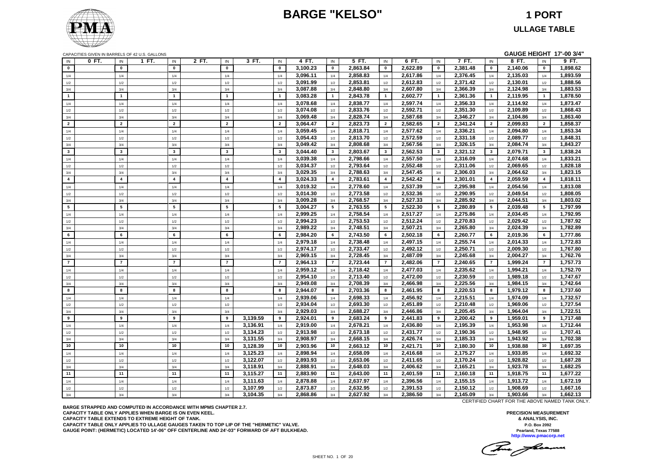### **BARGE "KELSO" 1 PORT**



# **ULLAGE TABLE**

|                         |       |                | CAPACITIES GIVEN IN BARRELS OF 42 U.S. GALLONS |       |                         |          |                         |          |                 |          |                         |          |                 |          |                | GAUGE HEIGHT 17'-00 3/4" |                 |          |
|-------------------------|-------|----------------|------------------------------------------------|-------|-------------------------|----------|-------------------------|----------|-----------------|----------|-------------------------|----------|-----------------|----------|----------------|--------------------------|-----------------|----------|
| IN                      | 0 FT. | IN             | 1 FT.<br>IN                                    | 2 FT. | IN                      | 3 FT.    | IN                      | 4 FT.    | IN              | 5 FT.    | IN                      | 6 FT.    | IN              | 7 FT.    | IN             | 8 FT.                    | IN              | 9 FT.    |
| $\mathbf{0}$            |       | $\mathbf{0}$   | $\mathbf{0}$                                   |       | $\mathbf{0}$            |          | $\mathbf{0}$            | 3,100.23 | $\mathbf{0}$    | 2,863.84 | $\mathbf{0}$            | 2,622.89 | $\mathbf{0}$    | 2,381.48 | $\mathbf{0}$   | 2,140.06                 | $\mathbf{0}$    | 1,898.62 |
| 1/4                     |       | 1/4            | 1/4                                            |       | 1/4                     |          | 1/4                     | 3,096.11 | 1/4             | 2,858.83 | 1/4                     | 2,617.86 | 1/4             | 2,376.45 | 1/4            | 2,135.03                 | 1/4             | 1,893.59 |
| 1/2                     |       | 1/2            | 1/2                                            |       | 1/2                     |          | 1/2                     | 3,091.99 | 1/2             | 2,853.81 | 1/2                     | 2,612.83 | 1/2             | 2,371.42 | 1/2            | 2,130.01                 | 1/2             | 1,888.56 |
| 3/4                     |       | 3/4            | 3/4                                            |       | 3/4                     |          | 3/4                     | 3,087.88 | 3/4             | 2,848.80 | 3/4                     | 2,607.80 | 3/4             | 2,366.39 | 3/4            | 2,124.98                 | 3/4             | 1,883.53 |
| $\mathbf{1}$            |       | $\overline{1}$ | $\overline{1}$                                 |       | $\mathbf{1}$            |          | $\overline{1}$          | 3,083.28 | $\mathbf{1}$    | 2,843.78 | $\mathbf{1}$            | 2,602.77 | $\mathbf{1}$    | 2,361.36 | $\mathbf{1}$   | 2,119.95                 | $\mathbf{1}$    | 1,878.50 |
| 1/4                     |       | 1/4            | 1/4                                            |       | 1/4                     |          | 1/4                     | 3,078.68 | 1/4             | 2,838.77 | 1/4                     | 2,597.74 | 1/4             | 2,356.33 | 1/4            | 2,114.92                 | 1/4             | 1,873.47 |
| $1/2$                   |       | 1/2            | 1/2                                            |       | 1/2                     |          | 1/2                     | 3,074.08 | 1/2             | 2,833.76 | 1/2                     | 2,592.71 | 1/2             | 2,351.30 | 1/2            | 2,109.89                 | 1/2             | 1,868.43 |
| 3/4                     |       | 3/4            | 3/4                                            |       | 3/4                     |          | 3/4                     | 3,069.48 | 3/4             | 2,828.74 | 3/4                     | 2,587.68 | 3/4             | 2,346.27 | 3/4            | 2,104.86                 | 3/4             | 1,863.40 |
| $\overline{2}$          |       | $\overline{2}$ | $\overline{\mathbf{2}}$                        |       | $\overline{2}$          |          | $\overline{2}$          | 3,064.47 | $\overline{2}$  | 2,823.73 | $\overline{\mathbf{2}}$ | 2,582.65 | $\overline{2}$  | 2,341.24 | $\overline{2}$ | 2,099.83                 | $\overline{2}$  | 1,858.37 |
| 1/4                     |       | 1/4            | 1/4                                            |       | 1/4                     |          | 1/4                     | 3,059.45 | 1/4             | 2,818.71 | 1/4                     | 2,577.62 | 1/4             | 2,336.21 | 1/4            | 2,094.80                 | 1/4             | 1,853.34 |
| 1/2                     |       | 1/2            | 1/2                                            |       | 1/2                     |          | 1/2                     | 3,054.43 | 1/2             | 2,813.70 | 1/2                     | 2,572.59 | 1/2             | 2,331.18 | 1/2            | 2,089.77                 | 1/2             | 1,848.31 |
| 3/4                     |       | 3/4            | 3/4                                            |       | 3/4                     |          | 3/4                     | 3,049.42 | 3/4             | 2,808.68 | 3/4                     | 2,567.56 | 3/4             | 2,326.15 | 3/4            | 2,084.74                 | 3/4             | 1,843.27 |
| $\mathbf{3}$            |       | $\mathbf{3}$   | $\mathbf{3}$                                   |       | $\overline{\mathbf{3}}$ |          | $\overline{\mathbf{3}}$ | 3,044.40 | $\mathbf{3}$    | 2,803.67 | $\mathbf{3}$            | 2,562.53 | $\mathbf{3}$    | 2,321.12 | $\mathbf{3}$   | 2,079.71                 | $\mathbf{3}$    | 1,838.24 |
| 1/4                     |       | 1/4            | 1/4                                            |       | 1/4                     |          | 1/4                     | 3,039.38 | 1/4             | 2,798.66 | 1/4                     | 2,557.50 | 1/4             | 2,316.09 | 1/4            | 2,074.68                 | 1/4             | 1,833.21 |
| 1/2                     |       | 1/2            | 1/2                                            |       | 1/2                     |          | 1/2                     | 3,034.37 | 1/2             | 2,793.64 | 1/2                     | 2,552.48 | 1/2             | 2,311.06 | 1/2            | 2,069.65                 | 1/2             | 1,828.18 |
| 3/4                     |       | 3/4            | 3/4                                            |       | 3/4                     |          | 3/4                     | 3,029.35 | 3/4             | 2,788.63 | 3/4                     | 2,547.45 | 3/4             | 2,306.03 | 3/4            | 2,064.62                 | 3/4             | 1,823.15 |
| $\overline{\mathbf{4}}$ |       | $\overline{4}$ | $\overline{4}$                                 |       | $\overline{\mathbf{4}}$ |          | $\overline{4}$          | 3,024.33 | $\overline{4}$  | 2,783.61 | $\overline{4}$          | 2,542.42 | $\overline{4}$  | 2,301.01 | $\overline{4}$ | 2,059.59                 | $\overline{4}$  | 1,818.11 |
| 1/4                     |       | 1/4            | 1/4                                            |       | 1/4                     |          | 1/4                     | 3,019.32 | 1/4             | 2,778.60 | 1/4                     | 2,537.39 | 1/4             | 2,295.98 | 1/4            | 2,054.56                 | 1/4             | 1,813.08 |
| 1/2                     |       | 1/2            | 1/2                                            |       | 1/2                     |          | 1/2                     | 3,014.30 | 1/2             | 2,773.58 | 1/2                     | 2,532.36 | 1/2             | 2,290.95 | 1/2            | 2,049.54                 | 1/2             | 1,808.05 |
| 3/4                     |       | 3/4            | 3/4                                            |       | 3/4                     |          | 3/4                     | 3,009.28 | 3/4             | 2,768.57 | 3/4                     | 2,527.33 | 3/4             | 2,285.92 | 3/4            | 2,044.51                 | 3/4             | 1,803.02 |
| 5                       |       | $5\phantom{1}$ | 5                                              |       | 5                       |          | $5\overline{5}$         | 3,004.27 | $5\overline{5}$ | 2,763.55 | 5                       | 2,522.30 | $5\overline{5}$ | 2,280.89 | 5              | 2,039.48                 | $5\overline{5}$ | 1,797.99 |
| 1/4                     |       | 1/4            | 1/4                                            |       | 1/4                     |          | 1/4                     | 2,999.25 | 1/4             | 2,758.54 | 1/4                     | 2,517.27 | 1/4             | 2,275.86 | 1/4            | 2,034.45                 | 1/4             | 1,792.95 |
| 1/2                     |       | 1/2            | 1/2                                            |       | 1/2                     |          | 1/2                     | 2,994.23 | 1/2             | 2,753.53 | 1/2                     | 2,512.24 | 1/2             | 2,270.83 | 1/2            | 2,029.42                 | 1/2             | 1,787.92 |
| 3/4                     |       | 3/4            | 3/4                                            |       | 3/4                     |          | 3/4                     | 2,989.22 | 3/4             | 2,748.51 | 3/4                     | 2,507.21 | 3/4             | 2,265.80 | 3/4            | 2,024.39                 | 3/4             | 1,782.89 |
| 6                       |       | $\bf{6}$       | 6                                              |       | 6                       |          | $6\phantom{a}$          | 2.984.20 | 6               | 2,743.50 | 6                       | 2.502.18 | 6               | 2.260.77 | 6              | 2.019.36                 | 6               | 1,777.86 |
| 1/4                     |       | 1/4            | 1/4                                            |       | 1/4                     |          | 1/4                     | 2,979.18 | 1/4             | 2,738.48 | 1/4                     | 2,497.15 | 1/4             | 2,255.74 | 1/4            | 2,014.33                 | 1/4             | 1,772.83 |
| 1/2                     |       | 1/2            | 1/2                                            |       | 1/2                     |          | 1/2                     | 2.974.17 | 1/2             | 2,733.47 | 1/2                     | 2.492.12 | 1/2             | 2,250.71 | 1/2            | 2.009.30                 | 1/2             | 1.767.80 |
| 3/4                     |       | 3/4            | 3/4                                            |       | 3/4                     |          | 3/4                     | 2,969.15 | 3/4             | 2,728.45 | 3/4                     | 2,487.09 | 3/4             | 2,245.68 | 3/4            | 2,004.27                 | 3/4             | 1,762.76 |
| $\overline{7}$          |       | $\overline{7}$ | $\overline{7}$                                 |       | $\overline{7}$          |          | $\overline{7}$          | 2.964.13 | $\overline{7}$  | 2,723.44 | $\overline{7}$          | 2,482.06 | $\overline{7}$  | 2.240.65 | $\overline{7}$ | 1.999.24                 | $\overline{7}$  | 1,757.73 |
| 1/4                     |       | 1/4            | 1/4                                            |       | 1/4                     |          | 1/4                     | 2,959.12 | 1/4             | 2,718.42 | 1/4                     | 2,477.03 | 1/4             | 2,235.62 | 1/4            | 1,994.21                 | 1/4             | 1,752.70 |
| 1/2                     |       | 1/2            | 1/2                                            |       | 1/2                     |          | 1/2                     | 2,954.10 | 1/2             | 2,713.40 | 1/2                     | 2,472.00 | 1/2             | 2,230.59 | 1/2            | 1,989.18                 | 1/2             | 1,747.67 |
| 3/4                     |       | 3/4            | 3/4                                            |       | 3/4                     |          | 3/4                     | 2,949.08 | 3/4             | 2,708.39 | 3/4                     | 2,466.98 | 3/4             | 2,225.56 | 3/4            | 1,984.15                 | 3/4             | 1,742.64 |
| 8                       |       | 8              | 8                                              |       | 8                       |          | 8                       | 2,944.07 | 8               | 2,703.36 | 8                       | 2,461.95 | 8               | 2,220.53 | 8              | 1,979.12                 | 8               | 1,737.60 |
| 1/4                     |       | 1/4            | 1/4                                            |       | 1/4                     |          | 1/4                     | 2,939.06 | 1/4             | 2,698.33 | 1/4                     | 2,456.92 | 1/4             | 2,215.51 | 1/4            | 1,974.09                 | 1/4             | 1,732.57 |
| 1/2                     |       | 1/2            | 1/2                                            |       | 1/2                     |          | 1/2                     | 2,934.04 | 1/2             | 2,693.30 | 1/2                     | 2,451.89 | 1/2             | 2,210.48 | 1/2            | 1,969.06                 | 1/2             | 1,727.54 |
| 3/4                     |       | 3/4            | 3/4                                            |       | 3/4                     |          | 3/4                     | 2,929.03 | 3/4             | 2,688.27 | 3/4                     | 2,446.86 | 3/4             | 2,205.45 | 3/4            | 1,964.04                 | 3/4             | 1,722.51 |
| 9                       |       | 9              | 9                                              |       | 9                       | 3,139.59 | 9                       | 2,924.01 | 9               | 2,683.24 | 9                       | 2,441.83 | 9               | 2,200.42 | 9              | 1,959.01                 | 9               | 1,717.48 |
| 1/4                     |       | 1/4            | 1/4                                            |       | 1/4                     | 3,136.91 | 1/4                     | 2,919.00 | 1/4             | 2,678.21 | 1/4                     | 2,436.80 | 1/4             | 2,195.39 | 1/4            | 1,953.98                 | 1/4             | 1,712.44 |
| 1/2                     |       | 1/2            | 1/2                                            |       | 1/2                     | 3,134.23 | 1/2                     | 2,913.98 | 1/2             | 2,673.18 | 1/2                     | 2,431.77 | 1/2             | 2,190.36 | 1/2            | 1,948.95                 | 1/2             | 1,707.41 |
| 3/4                     |       | 3/4            | 3/4                                            |       | 3/4                     | 3,131.55 | 3/4                     | 2,908.97 | 3/4             | 2,668.15 | 3/4                     | 2,426.74 | 3/4             | 2,185.33 | 3/4            | 1,943.92                 | 3/4             | 1,702.38 |
| 10                      |       | 10             | 10                                             |       | 10                      | 3,128.39 | 10                      | 2,903.96 | 10              | 2,663.12 | 10                      | 2,421.71 | 10              | 2,180.30 | 10             | 1,938.88                 | 10              | 1,697.35 |
| 1/4                     |       | 1/4            | 1/4                                            |       | 1/4                     | 3,125.23 | 1/4                     | 2,898.94 | 1/4             | 2,658.09 | 1/4                     | 2,416.68 | 1/4             | 2,175.27 | 1/4            | 1,933.85                 | 1/4             | 1,692.32 |
| 1/2                     |       | 1/2            | 1/2                                            |       | 1/2                     | 3,122.07 | 1/2                     | 2,893.93 | 1/2             | 2,653.06 | 1/2                     | 2,411.65 | 1/2             | 2,170.24 | 1/2            | 1,928.82                 | 1/2             | 1,687.28 |
| 3/4                     |       | 3/4            | 3/4                                            |       | 3/4                     | 3,118.91 | 3/4                     | 2,888.91 | 3/4             | 2,648.03 | 3/4                     | 2,406.62 | 3/4             | 2,165.21 | 3/4            | 1,923.78                 | 3/4             | 1,682.25 |
| 11                      |       | 11             | 11                                             |       | 11                      | 3,115.27 | 11                      | 2,883.90 | 11              | 2,643.00 | 11                      | 2,401.59 | 11              | 2,160.18 | 11             | 1,918.75                 | 11              | 1,677.22 |
| 1/4                     |       | 1/4            | 1/4                                            |       | 1/4                     | 3,111.63 | 1/4                     | 2,878.88 | 1/4             | 2,637.97 | 1/4                     | 2,396.56 | 1/4             | 2,155.15 | 1/4            | 1,913.72                 | 1/4             | 1,672.19 |
| $1/2$                   |       | 1/2            | 1/2                                            |       | 1/2                     | 3,107.99 | 1/2                     | 2,873.87 | 1/2             | 2,632.95 | 1/2                     | 2,391.53 | 1/2             | 2,150.12 | 1/2            | 1,908.69                 | 1/2             | 1,667.16 |
| 3/4                     |       | 3/4            | 3/4                                            |       | 3/4                     | 3,104.35 | 3/4                     | 2,868.86 | 3/4             | 2,627.92 | 3/4                     | 2,386.50 | 3/4             | 2,145.09 | 3/4            | 1,903.66                 | 3/4             | 1,662.13 |

**BARGE STRAPPED AND COMPUTED IN ACCORDANCE WITH MPMS CHAPTER 2.7. CAPACITY TABLE ONLY APPLIES WHEN BARGE IS ON EVEN KEEL. CAPACITY TABLE EXTENDS TO EXTREME HEIGHT OF TANK. CAPACITY TABLE ONLY APPLIES TO ULLAGE GAUGES TAKEN TO TOP LIP OF THE "HERMETIC" VALVE. GAUGE POINT: (HERMETIC) LOCATED 14'-06" OFF CENTERLINE AND 24'-03" FORWARD OF AFT BULKHEAD.** CERTIFIED CHART FOR THE ABOVE NAMED TANK ONLY.

This floam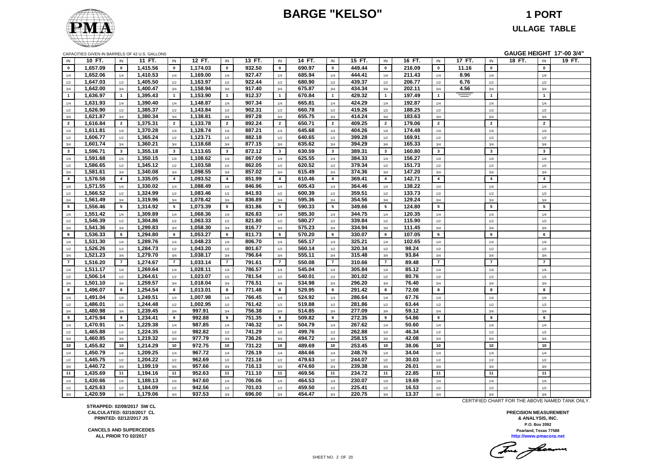### **BARGE "KELSO" 1 PORT**



### **ULLAGE TABLE**

|                       | CAPACITIES GIVEN IN BARRELS OF 42 U.S. GALLONS |                         |          |                         |                      |                       |        |                 |        |                         |        |                 |                 |                 |        |                         | GAUGE HEIGHT 17'-00 3/4" |                 |        |
|-----------------------|------------------------------------------------|-------------------------|----------|-------------------------|----------------------|-----------------------|--------|-----------------|--------|-------------------------|--------|-----------------|-----------------|-----------------|--------|-------------------------|--------------------------|-----------------|--------|
| IN                    | 10 FT.                                         | IN                      | 11 FT.   | IN                      | 12 FT.               | IN                    | 13 FT. | IN              | 14 FT. | IN                      | 15 FT. | IN              | 16 FT.          | IN              | 17 FT. | IN                      | 18 FT.                   | IN              | 19 FT. |
| $\mathbf{0}$          | 1,657.09                                       | $\mathbf 0$             | 1,415.56 | $\mathbf 0$             | 1,174.03             | $\mathbf 0$           | 932.50 | $\mathbf 0$     | 690.97 | $\mathbf{0}$            | 449.44 | $\mathbf 0$     | 216.09          | $\mathbf 0$     | 11.16  | $\pmb{0}$               |                          | $\mathbf 0$     |        |
| 1/4                   | 1,652.06                                       | 1/4                     | 1,410.53 | 1/4                     | 1,169.00             | 1/4                   | 927.47 | 1/4             | 685.94 | 1/4                     | 444.41 | 1/4             | 211.43          | 1/4             | 8.96   | 1/4                     |                          | 1/4             |        |
| 1/2                   | 1,647.03                                       | 1/2                     | 1,405.50 | 1/2                     | 1,163.97             | 1/2                   | 922.44 | 1/2             | 680.90 | 1/2                     | 439.37 | 1/2             | 206.77          | 1/2             | 6.76   | 1/2                     |                          | 1/2             |        |
| 3/4                   | 1,642.00                                       | 3/4                     | 1,400.47 | 3/4                     | 1,158.94             | 3/4                   | 917.40 | 3/4             | 675.87 | 3/4                     | 434.34 | 3/4             | 202.11          | 3/4             | 4.56   | 3/4                     |                          | 3/4             |        |
| $\overline{1}$        | 1,636.97                                       | $\mathbf{1}$            | 1,395.43 | $\overline{1}$          | 1,153.90             | $\overline{1}$        | 912.37 | $\mathbf{1}$    | 670.84 | $\overline{1}$          | 429.32 | $\mathbf{1}$    | 197.49          | $\mathbf{1}$    | $=$    | $\mathbf{1}$            |                          | $\mathbf{1}$    |        |
| 1/4                   | 1,631.93                                       | $1/4$                   | 1,390.40 | 1/4                     | 1,148.87             | 1/4                   | 907.34 | $1/4$           | 665.81 | 1/4                     | 424.29 | $1/4$           | 192.87          | 1/4             |        | $1/4$                   |                          | 1/4             |        |
| 1/2                   | 1,626.90                                       | 1/2                     | 1.385.37 | 1/2                     | 1,143.84             | 1/2                   | 902.31 | 1/2             | 660.78 | 1/2                     | 419.26 | 1/2             | 188.25          | 1/2             |        | 1/2                     |                          | 1/2             |        |
| 3/4                   | 1,621.87                                       | 3/4                     | 1,380.34 | 3/4                     | 1,138.81             | 3/4                   | 897.28 | 3/4             | 655.75 | 3/4                     | 414.24 | 3/4             | 183.63          | 3/4             |        | 3/4                     |                          | 3/4             |        |
| $\overline{2}$        | 1,616.84                                       | $\overline{2}$          | 1,375.31 | $\overline{2}$          | 1,133.78             | $\overline{2}$        | 892.24 | $\overline{2}$  | 650.71 | $\overline{2}$          | 409.25 | $\overline{2}$  | 179.06          | $\overline{2}$  |        | $\overline{2}$          |                          | $\overline{2}$  |        |
| 1/4                   | 1,611.81                                       | 1/4                     | 1,370.28 | $1/4$                   | 1,128.74             | 1/4                   | 887.21 | 1/4             | 645.68 | 1/4                     | 404.26 | 1/4             | 174.48          | 1/4             |        | 1/4                     |                          | 1/4             |        |
| $1/2\,$               | 1,606.77                                       | 1/2                     | 1,365.24 | 1/2                     | 1,123.71             | 1/2                   | 882.18 | 1/2             | 640.65 | 1/2                     | 399.28 | 1/2             | 169.91          | 1/2             |        | 1/2                     |                          | 1/2             |        |
| 3/4                   | 1,601.74                                       | 3/4                     | 1,360.21 | 3/4                     | 1,118.68             | 3/4                   | 877.15 | 3/4             | 635.62 | 3/4                     | 394.29 | 3/4             | 165.33          | 3/4             |        | 3/4                     |                          | 3/4             |        |
| $\mathbf{3}$          | 1,596.71                                       | $\mathbf{3}$            | 1,355.18 | $\overline{\mathbf{3}}$ | 1,113.65             | $\mathbf{3}$          | 872.12 | $\mathbf{3}$    | 630.59 | 3 <sup>1</sup>          | 389.31 | $\mathbf{3}$    | 160.80          | $\mathbf{3}$    |        | $\mathbf{3}$            |                          | $\mathbf{3}$    |        |
| 1/4                   | 1,591.68                                       | $1/4$                   | 1,350.15 | $1/4$                   | 1,108.62             | 1/4                   | 867.09 | $1/4$           | 625.55 | 1/4                     | 384.33 | $1/4$           | 156.27          | 1/4             |        | $1/4$                   |                          | 1/4             |        |
| $1/2$                 | 1,586.65                                       | 1/2                     | 1.345.12 | 1/2                     | 1,103.58             | 1/2                   | 862.05 | 1/2             | 620.52 | 1/2                     | 379.34 | 1/2             | 151.73          | 1/2             |        | 1/2                     |                          | 1/2             |        |
| 3/4                   | 1,581.61                                       | 3/4                     | 1,340.08 | 3/4                     | 1,098.55             | 3/4                   | 857.02 | 3/4             | 615.49 | 3/4                     | 374.36 | 3/4             | 147.20          | 3/4             |        | 3/4                     |                          | 3/4             |        |
| $\overline{4}$        | 1,576.58                                       | $\overline{\mathbf{4}}$ | 1,335.05 | $\overline{4}$          | 1,093.52             | $\overline{4}$        | 851.99 | $\overline{4}$  | 610.46 | $\overline{\mathbf{4}}$ | 369.41 | $\overline{4}$  | 142.71          | $\overline{4}$  |        | $\overline{\mathbf{4}}$ |                          | $\overline{4}$  |        |
| 1/4                   | 1,571.55                                       | $1/4$                   | 1,330.02 | $1/4$                   | 1,088.49             | 1/4                   | 846.96 | 1/4             | 605.43 | 1/4                     | 364.46 | 1/4             | 138.22          | 1/4             |        | $1/4$                   |                          | 1/4             |        |
| $1/2\,$               | 1,566.52                                       | $1/2\,$                 | 1,324.99 | 1/2                     | 1,083.46             | 1/2                   | 841.93 | 1/2             | 600.39 | 1/2                     | 359.51 | 1/2             | 133.73          | 1/2             |        | 1/2                     |                          | 1/2             |        |
| 3/4                   | 1,561.49                                       | 3/4                     | 1,319.96 | 3/4                     | 1,078.42             | 3/4                   | 836.89 | 3/4             | 595.36 | 3/4                     | 354.56 | 3/4             | 129.24          | 3/4             |        | 3/4                     |                          | 3/4             |        |
| $5\overline{5}$       | 1,556.46                                       | $5\phantom{.0}$         | 1,314.92 | $5\overline{5}$         | 1,073.39             | $5^{\circ}$           | 831.86 | $5\overline{5}$ | 590.33 | 5 <sub>5</sub>          | 349.66 | $5\overline{5}$ | 124.80          | $5\phantom{.0}$ |        | $5\phantom{a}$          |                          | $5\overline{)}$ |        |
| 1/4                   | 1,551.42                                       | $1/4$                   | 1,309.89 | 1/4                     | 1,068.36             | 1/4                   | 826.83 | $1/4$           | 585.30 | 1/4                     | 344.75 | $1/4$           | 120.35          | 1/4             |        | $1/4$                   |                          | 1/4             |        |
| 1/2                   | 1,546.39                                       | $1/2$                   | 1,304.86 | $1/2$                   | 1,063.33             | 1/2                   | 821.80 | 1/2             | 580.27 | 1/2                     | 339.84 | $1/2\,$         | 115.90          | 1/2             |        | 1/2                     |                          | $1/2$           |        |
| 3/4                   | 1,541.36                                       | 3/4                     | 1,299.83 | 3/4                     | 1,058.30             | 3/4                   | 816.77 | 3/4             | 575.23 | 3/4                     | 334.94 | 3/4             | 111.45          | 3/4             |        | 3/4                     |                          | 3/4             |        |
| 6                     | 1,536.33                                       | 6                       | 1,294.80 | 6                       | 1,053.27             | 6                     | 811.73 | $6\overline{6}$ | 570.20 | 6                       | 330.07 | $6\phantom{.0}$ | 107.05          | 6               |        | 6                       |                          | 6               |        |
|                       |                                                |                         | 1,289.76 |                         |                      |                       | 806.70 |                 | 565.17 |                         | 325.21 |                 |                 |                 |        |                         |                          |                 |        |
| 1/4                   | 1,531.30<br>1,526.26                           | $1/4$                   | 1,284.73 | $1/4$                   | 1,048.23<br>1,043.20 | 1/4                   | 801.67 | 1/4             | 560.14 | 1/4                     | 320.34 | 1/4             | 102.65<br>98.24 | 1/4             |        | $1/4$                   |                          | 1/4             |        |
| $1/2\,$               | 1,521.23                                       | 1/2<br>3/4              | 1,279.70 | $1/2\,$<br>3/4          | 1,038.17             | 1/2                   | 796.64 | 1/2<br>3/4      | 555.11 | 1/2<br>3/4              | 315.48 | 1/2<br>3/4      | 93.84           | 1/2<br>3/4      |        | 1/2<br>3/4              |                          | 1/2<br>3/4      |        |
| 3/4<br>$\overline{7}$ | 1,516.20                                       | $\overline{7}$          | 1,274.67 | $\overline{7}$          | 1,033.14             | 3/4<br>$\overline{7}$ | 791.61 | $\overline{7}$  | 550.08 | $\overline{7}$          | 310.66 | $\overline{7}$  | 89.48           | $\overline{7}$  |        | $\overline{7}$          |                          | $\overline{7}$  |        |
|                       |                                                |                         |          |                         |                      |                       |        |                 |        |                         |        |                 |                 |                 |        |                         |                          |                 |        |
| 1/4                   | 1,511.17                                       | 1/4                     | 1,269.64 | 1/4                     | 1,028.11             | 1/4                   | 786.57 | $1/4$           | 545.04 | 1/4                     | 305.84 | 1/4             | 85.12           | 1/4             |        | $1/4$                   |                          | 1/4             |        |
| $1/2$                 | 1,506.14                                       | $1/2\,$                 | 1,264.61 | 1/2                     | 1,023.07             | 1/2                   | 781.54 | 1/2             | 540.01 | 1/2                     | 301.02 | $1/2\,$         | 80.76           | $1/2$           |        | 1/2                     |                          | 1/2             |        |
| 3/4                   | 1,501.10                                       | 3/4                     | 1,259.57 | 3/4                     | 1,018.04             | 3/4                   | 776.51 | 3/4<br>8        | 534.98 | 3/4                     | 296.20 | 3/4<br>8        | 76.40           | 3/4<br>8        |        | 3/4<br>8                |                          | 3/4<br>8        |        |
| 8                     | 1,496.07                                       | 8                       | 1,254.54 | 8                       | 1,013.01             | 8                     | 771.48 |                 | 529.95 | 8                       | 291.42 |                 | 72.08           |                 |        |                         |                          |                 |        |
| 1/4                   | 1,491.04                                       | 1/4                     | 1,249.51 | $1/4$                   | 1,007.98             | 1/4                   | 766.45 | 1/4             | 524.92 | 1/4                     | 286.64 | 1/4             | 67.76           | 1/4             |        | 1/4                     |                          | 1/4             |        |
| $1/2\,$               | 1,486.01                                       | 1/2                     | 1,244.48 | 1/2                     | 1,002.95             | 1/2                   | 761.42 | 1/2             | 519.88 | 1/2                     | 281.86 | 1/2             | 63.44           | 1/2             |        | 1/2                     |                          | 1/2             |        |
| 3/4                   | 1,480.98                                       | 3/4                     | 1,239.45 | 3/4                     | 997.91               | 3/4                   | 756.38 | 3/4             | 514.85 | 3/4                     | 277.09 | 3/4             | 59.12           | 3/4             |        | 3/4                     |                          | 3/4             |        |
| 9                     | 1,475.94                                       | 9                       | 1,234.41 | 9                       | 992.88               | 9                     | 751.35 | 9               | 509.82 | 9                       | 272.35 | 9               | 54.86           | 9               |        | 9                       |                          | 9               |        |
| 1/4                   | 1,470.91                                       | 1/4                     | 1,229.38 | $1/4$                   | 987.85               | 1/4                   | 746.32 | 1/4             | 504.79 | 1/4                     | 267.62 | 1/4             | 50.60           | $1/4$           |        | $1/4$                   |                          | 1/4             |        |
| 1/2                   | 1,465.88                                       | 1/2                     | 1,224.35 | 1/2                     | 982.82               | 1/2                   | 741.29 | 1/2             | 499.76 | 1/2                     | 262.88 | 1/2             | 46.34           | $1/2$           |        | 1/2                     |                          | 1/2             |        |
| 3/4                   | 1,460.85                                       | 3/4                     | 1,219.32 | 3/4                     | 977.79               | 3/4                   | 736.26 | 3/4             | 494.72 | 3/4                     | 258.15 | 3/4             | 42.08           | 3/4             |        | 3/4                     |                          | 3/4             |        |
| 10                    | 1,455.82                                       | 10                      | 1,214.29 | 10                      | 972.75               | 10                    | 731.22 | 10              | 489.69 | 10                      | 253.45 | 10 <sub>1</sub> | 38.06           | 10              |        | 10 <sup>1</sup>         |                          | 10              |        |
| 1/4                   | 1,450.79                                       | 1/4                     | 1,209.25 | 1/4                     | 967.72               | 1/4                   | 726.19 | 1/4             | 484.66 | 1/4                     | 248.76 | 1/4             | 34.04           | 1/4             |        | 1/4                     |                          | 1/4             |        |
| 1/2                   | 1,445.75                                       | 1/2                     | 1,204.22 | 1/2                     | 962.69               | 1/2                   | 721.16 | 1/2             | 479.63 | 1/2                     | 244.07 | 1/2             | 30.03           | 1/2             |        | 1/2                     |                          | 1/2             |        |
| 3/4                   | 1,440.72                                       | 3/4                     | 1,199.19 | 3/4                     | 957.66               | 3/4                   | 716.13 | 3/4             | 474.60 | 3/4                     | 239.38 | 3/4             | 26.01           | 3/4             |        | 3/4                     |                          | 3/4             |        |
| 11                    | 1,435.69                                       | 11                      | 1,194.16 | 11                      | 952.63               | 11                    | 711.10 | 11              | 469.56 | 11                      | 234.72 | 11              | 22.85           | 11              |        | 11                      |                          | 11              |        |
| 1/4                   | 1,430.66                                       | 1/4                     | 1,189.13 | 1/4                     | 947.60               | 1/4                   | 706.06 | 1/4             | 464.53 | 1/4                     | 230.07 | 1/4             | 19.69           | 1/4             |        | $1/4$                   |                          | 1/4             |        |
| $1/2$                 | 1,425.63                                       | 1/2                     | 1,184.09 | 1/2                     | 942.56               | 1/2                   | 701.03 | 1/2             | 459.50 | 1/2                     | 225.41 | 1/2             | 16.53           | $1/2$           |        | 1/2                     |                          | 1/2             |        |
| 3/4                   | 1,420.59                                       | 3/4                     | 1,179.06 | $3/4$                   | 937.53               | 3/4                   | 696.00 | 3/4             | 454.47 | 3/4                     | 220.75 | 3/4             | 13.37           | 3/4             |        | $3/4$                   |                          | 3/4             |        |

**STRAPPED: 02/09/2017 SW CL CALCULATED: 02/10/2017 CL PRINTED: 02/12/2017 JS**

**CANCELS AND SUPERCEDES ALL PRIOR TO 02/2017**

CERTIFIED CHART FOR THE ABOVE NAMED TANK ONLY.

Tomas facermen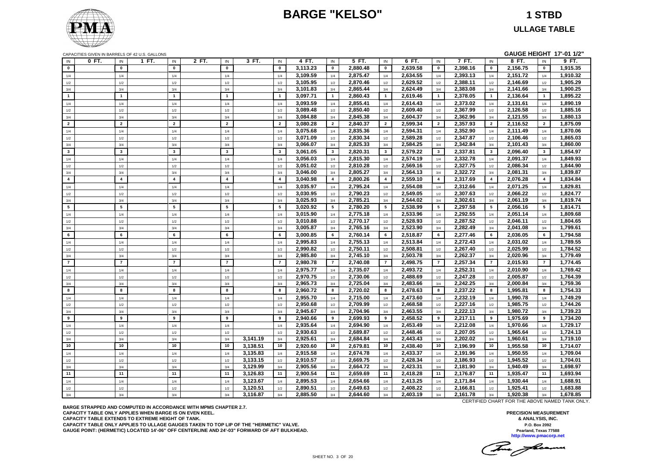## **BARGE "KELSO" 1 STBD**

**ULLAGE TABLE**

|  | CAPACITIES GIVEN IN BARRELS OF 42 U.S. GALLONS |  |
|--|------------------------------------------------|--|
|--|------------------------------------------------|--|

|                         |       |                       | CAPACITIES GIVEN IN BARRELS OF 42 U.S. GALLONS |                         |                         |          |                         |                      |                         |                      |                       |                      |                         |                      |                         |                      |                       | GAUGE HEIGHT 17'-01 1/2" |
|-------------------------|-------|-----------------------|------------------------------------------------|-------------------------|-------------------------|----------|-------------------------|----------------------|-------------------------|----------------------|-----------------------|----------------------|-------------------------|----------------------|-------------------------|----------------------|-----------------------|--------------------------|
| IN                      | 0 FT. | IN                    | 1 FT.                                          | IN                      | 2 FT.<br>IN             | 3 FT.    | IN                      | 4 FT.                | IN                      | 5 FT.                | IN                    | 6 FT.                | IN                      | 7 FT.                | IN                      | 8 FT.                | IN                    | 9 FT.                    |
| $\bf{0}$                |       | $\mathbf 0$           |                                                | $\mathbf{0}$            | $\pmb{0}$               |          | $\mathbf{0}$            | 3,113.23             | $\mathbf 0$             | 2,880.48             | $\pmb{0}$             | 2,639.58             | $\mathbf 0$             | 2,398.16             | $\pmb{0}$               | 2,156.75             | $\mathbf 0$           | 1,915.35                 |
| 1/4                     |       | 1/4                   |                                                | 1/4                     | 1/4                     |          | 1/4                     | 3,109.59             | 1/4                     | 2,875.47             | 1/4                   | 2,634.55             | 1/4                     | 2,393.13             | 1/4                     | 2,151.72             | 1/4                   | 1,910.32                 |
| 1/2                     |       | $1/2$                 |                                                | 1/2                     | 1/2                     |          | 1/2                     | 3,105.95             | 1/2                     | 2,870.46             | 1/2                   | 2,629.52             | 1/2                     | 2,388.11             | 1/2                     | 2,146.69             | 1/2                   | 1,905.29                 |
| 3/4                     |       | 3/4                   |                                                | 3/4                     | 3/4                     |          | 3/4                     | 3,101.83             | 3/4                     | 2,865.44             | 3/4                   | 2,624.49             | 3/4                     | 2,383.08             | 3/4                     | 2,141.66             | 3/4                   | 1,900.25                 |
| $\overline{1}$          |       | $\mathbf{1}$          |                                                | $\mathbf{1}$            | $\mathbf{1}$            |          | $\mathbf{1}$            | 3,097.71             | $\mathbf{1}$            | 2,860.43             | $\mathbf{1}$          | 2,619.46             | $\mathbf{1}$            | 2,378.05             | $\overline{1}$          | 2,136.64             | $\mathbf{1}$          | 1,895.22                 |
| 1/4                     |       | 1/4                   |                                                | 1/4                     | 1/4                     |          | 1/4                     | 3,093.59             | 1/4                     | 2,855.41             | 1/4                   | 2,614.43             | 1/4                     | 2,373.02             | 1/4                     | 2,131.61             | 1/4                   | 1,890.19                 |
| 1/2                     |       | 1/2                   |                                                | 1/2                     | 1/2                     |          | 1/2                     | 3,089.48             | 1/2                     | 2,850.40             | 1/2                   | 2,609.40             | 1/2                     | 2,367.99             | 1/2                     | 2,126.58             | 1/2                   | 1,885.16                 |
| 3/4                     |       | 3/4                   |                                                | 3/4                     | 3/4                     |          | 3/4                     | 3,084.88             | 3/4                     | 2,845.38             | 3/4                   | 2,604.37             | 3/4                     | 2,362.96             | 3/4                     | 2,121.55             | 3/4                   | 1,880.13                 |
| $\overline{2}$          |       | $\overline{2}$        |                                                | $\overline{2}$          | $\overline{2}$          |          | $\overline{2}$          | 3,080.28             | $\overline{2}$          | 2,840.37             | $\overline{2}$        | 2,599.34             | $\overline{2}$          | 2,357.93             | $\overline{2}$          | 2,116.52             | $\overline{2}$        | 1,875.09                 |
| 1/4                     |       | 1/4                   |                                                | 1/4                     | 1/4                     |          | 1/4                     | 3,075.68             | 1/4                     | 2,835.36             | 1/4                   | 2,594.31             | 1/4                     | 2,352.90             | 1/4                     | 2,111.49             | 1/4                   | 1,870.06                 |
| 1/2                     |       | 1/2                   |                                                | 1/2                     | 1/2                     |          | 1/2                     | 3,071.09             | 1/2                     | 2,830.34             | 1/2                   | 2,589.28             | 1/2                     | 2,347.87             | 1/2                     | 2,106.46             | 1/2                   | 1,865.03                 |
| 3/4                     |       | 3/4                   |                                                | 3/4                     | 3/4                     |          | 3/4                     | 3,066.07             | 3/4                     | 2,825.33             | 3/4                   | 2,584.25             | 3/4                     | 2,342.84             | 3/4                     | 2,101.43             | 3/4                   | 1,860.00                 |
| $\mathbf{3}$            |       | $\mathbf{3}$          |                                                | $\mathbf{3}$            | $\mathbf{3}$            |          | $\mathbf{3}$            | 3,061.05             | $\mathbf{3}$            | 2,820.31             | 3                     | 2,579.22             | $\mathbf{3}$            | 2,337.81             | $\overline{\mathbf{3}}$ | 2,096.40             | $\mathbf{3}$          | 1,854.97                 |
| 1/4                     |       | 1/4                   |                                                | 1/4                     | 1/4                     |          | 1/4                     | 3,056.03             | 1/4                     | 2,815.30             | 1/4                   | 2,574.19             | 1/4                     | 2,332.78             | 1/4                     | 2,091.37             | 1/4                   | 1,849.93                 |
| 1/2                     |       | 1/2                   |                                                | 1/2                     | 1/2                     |          | 1/2                     | 3,051.02             | 1/2                     | 2,810.28             | 1/2                   | 2,569.16             | 1/2                     | 2,327.75             | 1/2                     | 2,086.34             | 1/2                   | 1,844.90                 |
| 3/4                     |       | 3/4                   |                                                | 3/4                     | 3/4                     |          | 3/4                     | 3,046.00             | 3/4                     | 2,805.27             | 3/4                   | 2,564.13             | 3/4                     | 2,322.72             | 3/4                     | 2,081.31             | 3/4                   | 1,839.87                 |
| $\overline{4}$          |       | $\overline{4}$        |                                                | $\overline{\mathbf{4}}$ | $\overline{\mathbf{4}}$ |          | $\overline{\mathbf{4}}$ | 3,040.98             | $\overline{\mathbf{4}}$ | 2,800.26             | $\overline{4}$        | 2,559.10             | $\overline{4}$          | 2,317.69             | $\overline{4}$          | 2,076.28             | $\overline{4}$        | 1,834.84                 |
| 1/4                     |       | 1/4                   |                                                | 1/4                     | 1/4                     |          | 1/4                     | 3,035.97             | 1/4                     | 2,795.24             | 1/4                   | 2,554.08             | 1/4                     | 2,312.66             | 1/4                     | 2,071.25             | 1/4                   | 1,829.81                 |
| 1/2                     |       | 1/2                   |                                                | 1/2                     | 1/2                     |          | 1/2                     | 3,030.95             | 1/2                     | 2,790.23             | 1/2                   | 2,549.05             | 1/2                     | 2,307.63             | 1/2                     | 2,066.22             | 1/2                   | 1,824.77                 |
| 3/4                     |       | 3/4                   |                                                | 3/4                     | 3/4                     |          | 3/4                     | 3,025.93             | 3/4                     | 2,785.21             | 3/4                   | 2,544.02             | 3/4                     | 2,302.61             | 3/4                     | 2,061.19             | 3/4                   | 1,819.74                 |
| 5                       |       | 5                     |                                                | 5                       | $5\overline{5}$         |          | 5                       | 3,020.92             | $5\phantom{.0}$         | 2,780.20             | 5                     | 2,538.99             | 5                       | 2,297.58             | 5                       | 2,056.16             | $5^{\circ}$           | 1,814.71                 |
| 1/4                     |       | 1/4                   |                                                | 1/4                     | 1/4                     |          | 1/4                     | 3,015.90             | 1/4                     | 2,775.18             | 1/4                   | 2,533.96             | 1/4                     | 2,292.55             | 1/4                     | 2,051.14             | 1/4                   | 1,809.68                 |
| $1/2$                   |       | 1/2                   |                                                | 1/2                     | 1/2                     |          | 1/2                     | 3,010.88             | 1/2                     | 2,770.17             | $1/2\,$               | 2,528.93             | 1/2                     | 2,287.52             | 1/2                     | 2,046.11             | 1/2                   | 1,804.65                 |
| 3/4                     |       | 3/4                   |                                                | 3/4                     | 3/4                     |          | 3/4                     | 3,005.87             | 3/4                     | 2,765.16             | 3/4                   | 2,523.90             | 3/4                     | 2,282.49             | 3/4                     | 2,041.08             | 3/4                   | 1,799.61                 |
| 6                       |       | 6                     |                                                | 6                       | 6                       |          | 6                       | 3,000.85             | 6                       | 2,760.14             | 6                     | 2,518.87             | 6                       | 2,277.46             | 6                       | 2,036.05             | 6                     | 1,794.58                 |
|                         |       |                       |                                                |                         |                         |          |                         | 2,995.83             |                         | 2,755.13             |                       | 2,513.84             |                         | 2,272.43             |                         | 2,031.02             |                       | 1,789.55                 |
| 1/4                     |       | 1/4                   |                                                | 1/4                     | 1/4                     |          | 1/4                     |                      | 1/4                     |                      | 1/4                   |                      | 1/4                     |                      | 1/4                     |                      | 1/4                   |                          |
| 1/2                     |       | 1/2                   |                                                | 1/2                     | 1/2                     |          | 1/2                     | 2,990.82             | 1/2                     | 2,750.11             | 1/2                   | 2,508.81             | 1/2                     | 2,267.40             | 1/2                     | 2,025.99             | 1/2                   | 1,784.52                 |
| $3/4$<br>$\overline{7}$ |       | 3/4<br>$\overline{7}$ |                                                | 3/4<br>$\overline{7}$   | 3/4<br>$\overline{7}$   |          | 3/4<br>$\overline{7}$   | 2,985.80<br>2.980.78 | 3/4<br>$\overline{7}$   | 2,745.10<br>2,740.08 | 3/4<br>$\overline{7}$ | 2,503.78<br>2.498.75 | $3/4$<br>$\overline{7}$ | 2,262.37<br>2.257.34 | 3/4<br>$\overline{7}$   | 2,020.96<br>2.015.93 | 3/4<br>$\overline{7}$ | 1,779.49<br>1,774.45     |
|                         |       |                       |                                                |                         |                         |          |                         |                      |                         |                      |                       |                      |                         |                      |                         |                      |                       |                          |
| 1/4                     |       | 1/4                   |                                                | 1/4                     | 1/4                     |          | 1/4                     | 2,975.77             | 1/4                     | 2,735.07             | 1/4                   | 2,493.72             | 1/4                     | 2,252.31             | 1/4                     | 2,010.90             | 1/4                   | 1,769.42                 |
| 1/2                     |       | 1/2                   |                                                | 1/2                     | 1/2                     |          | 1/2                     | 2,970.75             | 1/2                     | 2,730.06             | 1/2                   | 2,488.69             | 1/2                     | 2,247.28             | 1/2                     | 2,005.87             | 1/2                   | 1,764.39                 |
| 3/4                     |       | 3/4                   |                                                | 3/4                     | 3/4                     |          | 3/4                     | 2,965.73             | 3/4                     | 2,725.04             | 3/4                   | 2,483.66             | 3/4                     | 2,242.25             | 3/4                     | 2,000.84             | 3/4                   | 1,759.36                 |
| 8                       |       | 8                     |                                                | 8                       | 8                       |          | 8                       | 2,960.72             | 8                       | 2,720.02             | 8                     | 2,478.63             | 8                       | 2,237.22             | 8                       | 1,995.81             | 8                     | 1,754.33                 |
| 1/4                     |       | 1/4                   |                                                | 1/4                     | 1/4                     |          | 1/4                     | 2,955.70             | 1/4                     | 2,715.00             | 1/4                   | 2,473.60             | 1/4                     | 2,232.19             | 1/4                     | 1,990.78             | 1/4                   | 1,749.29                 |
| 1/2                     |       | 1/2                   |                                                | 1/2                     | 1/2                     |          | 1/2                     | 2,950.68             | 1/2                     | 2,709.99             | 1/2                   | 2,468.58             | 1/2                     | 2,227.16             | 1/2                     | 1,985.75             | 1/2                   | 1,744.26                 |
| 3/4                     |       | 3/4                   |                                                | 3/4                     | 3/4                     |          | 3/4                     | 2,945.67             | 3/4                     | 2,704.96             | 3/4                   | 2,463.55             | 3/4                     | 2,222.13             | 3/4                     | 1,980.72             | 3/4                   | 1,739.23                 |
| 9                       |       | 9                     |                                                | $\overline{9}$          | 9                       |          | 9                       | 2,940.66             | 9                       | 2,699.93             | 9                     | 2,458.52             | 9                       | 2,217.11             | 9                       | 1,975.69             | 9                     | 1,734.20                 |
| 1/4                     |       | 1/4                   |                                                | 1/4                     | 1/4                     |          | 1/4                     | 2,935.64             | 1/4                     | 2,694.90             | 1/4                   | 2,453.49             | 1/4                     | 2,212.08             | 1/4                     | 1,970.66             | 1/4                   | 1,729.17                 |
| 1/2                     |       | 1/2                   |                                                | 1/2                     | 1/2                     |          | 1/2                     | 2.930.63             | 1/2                     | 2.689.87             | 1/2                   | 2.448.46             | 1/2                     | 2.207.05             | 1/2                     | 1.965.64             | 1/2                   | 1.724.13                 |
| 3/4                     |       | 3/4                   |                                                | 3/4                     | 3/4                     | 3,141.19 | 3/4                     | 2,925.61             | 3/4                     | 2,684.84             | 3/4                   | 2,443.43             | 3/4                     | 2,202.02             | 3/4                     | 1,960.61             | 3/4                   | 1,719.10                 |
| 10                      |       | 10                    |                                                | 10                      | 10                      | 3,138.51 | 10                      | 2,920.60             | 10                      | 2,679.81             | 10                    | 2,438.40             | 10                      | 2,196.99             | 10                      | 1,955.58             | 10                    | 1,714.07                 |
| 1/4                     |       | 1/4                   |                                                | 1/4                     | 1/4                     | 3,135.83 | 1/4                     | 2,915.58             | 1/4                     | 2,674.78             | 1/4                   | 2,433.37             | 1/4                     | 2,191.96             | 1/4                     | 1,950.55             | 1/4                   | 1,709.04                 |
| 1/2                     |       | 1/2                   |                                                | 1/2                     | 1/2                     | 3,133.15 | 1/2                     | 2,910.57             | 1/2                     | 2,669.75             | $1/2$                 | 2,428.34             | 1/2                     | 2,186.93             | 1/2                     | 1,945.52             | 1/2                   | 1,704.01                 |
| 3/4                     |       | 3/4                   |                                                | 3/4                     | 3/4                     | 3,129.99 | 3/4                     | 2,905.56             | 3/4                     | 2,664.72             | 3/4                   | 2,423.31             | 3/4                     | 2,181.90             | 3/4                     | 1,940.49             | 3/4                   | 1,698.97                 |
| 11                      |       | 11                    |                                                | 11                      | 11                      | 3,126.83 | 11                      | 2,900.54             | 11                      | 2,659.69             | 11                    | 2,418.28             | 11                      | 2,176.87             | 11                      | 1,935.47             | 11                    | 1,693.94                 |
| 1/4                     |       | 1/4                   |                                                | 1/4                     | 1/4                     | 3,123.67 | 1/4                     | 2,895.53             | 1/4                     | 2,654.66             | 1/4                   | 2,413.25             | 1/4                     | 2,171.84             | 1/4                     | 1,930.44             | 1/4                   | 1,688.91                 |
| $1/2$                   |       | 1/2                   |                                                | 1/2                     | 1/2                     | 3,120.51 | 1/2                     | 2,890.51             | 1/2                     | 2,649.63             | 1/2                   | 2,408.22             | 1/2                     | 2,166.81             | 1/2                     | 1,925.41             | 1/2                   | 1,683.88                 |
| 3/4                     |       | 3/4                   |                                                | 3/4                     | 3/4                     | 3,116.87 | 3/4                     | 2,885.50             | 3/4                     | 2,644.60             | 3/4                   | 2,403.19             | 3/4                     | 2,161.78             | 3/4                     | 1,920.38             | 3/4                   | 1,678.85                 |

**BARGE STRAPPED AND COMPUTED IN ACCORDANCE WITH MPMS CHAPTER 2.7. CAPACITY TABLE ONLY APPLIES WHEN BARGE IS ON EVEN KEEL. CAPACITY TABLE EXTENDS TO EXTREME HEIGHT OF TANK. CAPACITY TABLE ONLY APPLIES TO ULLAGE GAUGES TAKEN TO TOP LIP OF THE "HERMETIC" VALVE. GAUGE POINT: (HERMETIC) LOCATED 14'-06" OFF CENTERLINE AND 24'-03" FORWARD OF AFT BULKHEAD.** CERTIFIED CHART FOR THE ABOVE NAMED TANK ONLY.

The fame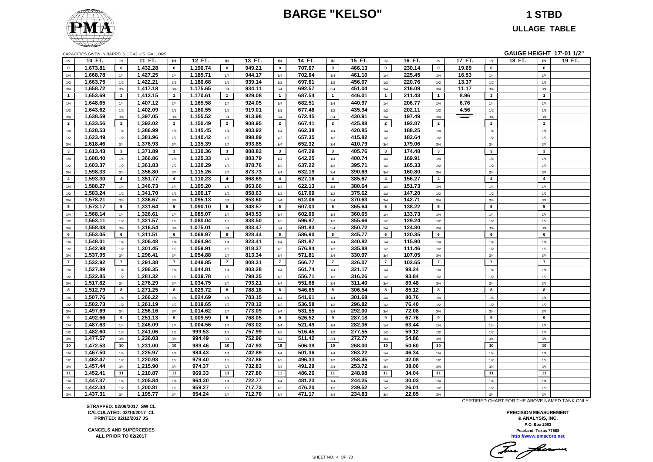### **BARGE "KELSO" 1 STBD**



**ULLAGE TABLE**

|                | CAPACITIES GIVEN IN BARRELS OF 42 U.S. GALLONS |                |          |                  |          |                |        |                 |        |                |        |                |        |                |        |                | GAUGE HEIGHT 17'-01 1/2" |                |        |
|----------------|------------------------------------------------|----------------|----------|------------------|----------|----------------|--------|-----------------|--------|----------------|--------|----------------|--------|----------------|--------|----------------|--------------------------|----------------|--------|
| IN             | 10 FT.                                         | IN             | 11 FT.   | IN               | 12 FT.   | IN             | 13 FT. | IN              | 14 FT. | IN             | 15 FT. | IN             | 16 FT. | IN             | 17 FT. | IN             | 18 FT.                   | IN             | 19 FT. |
| $\bf{0}$       | 1,673.81                                       | $\mathbf 0$    | 1,432.28 | $\mathbf 0$      | 1,190.74 | $\mathbf 0$    | 949.21 | $\mathbf 0$     | 707.67 | $\mathbf 0$    | 466.13 | $\mathbf{0}$   | 230.14 | $\mathbf 0$    | 19.69  | $\mathbf{0}$   |                          | $\pmb{0}$      |        |
| $1/4$          | 1,668.78                                       | 1/4            | 1,427.25 | 1/4              | 1,185.71 | 1/4            | 944.17 | 1/4             | 702.64 | 1/4            | 461.10 | 1/4            | 225.45 | 1/4            | 16.53  | 1/4            |                          | 1/4            |        |
| 1/2            | 1,663.75                                       | $1/2$          | 1,422.21 | 1/2              | 1,180.68 | 1/2            | 939.14 | 1/2             | 697.61 | 1/2            | 456.07 | 1/2            | 220.76 | 1/2            | 13.37  | 1/2            |                          | $1/2$          |        |
| 3/4            | 1,658.72                                       | 3/4            | 1,417.18 | 3/4              | 1,175.65 | 3/4            | 934.11 | 3/4             | 692.57 | 3/4            | 451.04 | 3/4            | 216.09 | 3/4            | 11.17  | 3/4            |                          | 3/4            |        |
| $\overline{1}$ | 1,653.69                                       | $\overline{1}$ | 1,412.15 | $\overline{1}$   | 1,170.61 | $\overline{1}$ | 929.08 | $\mathbf{1}$    | 687.54 | $\overline{1}$ | 446.01 | $\mathbf{1}$   | 211.43 | $\mathbf{1}$   | 8.96   | $\mathbf{1}$   |                          | $\mathbf{1}$   |        |
| 1/4            | 1,648.65                                       | 1/4            | 1,407.12 | 1/4              | 1,165.58 | 1/4            | 924.05 | 1/4             | 682.51 | 1/4            | 440.97 | 1/4            | 206.77 | 1/4            | 6.76   | 1/4            |                          | 1/4            |        |
| 1/2            | 1,643.62                                       | $1/2$          | 1,402.09 | $1/2$            | 1,160.55 | 1/2            | 919.01 | 1/2             | 677.48 | 1/2            | 435.94 | 1/2            | 202.11 | 1/2            | 4.56   | 1/2            |                          | $1/2$          |        |
| 3/4            | 1,638.59                                       | 3/4            | 1,397.05 | 3/4              | 1,155.52 | 3/4            | 913.98 | 3/4             | 672.45 | 3/4            | 430.91 | 3/4            | 197.49 | 3/4            | $=$    | 3/4            |                          | 3/4            |        |
| $\overline{2}$ | 1,633.56                                       | $\overline{2}$ | 1,392.02 | $\overline{2}$   | 1,150.49 | $\overline{2}$ | 908.95 | $\overline{2}$  | 667.41 | $\overline{2}$ | 425.88 | $\overline{2}$ | 192.87 | $\overline{2}$ |        | $\overline{2}$ |                          | $\overline{2}$ |        |
| 1/4            | 1,628.53                                       | 1/4            | 1,386.99 | 1/4              | 1,145.45 | 1/4            | 903.92 | 1/4             | 662.38 | 1/4            | 420.85 | 1/4            | 188.25 | 1/4            |        | 1/4            |                          | 1/4            |        |
| 1/2            | 1,623.49                                       | 1/2            | 1,381.96 | 1/2              | 1,140.42 | 1/2            | 898.89 | 1/2             | 657.35 | 1/2            | 415.82 | 1/2            | 183.64 | 1/2            |        | 1/2            |                          | 1/2            |        |
| 3/4            | 1,618.46                                       | 3/4            | 1,376.93 | 3/4              | 1,135.39 | 3/4            | 893.85 | 3/4             | 652.32 | 3/4            | 410.79 | 3/4            | 179.06 | 3/4            |        | 3/4            |                          | 3/4            |        |
| $\mathbf{3}$   | 1,613.43                                       | $\mathbf{3}$   | 1,371.89 | $\mathbf{3}$     | 1,130.36 | $\mathbf{3}$   | 888.82 | $\mathbf{3}$    | 647.29 | $\mathbf{3}$   | 405.76 | $\mathbf{3}$   | 174.48 | $\mathbf{3}$   |        | $\mathbf{3}$   |                          | $\mathbf{3}$   |        |
| 1/4            | 1,608.40                                       | 1/4            | 1,366.86 | 1/4              | 1,125.33 | 1/4            | 883.79 | 1/4             | 642.25 | 1/4            | 400.74 | 1/4            | 169.91 | 1/4            |        | 1/4            |                          | 1/4            |        |
| $1/2\,$        | 1,603.37                                       | 1/2            | 1,361.83 | 1/2              | 1,120.29 | 1/2            | 878.76 | 1/2             | 637.22 | 1/2            | 395.71 | 1/2            | 165.33 | 1/2            |        | 1/2            |                          | 1/2            |        |
| 3/4            | 1,598.33                                       | 3/4            | 1,356.80 | $3/4$            | 1,115.26 | 3/4            | 873.73 | 3/4             | 632.19 | 3/4            | 390.69 | 3/4            | 160.80 | 3/4            |        | 3/4            |                          | 3/4            |        |
| $\overline{4}$ | 1,593.30                                       | $\overline{4}$ | 1,351.77 | $\overline{4}$   | 1,110.23 | $\overline{4}$ | 868.69 | $\overline{4}$  | 627.16 | $\overline{4}$ | 385.67 | $\overline{4}$ | 156.27 | $\overline{4}$ |        | $\overline{4}$ |                          | $\overline{4}$ |        |
| 1/4            | 1,588.27                                       | 1/4            | 1,346.73 | 1/4              | 1,105.20 | 1/4            | 863.66 | 1/4             | 622.13 | 1/4            | 380.64 | 1/4            | 151.73 | 1/4            |        | 1/4            |                          | 1/4            |        |
| 1/2            | 1,583.24                                       | 1/2            | 1,341.70 | 1/2              | 1,100.17 | 1/2            | 858.63 | 1/2             | 617.09 | 1/2            | 375.62 | 1/2            | 147.20 | 1/2            |        | 1/2            |                          | 1/2            |        |
| 3/4            | 1,578.21                                       | 3/4            | 1,336.67 | $3/4$            | 1,095.13 | 3/4            | 853.60 | 3/4             | 612.06 | 3/4            | 370.63 | 3/4            | 142.71 | 3/4            |        | 3/4            |                          | 3/4            |        |
| 5              | 1,573.17                                       | 5              | 1,331.64 | 5                | 1,090.10 | 5              | 848.57 | $5\overline{5}$ | 607.03 | 5              | 365.64 | 5              | 138.22 | 5              |        | $5\phantom{a}$ |                          | $5\phantom{a}$ |        |
| 1/4            | 1,568.14                                       | 1/4            | 1,326.61 | 1/4              | 1,085.07 | 1/4            | 843.53 | 1/4             | 602.00 | 1/4            | 360.65 | 1/4            | 133.73 | 1/4            |        | 1/4            |                          | 1/4            |        |
| 1/2            | 1,563.11                                       | 1/2            | 1,321.57 | 1/2              | 1,080.04 | 1/2            | 838.50 | 1/2             | 596.97 | 1/2            | 355.66 | 1/2            | 129.24 | 1/2            |        | 1/2            |                          | 1/2            |        |
| 3/4            | 1,558.08                                       | 3/4            | 1,316.54 | 3/4              | 1,075.01 | 3/4            | 833.47 | 3/4             | 591.93 | 3/4            | 350.72 | 3/4            | 124.80 | 3/4            |        | 3/4            |                          | 3/4            |        |
| 6              | 1,553.05                                       | 6              | 1,311.51 | 6                | 1,069.97 | 6              | 828.44 | 6               | 586.90 | 6              | 345.77 | 6              | 120.35 | 6              |        | 6              |                          | 6              |        |
| 1/4            | 1,548.01                                       | 1/4            | 1,306.48 | 1/4              | 1,064.94 | 1/4            | 823.41 | 1/4             | 581.87 | 1/4            | 340.82 | 1/4            | 115.90 | 1/4            |        | 1/4            |                          | 1/4            |        |
| 1/2            | 1,542.98                                       | 1/2            | 1,301.45 | 1/2              | 1,059.91 | 1/2            | 818.37 | 1/2             | 576.84 | 1/2            | 335.88 | 1/2            | 111.46 | 1/2            |        | 1/2            |                          | 1/2            |        |
| 3/4            | 1,537.95                                       | 3/4            | 1,296.41 | $3/4$            | 1,054.88 | 3/4            | 813.34 | $3/4$           | 571.81 | $3/4$          | 330.97 | $3/4$          | 107.05 | 3/4            |        | 3/4            |                          | 3/4            |        |
| $\overline{7}$ | 1,532.92                                       | $\overline{7}$ | 1,291.38 | $\overline{7}$   | 1,049.85 | $\overline{7}$ | 808.31 | $\overline{7}$  | 566.77 | $\overline{7}$ | 326.07 | $\overline{7}$ | 102.65 | $\overline{7}$ |        | $\overline{7}$ |                          | $\overline{7}$ |        |
| 1/4            | 1,527.89                                       | 1/4            | 1,286.35 | 1/4              | 1,044.81 | 1/4            | 803.28 | 1/4             | 561.74 | 1/4            | 321.17 | 1/4            | 98.24  | 1/4            |        | 1/4            |                          | 1/4            |        |
| 1/2            | 1,522.85                                       | 1/2            | 1,281.32 | 1/2              | 1,039.78 | 1/2            | 798.25 | 1/2             | 556.71 | 1/2            | 316.26 | 1/2            | 93.84  | 1/2            |        | 1/2            |                          | 1/2            |        |
| 3/4            | 1,517.82                                       | 3/4            | 1,276.29 | $3/4$            | 1,034.75 | 3/4            | 793.21 | 3/4             | 551.68 | 3/4            | 311.40 | 3/4            | 89.48  | 3/4            |        | 3/4            |                          | 3/4            |        |
| 8              | 1,512.79                                       | 8              | 1,271.25 | 8                | 1,029.72 | 8              | 788.18 | 8               | 546.65 | 8              | 306.54 | 8              | 85.12  | 8              |        | 8              |                          | 8              |        |
| 1/4            | 1,507.76                                       | 1/4            | 1,266.22 | 1/4              | 1,024.69 | 1/4            | 783.15 | 1/4             | 541.61 | 1/4            | 301.68 | 1/4            | 80.76  | 1/4            |        | 1/4            |                          | 1/4            |        |
| 1/2            | 1,502.73                                       | 1/2            | 1,261.19 | 1/2              | 1,019.65 | 1/2            | 778.12 | 1/2             | 536.58 | 1/2            | 296.82 | 1/2            | 76.40  | 1/2            |        | 1/2            |                          | 1/2            |        |
| 3/4            | 1,497.69                                       | 3/4            | 1,256.16 | 3/4              | 1,014.62 | 3/4            | 773.09 | 3/4             | 531.55 | 3/4            | 292.00 | 3/4            | 72.08  | 3/4            |        | 3/4            |                          | 3/4            |        |
| 9              | 1,492.66                                       | 9              | 1,251.13 | $\boldsymbol{9}$ | 1,009.59 | 9              | 768.05 | 9               | 526.52 | 9              | 287.18 | 9              | 67.76  | 9              |        | 9              |                          | 9              |        |
| 1/4            | 1,487.63                                       | 1/4            | 1,246.09 | 1/4              | 1,004.56 | 1/4            | 763.02 | 1/4             | 521.49 | 1/4            | 282.36 | 1/4            | 63.44  | 1/4            |        | 1/4            |                          | 1/4            |        |
| 1/2            | 1,482.60                                       | 1/2            | 1,241.06 | 1/2              | 999.53   | 1/2            | 757.99 | 1/2             | 516.45 | 1/2            | 277.55 | 1/2            | 59.12  | 1/2            |        | 1/2            |                          | 1/2            |        |
| 3/4            | 1,477.57                                       | 3/4            | 1,236.03 | 3/4              | 994.49   | 3/4            | 752.96 | 3/4             | 511.42 | 3/4            | 272.77 | 3/4            | 54.86  | 3/4            |        | 3/4            |                          | 3/4            |        |
| 10             | 1,472.53                                       | 10             | 1,231.00 | 10               | 989.46   | 10             | 747.93 | 10              | 506.39 | 10             | 268.00 | 10             | 50.60  | 10             |        | 10             |                          | 10             |        |
| 1/4            | 1,467.50                                       | 1/4            | 1,225.97 | 1/4              | 984.43   | 1/4            | 742.89 | 1/4             | 501.36 | 1/4            | 263.22 | 1/4            | 46.34  | 1/4            |        | 1/4            |                          | 1/4            |        |
| 1/2            | 1,462.47                                       | 1/2            | 1,220.93 | 1/2              | 979.40   | 1/2            | 737.86 | 1/2             | 496.33 | 1/2            | 258.45 | 1/2            | 42.08  | 1/2            |        | 1/2            |                          | 1/2            |        |
| 3/4            | 1,457.44                                       | 3/4            | 1,215.90 | 3/4              | 974.37   | 3/4            | 732.83 | 3/4             | 491.29 | 3/4            | 253.72 | 3/4            | 38.06  | 3/4            |        | 3/4            |                          | 3/4            |        |
| 11             | 1,452.41                                       | 11             | 1,210.87 | 11               | 969.33   | 11             | 727.80 | 11              | 486.26 | 11             | 248.98 | 11             | 34.04  | 11             |        | 11             |                          | 11             |        |
| 1/4            | 1,447.37                                       | 1/4            | 1,205.84 | 1/4              | 964.30   | 1/4            | 722.77 | 1/4             | 481.23 | 1/4            | 244.25 | 1/4            | 30.03  | 1/4            |        | 1/4            |                          | 1/4            |        |
| $1/2$          | 1,442.34                                       | 1/2            | 1,200.81 | 1/2              | 959.27   | 1/2            | 717.73 | 1/2             | 476.20 | 1/2            | 239.52 | 1/2            | 26.01  | 1/2            |        | 1/2            |                          | 1/2            |        |
| 3/4            | 1,437.31                                       | 3/4            | 1,195.77 | 3/4              | 954.24   | 3/4            | 712.70 | 3/4             | 471.17 | 3/4            | 234.83 | 3/4            | 22.85  | 3/4            |        | 3/4            |                          | 3/4            |        |

**STRAPPED: 02/09/2017 SW CL CALCULATED: 02/10/2017 CL PRINTED: 02/12/2017 JS**

**CANCELS AND SUPERCEDES ALL PRIOR TO 02/2017**

CERTIFIED CHART FOR THE ABOVE NAMED TANK ONLY.

Tomas facerme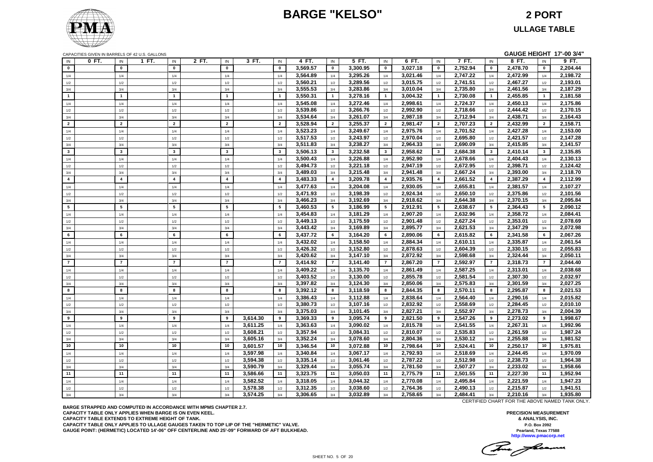## **BARGE "KELSO" 2 PORT**



# **ULLAGE TABLE**

|                         |       |                         | CAPACITIES GIVEN IN BARRELS OF 42 U.S. GALLONS |                         |       |                         |          |                         |          |                 |          |                |          |                         |          |                | GAUGE HEIGHT 17'-00 3/4" |                |                      |
|-------------------------|-------|-------------------------|------------------------------------------------|-------------------------|-------|-------------------------|----------|-------------------------|----------|-----------------|----------|----------------|----------|-------------------------|----------|----------------|--------------------------|----------------|----------------------|
| IN                      | 0 FT. | IN                      | 1 FT.                                          | IN                      | 2 FT. | IN                      | 3 FT.    | IN                      | 4 FT.    | IN              | 5 FT.    | IN             | 6 FT.    | $\mathsf{IN}$           | 7 FT.    | IN             | 8 FT.                    | IN             | 9 FT.                |
| $\mathbf{0}$            |       | $\mathbf{0}$            |                                                | $\mathbf{0}$            |       | $\mathbf{0}$            |          | $\mathbf{0}$            | 3,569.57 | $\mathbf{0}$    | 3,300.95 | $\mathbf 0$    | 3,027.18 | $\mathbf 0$             | 2,752.94 | $\mathbf 0$    | 2,478.70                 | $\mathbf{0}$   | 2,204.44             |
| 1/4                     |       | 1/4                     |                                                | 1/4                     |       | 1/4                     |          | 1/4                     | 3,564.89 | 1/4             | 3,295.26 | 1/4            | 3,021.46 | 1/4                     | 2,747.22 | 1/4            | 2,472.99                 | 1/4            | 2,198.72             |
| 1/2                     |       | 1/2                     |                                                | 1/2                     |       | 1/2                     |          | 1/2                     | 3,560.21 | 1/2             | 3,289.56 | 1/2            | 3,015.75 | 1/2                     | 2,741.51 | 1/2            | 2,467.27                 | 1/2            | 2,193.01             |
| 3/4                     |       | 3/4                     |                                                | 3/4                     |       | 3/4                     |          | 3/4                     | 3,555.53 | 3/4             | 3,283.86 | 3/4            | 3,010.04 | 3/4                     | 2,735.80 | 3/4            | 2,461.56                 | 3/4            | 2,187.29             |
| $\overline{1}$          |       | $\mathbf{1}$            |                                                | $\overline{1}$          |       | $\mathbf{1}$            |          | $\overline{1}$          | 3,550.31 | $\mathbf{1}$    | 3,278.16 | $\mathbf{1}$   | 3,004.32 | $\mathbf{1}$            | 2,730.08 | $\overline{1}$ | 2,455.85                 | $\mathbf{1}$   | 2,181.58             |
| 1/4                     |       | 1/4                     |                                                | 1/4                     |       | 1/4                     |          | 1/4                     | 3,545.08 | 1/4             | 3,272.46 | 1/4            | 2,998.61 | 1/4                     | 2,724.37 | 1/4            | 2,450.13                 | 1/4            | 2,175.86             |
| 1/2                     |       | 1/2                     |                                                | $1/2$                   |       | 1/2                     |          | $1/2$                   | 3,539.86 | 1/2             | 3,266.76 | 1/2            | 2,992.90 | 1/2                     | 2,718.66 | 1/2            | 2,444.42                 | 1/2            | 2,170.15             |
| 3/4                     |       | 3/4                     |                                                | 3/4                     |       | 3/4                     |          | 3/4                     | 3,534.64 | 3/4             | 3,261.07 | 3/4            | 2,987.18 | 3/4                     | 2,712.94 | 3/4            | 2,438.71                 | 3/4            | 2,164.43             |
| $\overline{2}$          |       | $\overline{2}$          |                                                | $\overline{2}$          |       | $\overline{2}$          |          | $\overline{2}$          | 3,528.94 | $\overline{2}$  | 3,255.37 | $\overline{2}$ | 2,981.47 | $\overline{2}$          | 2,707.23 | $\overline{2}$ | 2,432.99                 | $\overline{2}$ | 2,158.71             |
| 1/4                     |       | 1/4                     |                                                | 1/4                     |       | 1/4                     |          | 1/4                     | 3,523.23 | 1/4             | 3,249.67 | 1/4            | 2,975.76 | 1/4                     | 2,701.52 | 1/4            | 2,427.28                 | 1/4            | 2,153.00             |
| 1/2                     |       | 1/2                     |                                                | 1/2                     |       | 1/2                     |          | 1/2                     | 3,517.53 | 1/2             | 3,243.97 | 1/2            | 2,970.04 | 1/2                     | 2,695.80 | 1/2            | 2,421.57                 | 1/2            | 2,147.28             |
| 3/4                     |       | 3/4                     |                                                | 3/4                     |       | 3/4                     |          | 3/4                     | 3,511.83 | 3/4             | 3,238.27 | 3/4            | 2,964.33 | 3/4                     | 2,690.09 | 3/4            | 2,415.85                 | 3/4            | 2,141.57             |
| $\overline{\mathbf{3}}$ |       | $\overline{\mathbf{3}}$ |                                                | $\overline{\mathbf{3}}$ |       | $\overline{\mathbf{3}}$ |          | $\overline{\mathbf{3}}$ | 3,506.13 | $\mathbf{3}$    | 3,232.58 | $\mathbf{3}$   | 2,958.62 | $\mathbf{3}$            | 2,684.38 | $\mathbf{3}$   | 2,410.14                 | $\mathbf{3}$   | 2,135.85             |
| 1/4                     |       | 1/4                     |                                                | 1/4                     |       | 1/4                     |          | 1/4                     | 3,500.43 | 1/4             | 3,226.88 | 1/4            | 2,952.90 | 1/4                     | 2,678.66 | 1/4            | 2,404.43                 | 1/4            | 2,130.13             |
| 1/2                     |       | 1/2                     |                                                | $1/2$                   |       | 1/2                     |          | 1/2                     | 3,494.73 | 1/2             | 3,221.18 | 1/2            | 2,947.19 | 1/2                     | 2,672.95 | 1/2            | 2,398.71                 | 1/2            | 2,124.42             |
| 3/4                     |       | 3/4                     |                                                | 3/4                     |       | 3/4                     |          | 3/4                     | 3,489.03 | 3/4             | 3,215.48 | 3/4            | 2,941.48 | 3/4                     | 2,667.24 | 3/4            | 2,393.00                 | 3/4            | 2,118.70             |
| $\overline{4}$          |       | $\overline{4}$          |                                                | $\overline{4}$          |       | $\overline{4}$          |          | $\overline{4}$          | 3,483.33 | $\overline{4}$  | 3,209.78 | 4              | 2,935.76 | $\overline{\mathbf{4}}$ | 2,661.52 | $\overline{4}$ | 2,387.29                 | $\overline{4}$ | 2,112.99             |
| 1/4                     |       | 1/4                     |                                                | 1/4                     |       | 1/4                     |          | 1/4                     | 3,477.63 | 1/4             | 3,204.08 | 1/4            | 2,930.05 | 1/4                     | 2,655.81 | 1/4            | 2,381.57                 | 1/4            | 2,107.27             |
| 1/2                     |       | 1/2                     |                                                | 1/2                     |       | 1/2                     |          | 1/2                     | 3,471.93 | 1/2             | 3,198.39 | 1/2            | 2,924.34 | 1/2                     | 2,650.10 | 1/2            | 2,375.86                 | 1/2            | 2,101.56             |
| 3/4                     |       | 3/4                     |                                                | 3/4                     |       | 3/4                     |          | 3/4                     | 3,466.23 | 3/4             | 3,192.69 | 3/4            | 2,918.62 | 3/4                     | 2,644.38 | 3/4            | 2,370.15                 | 3/4            | 2,095.84             |
| 5                       |       | 5                       |                                                | 5                       |       | $5\phantom{.0}$         |          | 5                       | 3,460.53 | $5\phantom{.0}$ | 3,186.99 | 5              | 2,912.91 | 5                       | 2,638.67 | 5              | 2,364.43                 | 5              | 2,090.12             |
| 1/4                     |       | 1/4                     |                                                | 1/4                     |       | 1/4                     |          | 1/4                     | 3,454.83 | 1/4             | 3,181.29 | 1/4            | 2,907.20 | 1/4                     | 2,632.96 | 1/4            | 2,358.72                 | 1/4            | 2,084.41             |
| 1/2                     |       | 1/2                     |                                                | 1/2                     |       | 1/2                     |          | 1/2                     | 3,449.13 | 1/2             | 3,175.59 | 1/2            | 2,901.48 | $1/2$                   | 2,627.24 | $1/2$          | 2,353.01                 | 1/2            | 2,078.69             |
| 3/4                     |       | 3/4                     |                                                | 3/4                     |       | 3/4                     |          | 3/4                     | 3,443.42 | 3/4             | 3,169.89 | 3/4            | 2,895.77 | 3/4                     | 2,621.53 | 3/4            | 2,347.29                 | 3/4            | 2,072.98             |
| 6                       |       | 6                       |                                                | $6\phantom{a}$          |       | 6                       |          | 6                       | 3,437.72 | 6               | 3,164.20 | 6              | 2,890.06 | 6                       | 2,615.82 | 6              | 2,341.58                 | 6              | 2,067.26             |
| 1/4                     |       | 1/4                     |                                                | 1/4                     |       | $1/4$                   |          | 1/4                     | 3,432.02 | 1/4             | 3,158.50 | 1/4            | 2,884.34 | 1/4                     | 2,610.11 | 1/4            | 2,335.87                 | 1/4            | 2,061.54             |
| 1/2                     |       | 1/2                     |                                                | $1/2$                   |       | 1/2                     |          | 1/2                     | 3,426.32 | 1/2             | 3,152.80 | 1/2            | 2,878.63 | 1/2                     | 2,604.39 | $1/2$          | 2,330.15                 | 1/2            | 2,055.83             |
| 3/4                     |       | 3/4                     |                                                | 3/4                     |       | 3/4                     |          | 3/4                     | 3,420.62 | 3/4             | 3,147.10 | 3/4            | 2,872.92 | 3/4                     | 2,598.68 | 3/4            | 2,324.44                 | 3/4            | 2,050.11             |
| $\overline{7}$          |       | $\overline{7}$          |                                                | $\overline{7}$          |       | $\overline{7}$          |          | $\overline{7}$          | 3.414.92 | $\overline{7}$  | 3,141.40 | $\overline{7}$ | 2.867.20 | $\overline{7}$          | 2,592.97 | $\overline{7}$ | 2,318.73                 | $\overline{7}$ | 2,044.40             |
| 1/4                     |       | 1/4                     |                                                | 1/4                     |       | 1/4                     |          | 1/4                     | 3,409.22 | 1/4             | 3,135.70 | 1/4            | 2,861.49 | 1/4                     | 2,587.25 | 1/4            | 2,313.01                 | 1/4            | 2,038.68             |
| $1/2\,$                 |       | 1/2                     |                                                | 1/2                     |       | 1/2                     |          | 1/2                     | 3,403.52 | 1/2             | 3,130.00 | 1/2            | 2,855.78 | 1/2                     | 2,581.54 | 1/2            | 2,307.30                 | 1/2            | 2,032.97             |
| 3/4                     |       | 3/4                     |                                                | 3/4                     |       | 3/4                     |          | 3/4                     | 3,397.82 | 3/4             | 3,124.30 | 3/4            | 2,850.06 | 3/4                     | 2,575.83 | 3/4            | 2,301.59                 | 3/4            | 2,027.25             |
| 8                       |       | 8                       |                                                | 8                       |       | 8                       |          | 8                       | 3,392.12 | 8               | 3,118.59 | 8              | 2,844.35 | 8                       | 2,570.11 | 8              | 2,295.87                 | 8              | 2,021.53             |
| $1/4$                   |       | 1/4                     |                                                | 1/4                     |       | 1/4                     |          | 1/4                     | 3,386.43 | 1/4             | 3,112.88 | 1/4            | 2,838.64 | 1/4                     | 2,564.40 | 1/4            | 2,290.16                 | 1/4            | 2,015.82             |
| 1/2                     |       | 1/2                     |                                                | 1/2                     |       | 1/2                     |          | 1/2                     | 3,380.73 | 1/2             | 3,107.16 | 1/2            | 2,832.92 | $1/2$                   | 2,558.69 | 1/2            | 2,284.45                 | 1/2            | 2,010.10             |
| 3/4                     |       | 3/4                     |                                                | 3/4                     |       | 3/4                     |          | 3/4                     | 3,375.03 | 3/4             | 3,101.45 | 3/4            | 2,827.21 | 3/4                     | 2,552.97 | 3/4            | 2,278.73                 | 3/4            | 2,004.39             |
| 9                       |       | 9                       |                                                | 9                       |       | 9                       | 3,614.30 | 9                       | 3,369.33 | 9               | 3,095.74 | 9              | 2,821.50 | 9                       | 2,547.26 | 9              | 2,273.02                 | 9              | 1,998.67             |
|                         |       | 1/4                     |                                                | 1/4                     |       | 1/4                     | 3,611.25 | 1/4                     | 3,363.63 | 1/4             | 3,090.02 |                | 2,815.78 |                         | 2,541.55 |                | 2,267.31                 | 1/4            | 1,992.96             |
| 1/4                     |       | 1/2                     |                                                | 1/2                     |       | 1/2                     | 3.608.21 | 1/2                     | 3,357.94 | 1/2             | 3,084.31 | 1/4<br>1/2     | 2,810.07 | 1/4<br>1/2              | 2,535.83 | 1/4<br>1/2     | 2.261.59                 | 1/2            | 1,987.24             |
| $1/2$<br>3/4            |       | 3/4                     |                                                | 3/4                     |       | 3/4                     | 3,605.16 | 3/4                     | 3,352.24 | 3/4             | 3,078.60 | 3/4            | 2,804.36 | 3/4                     | 2,530.12 | 3/4            | 2,255.88                 | 3/4            | 1,981.52             |
| 10                      |       | 10                      |                                                | 10                      |       | 10                      | 3,601.57 | 10                      | 3.346.54 | 10              | 3,072.88 | 10             | 2,798.64 | 10                      | 2,524.41 | 10             | 2,250.17                 | 10             | 1,975.81             |
| 1/4                     |       | 1/4                     |                                                | 1/4                     |       | 1/4                     | 3,597.98 | 1/4                     | 3,340.84 | 1/4             | 3,067.17 | 1/4            | 2,792.93 | 1/4                     | 2,518.69 | 1/4            | 2,244.45                 | 1/4            | 1,970.09             |
|                         |       | 1/2                     |                                                | 1/2                     |       |                         | 3,594.38 | 1/2                     | 3,335.14 | 1/2             | 3,061.46 |                | 2,787.22 |                         | 2,512.98 |                | 2,238.73                 | 1/2            | 1,964.38             |
| 1/2<br>3/4              |       | 3/4                     |                                                | 3/4                     |       | 1/2<br>3/4              | 3,590.79 | 3/4                     | 3,329.44 | 3/4             | 3,055.74 | 1/2<br>3/4     | 2,781.50 | 1/2<br>3/4              | 2,507.27 | 1/2<br>3/4     | 2,233.02                 | 3/4            | 1,958.66             |
| 11                      |       | 11                      |                                                | 11                      |       | 11                      | 3,586.66 | 11                      | 3,323.75 | 11              | 3,050.03 | 11             | 2,775.79 | 11                      | 2,501.55 | 11             | 2,227.30                 | 11             | 1,952.94             |
|                         |       |                         |                                                |                         |       |                         |          |                         |          |                 |          |                |          |                         |          |                |                          |                |                      |
| $1/4$                   |       | 1/4                     |                                                | 1/4                     |       | 1/4                     | 3,582.52 | 1/4                     | 3,318.05 | 1/4             | 3,044.32 | 1/4            | 2,770.08 | 1/4                     | 2,495.84 | 1/4            | 2,221.59                 | 1/4            | 1,947.23             |
| $1/2$                   |       | 1/2                     |                                                | 1/2                     |       | 1/2                     | 3,578.38 | 1/2                     | 3,312.35 | 1/2             | 3,038.60 | $1/2\,$        | 2,764.36 | 1/2<br>3/4              | 2,490.13 | 1/2            | 2,215.87                 | 1/2            | 1,941.51<br>1,935.80 |
| $3/4$                   |       | 3/4                     |                                                | 3/4                     |       | 3/4                     | 3,574.25 | 3/4                     | 3,306.65 | 3/4             | 3,032.89 | 3/4            | 2,758.65 |                         | 2,484.41 | 3/4            | 2,210.16                 | 3/4            |                      |

**BARGE STRAPPED AND COMPUTED IN ACCORDANCE WITH MPMS CHAPTER 2.7. CAPACITY TABLE ONLY APPLIES WHEN BARGE IS ON EVEN KEEL. CAPACITY TABLE EXTENDS TO EXTREME HEIGHT OF TANK. CAPACITY TABLE ONLY APPLIES TO ULLAGE GAUGES TAKEN TO TOP LIP OF THE "HERMETIC" VALVE. GAUGE POINT: (HERMETIC) LOCATED 14'-06" OFF CENTERLINE AND 25'-09" FORWARD OF AFT BULKHEAD.** CERTIFIED CHART FOR THE ABOVE NAMED TANK ONLY.

This floam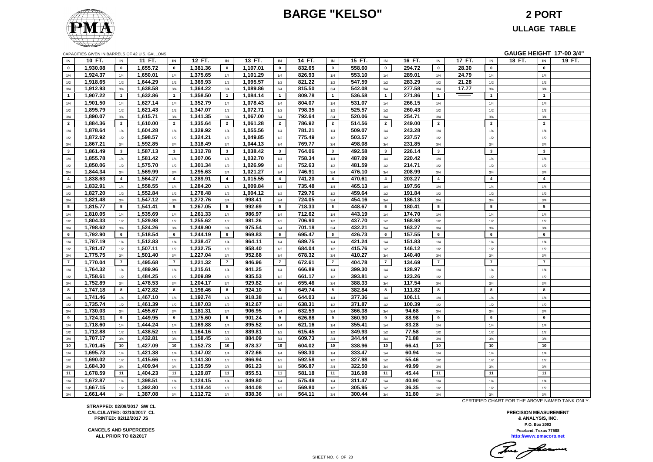### **BARGE "KELSO" 2 PORT**



### **ULLAGE TABLE**

|                |          |                 | CAPACITIES GIVEN IN BARRELS OF 42 U.S. GALLONS |                |          |                |          |                         |        |                |        |                  |        |                |        |                         | GAUGE HEIGHT 17'-00 3/4" |        |
|----------------|----------|-----------------|------------------------------------------------|----------------|----------|----------------|----------|-------------------------|--------|----------------|--------|------------------|--------|----------------|--------|-------------------------|--------------------------|--------|
| IN             | 10 FT.   | IN              | 11 FT.                                         | IN             | 12 FT.   | IN             | 13 FT.   | IN                      | 14 FT. | IN             | 15 FT. | IN               | 16 FT. | IN             | 17 FT. | IN                      | 18 FT.<br>IN             | 19 FT. |
| $\bf{0}$       | 1,930.08 | $\mathbf 0$     | 1,655.72                                       | $\mathbf 0$    | 1,381.36 | $\mathbf 0$    | 1,107.01 | $\mathbf 0$             | 832.65 | $\mathbf 0$    | 558.60 | $\pmb{0}$        | 294.72 | $\pmb{0}$      | 28.30  | $\mathbf 0$             | $\pmb{0}$                |        |
| 1/4            | 1,924.37 | 1/4             | 1,650.01                                       | $1/4$          | 1,375.65 | 1/4            | 1,101.29 | $1/4$                   | 826.93 | $1/4$          | 553.10 | $1/4$            | 289.01 | $1/4$          | 24.79  | $1/4$                   | $1/4$                    |        |
| $1/2$          | 1,918.65 | 1/2             | 1,644.29                                       | 1/2            | 1,369.93 | 1/2            | 1,095.57 | 1/2                     | 821.22 | 1/2            | 547.59 | $1/2$            | 283.29 | 1/2            | 21.28  | $1/2$                   | $1/2$                    |        |
| 3/4            | 1,912.93 | 3/4             | 1,638.58                                       | 3/4            | 1,364.22 | 3/4            | 1,089.86 | 3/4                     | 815.50 | 3/4            | 542.08 | 3/4              | 277.58 | 3/4            | 17.77  | 3/4                     | 3/4                      |        |
| $\overline{1}$ | 1,907.22 | $\overline{1}$  | 1,632.86                                       | $\overline{1}$ | 1,358.50 | $\overline{1}$ | 1,084.14 | $\overline{1}$          | 809.78 | $\overline{1}$ | 536.58 | $\mathbf{1}$     | 271.86 | $\overline{1}$ | I      | $\mathbf{1}$            | $\mathbf{1}$             |        |
| 1/4            | 1,901.50 | 1/4             | 1,627.14                                       | 1/4            | 1,352.79 | 1/4            | 1,078.43 | 1/4                     | 804.07 | 1/4            | 531.07 | 1/4              | 266.15 | 1/4            |        | 1/4                     | 1/4                      |        |
| 1/2            | 1,895.79 | 1/2             | 1,621.43                                       | 1/2            | 1,347.07 | 1/2            | 1,072.71 | 1/2                     | 798.35 | 1/2            | 525.57 | 1/2              | 260.43 | 1/2            |        | $1/2\,$                 | $1/2$                    |        |
| 3/4            | 1,890.07 | 3/4             | 1,615.71                                       | 3/4            | 1,341.35 | 3/4            | 1,067.00 | $3/4$                   | 792.64 | 3/4            | 520.06 | 3/4              | 254.71 | 3/4            |        | 3/4                     | 3/4                      |        |
| $\overline{2}$ | 1,884.36 | $\overline{2}$  | 1,610.00                                       | $\overline{2}$ | 1,335.64 | $\overline{2}$ | 1,061.28 | $\overline{2}$          | 786.92 | $\overline{2}$ | 514.56 | $\overline{2}$   | 249.00 | $\overline{2}$ |        | $\overline{2}$          | $\overline{2}$           |        |
| 1/4            | 1,878.64 | 1/4             | 1,604.28                                       | 1/4            | 1,329.92 | 1/4            | 1,055.56 | 1/4                     | 781.21 | 1/4            | 509.07 | 1/4              | 243.28 | 1/4            |        | 1/4                     | 1/4                      |        |
| 1/2            | 1,872.92 | 1/2             | 1,598.57                                       | 1/2            | 1,324.21 | 1/2            | 1,049.85 | 1/2                     | 775.49 | 1/2            | 503.57 | 1/2              | 237.57 | 1/2            |        | 1/2                     | $1/2$                    |        |
| 3/4            | 1,867.21 | 3/4             | 1,592.85                                       | 3/4            | 1,318.49 | 3/4            | 1,044.13 | $3/4$                   | 769.77 | 3/4            | 498.08 | 3/4              | 231.85 | 3/4            |        | 3/4                     | 3/4                      |        |
| $\mathbf{3}$   | 1,861.49 | $\mathbf{3}$    | 1,587.13                                       | $\mathbf{3}$   | 1,312.78 | $\mathbf{3}$   | 1,038.42 | $\overline{\mathbf{3}}$ | 764.06 | $\mathbf{3}$   | 492.58 | $\mathbf{3}$     | 226.14 | $\mathbf{3}$   |        | $\mathbf{3}$            | $\mathbf{3}$             |        |
| 1/4            | 1,855.78 | 1/4             | 1,581.42                                       | 1/4            | 1,307.06 | 1/4            | 1,032.70 | 1/4                     | 758.34 | 1/4            | 487.09 | 1/4              | 220.42 | 1/4            |        | 1/4                     | 1/4                      |        |
| 1/2            | 1,850.06 | 1/2             | 1,575.70                                       | 1/2            | 1,301.34 | 1/2            | 1,026.99 | 1/2                     | 752.63 | 1/2            | 481.59 | 1/2              | 214.71 | 1/2            |        | 1/2                     | 1/2                      |        |
| 3/4            | 1,844.34 | 3/4             | 1,569.99                                       | 3/4            | 1,295.63 | 3/4            | 1,021.27 | $3/4$                   | 746.91 | 3/4            | 476.10 | 3/4              | 208.99 | 3/4            |        | 3/4                     | 3/4                      |        |
| $\overline{4}$ | 1,838.63 | $\overline{4}$  | 1,564.27                                       | $\overline{4}$ | 1,289.91 | $\overline{4}$ | 1,015.55 | $\overline{4}$          | 741.20 | $\overline{4}$ | 470.61 | $\overline{4}$   | 203.27 | $\overline{4}$ |        | $\overline{\mathbf{4}}$ | $\overline{\mathbf{4}}$  |        |
| 1/4            | 1,832.91 | 1/4             | 1,558.55                                       | 1/4            | 1,284.20 | 1/4            | 1,009.84 | 1/4                     | 735.48 | 1/4            | 465.13 | 1/4              | 197.56 | 1/4            |        | 1/4                     | 1/4                      |        |
| 1/2            | 1,827.20 | 1/2             | 1,552.84                                       | 1/2            | 1,278.48 | 1/2            | 1,004.12 | 1/2                     | 729.76 | 1/2            | 459.64 | 1/2              | 191.84 | 1/2            |        | 1/2                     | 1/2                      |        |
| 3/4            | 1,821.48 | 3/4             | 1,547.12                                       | 3/4            | 1,272.76 | 3/4            | 998.41   | 3/4                     | 724.05 | 3/4            | 454.16 | 3/4              | 186.13 | 3/4            |        | 3/4                     | 3/4                      |        |
| 5              | 1,815.77 | $5\phantom{.0}$ | 1,541.41                                       | 5              | 1,267.05 | 5              | 992.69   | 5                       | 718.33 | 5              | 448.67 | 5                | 180.41 | 5              |        | 5                       | ${\bf 5}$                |        |
| 1/4            | 1,810.05 | 1/4             | 1,535.69                                       | 1/4            | 1,261.33 | 1/4            | 986.97   | 1/4                     | 712.62 | 1/4            | 443.19 | 1/4              | 174.70 | 1/4            |        | 1/4                     | 1/4                      |        |
| 1/2            | 1,804.33 | 1/2             | 1,529.98                                       | 1/2            | 1,255.62 | 1/2            | 981.26   | 1/2                     | 706.90 | 1/2            | 437.70 | 1/2              | 168.98 | 1/2            |        | $1/2$                   | $1/2$                    |        |
| 3/4            | 1,798.62 | 3/4             | 1,524.26                                       | 3/4            | 1,249.90 | 3/4            | 975.54   | 3/4                     | 701.18 | 3/4            | 432.21 | 3/4              | 163.27 | 3/4            |        | 3/4                     | 3/4                      |        |
| 6              | 1,792.90 | 6               | 1,518.54                                       | 6              | 1,244.19 | 6              | 969.83   | 6                       | 695.47 | 6              | 426.73 | 6                | 157.55 | 6              |        | 6                       | 6                        |        |
| 1/4            | 1,787.19 | 1/4             | 1,512.83                                       | 1/4            | 1,238.47 | 1/4            | 964.11   | 1/4                     | 689.75 | 1/4            | 421.24 | 1/4              | 151.83 | 1/4            |        | 1/4                     | 1/4                      |        |
| 1/2            | 1,781.47 | 1/2             | 1,507.11                                       | 1/2            | 1,232.75 | 1/2            | 958.40   | 1/2                     | 684.04 | 1/2            | 415.76 | 1/2              | 146.12 | 1/2            |        | 1/2                     | 1/2                      |        |
| $3/4$          | 1,775.75 | $3/4$           | 1,501.40                                       | $3/4$          | 1,227.04 | 3/4            | 952.68   | 3/4                     | 678.32 | 3/4            | 410.27 | 3/4              | 140.40 | 3/4            |        | 3/4                     | 3/4                      |        |
| $\overline{7}$ | 1,770.04 | $\overline{7}$  | 1,495.68                                       | $\overline{7}$ | 1,221.32 | $\overline{7}$ | 946.96   | $\overline{7}$          | 672.61 | $\overline{7}$ | 404.78 | $\overline{7}$   | 134.69 | $\overline{7}$ |        | $\overline{7}$          | $\overline{7}$           |        |
| 1/4            | 1,764.32 | 1/4             | 1,489.96                                       | 1/4            | 1,215.61 | 1/4            | 941.25   | 1/4                     | 666.89 | 1/4            | 399.30 | 1/4              | 128.97 | 1/4            |        | 1/4                     | 1/4                      |        |
| 1/2            | 1,758.61 | 1/2             | 1,484.25                                       | 1/2            | 1,209.89 | 1/2            | 935.53   | 1/2                     | 661.17 | 1/2            | 393.81 | 1/2              | 123.26 | 1/2            |        | 1/2                     | 1/2                      |        |
| 3/4            | 1,752.89 | 3/4             | 1,478.53                                       | 3/4            | 1,204.17 | 3/4            | 929.82   | 3/4                     | 655.46 | 3/4            | 388.33 | 3/4              | 117.54 | 3/4            |        | 3/4                     | 3/4                      |        |
| 8              | 1,747.18 | 8               | 1,472.82                                       | 8              | 1,198.46 | 8              | 924.10   | 8                       | 649.74 | 8              | 382.84 | 8                | 111.82 | 8              |        | 8                       | 8                        |        |
| 1/4            | 1,741.46 | 1/4             | 1,467.10                                       | 1/4            | 1,192.74 | 1/4            | 918.38   | 1/4                     | 644.03 | 1/4            | 377.36 | 1/4              | 106.11 | 1/4            |        | 1/4                     | 1/4                      |        |
| 1/2            | 1,735.74 | 1/2             | 1,461.39                                       | 1/2            | 1,187.03 | 1/2            | 912.67   | 1/2                     | 638.31 | 1/2            | 371.87 | 1/2              | 100.39 | 1/2            |        | 1/2                     | 1/2                      |        |
| 3/4            | 1,730.03 | 3/4             | 1,455.67                                       | 3/4            | 1,181.31 | 3/4            | 906.95   | 3/4                     | 632.59 | 3/4            | 366.38 | 3/4              | 94.68  | 3/4            |        | 3/4                     | 3/4                      |        |
| 9              | 1,724.31 | 9               | 1,449.95                                       | 9              | 1,175.60 | 9              | 901.24   | 9                       | 626.88 | 9              | 360.90 | $\boldsymbol{9}$ | 88.98  | 9              |        | 9                       | 9                        |        |
| 1/4            | 1,718.60 | 1/4             | 1,444.24                                       | 1/4            | 1,169.88 | 1/4            | 895.52   | 1/4                     | 621.16 | 1/4            | 355.41 | 1/4              | 83.28  | 1/4            |        | 1/4                     | 1/4                      |        |
| 1/2            | 1,712.88 | 1/2             | 1,438.52                                       | 1/2            | 1,164.16 | 1/2            | 889.81   | 1/2                     | 615.45 | 1/2            | 349.93 | 1/2              | 77.58  | 1/2            |        | 1/2                     | 1/2                      |        |
| 3/4            | 1,707.17 | 3/4             | 1,432.81                                       | 3/4            | 1,158.45 | 3/4            | 884.09   | 3/4                     | 609.73 | 3/4            | 344.44 | 3/4              | 71.88  | 3/4            |        | 3/4                     | 3/4                      |        |
| 10             | 1,701.45 | 10              | 1,427.09                                       | 10             | 1,152.73 | 10             | 878.37   | 10                      | 604.02 | 10             | 338.96 | 10               | 66.41  | 10             |        | 10                      | 10                       |        |
| 1/4            | 1,695.73 | 1/4             | 1,421.38                                       | 1/4            | 1,147.02 | 1/4            | 872.66   | 1/4                     | 598.30 | 1/4            | 333.47 | 1/4              | 60.94  | 1/4            |        | 1/4                     | 1/4                      |        |
| 1/2            | 1,690.02 | 1/2             | 1,415.66                                       | 1/2            | 1,141.30 | 1/2            | 866.94   | 1/2                     | 592.58 | 1/2            | 327.98 | 1/2              | 55.46  | 1/2            |        | 1/2                     | $1/2$                    |        |
| 3/4            | 1,684.30 | 3/4             | 1,409.94                                       | 3/4            | 1,135.59 | 3/4            | 861.23   | 3/4                     | 586.87 | 3/4            | 322.50 | 3/4              | 49.99  | 3/4            |        | 3/4                     | 3/4                      |        |
| 11             | 1,678.59 | 11              | 1,404.23                                       | 11             | 1,129.87 | 11             | 855.51   | 11                      | 581.18 | 11             | 316.98 | 11               | 45.44  | 11             |        | 11                      | 11                       |        |
| 1/4            | 1,672.87 | 1/4             | 1,398.51                                       | 1/4            | 1,124.15 | 1/4            | 849.80   | 1/4                     | 575.49 | 1/4            | 311.47 | 1/4              | 40.90  | 1/4            |        | 1/4                     | 1/4                      |        |
| $1/2$          | 1,667.15 | 1/2             | 1,392.80                                       | 1/2            | 1,118.44 | 1/2            | 844.08   | 1/2                     | 569.80 | 1/2            | 305.95 | $1/2\,$          | 36.35  | 1/2            |        | 1/2                     | $1/2$                    |        |
| 3/4            | 1,661.44 | 3/4             | 1,387.08                                       | 3/4            | 1,112.72 | 3/4            | 838.36   | 3/4                     | 564.11 | 3/4            | 300.44 | 3/4              | 31.80  | 3/4            |        | 3/4                     | 3/4                      |        |

CERTIFIED CHART FOR THE ABOVE NAMED TANK ONLY.

**http://www.pmacorp.net Pearland, Texas 77588 PRECISION MEASUREMENT & ANALYSIS, INC. P.O. Box 2092**

Tue fearma

**STRAPPED: 02/09/2017 SW CL CALCULATED: 02/10/2017 CL PRINTED: 02/12/2017 JS**

**CANCELS AND SUPERCEDES ALL PRIOR TO 02/2017**

SHEET NO. 6 OF 20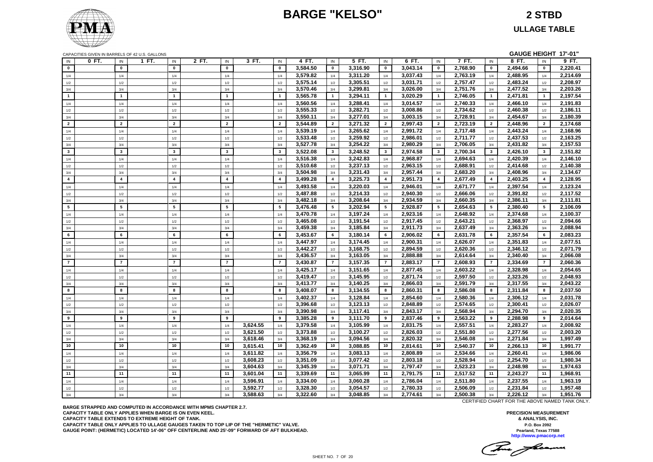### **BARGE "KELSO" 2 STBD**

**ULLAGE TABLE**

|  |  | CAPACITIES GIVEN IN BARRELS OF 42 U.S. GALLONS |
|--|--|------------------------------------------------|
|--|--|------------------------------------------------|

|                         |       |                | CAPACITIES GIVEN IN BARRELS OF 42 U.S. GALLONS |                |          |                |          |                |                      |                |                      |                |                      |                |                      |                 | GAUGE HEIGHT 17'-01" |
|-------------------------|-------|----------------|------------------------------------------------|----------------|----------|----------------|----------|----------------|----------------------|----------------|----------------------|----------------|----------------------|----------------|----------------------|-----------------|----------------------|
| IN                      | 0 FT. | IN             | 1 FT.<br>IN                                    | 2 FT.<br>IN    | 3 FT.    | IN             | 4 FT.    | IN             | 5 FT.                | IN             | 6 FT.                | IN             | 7 FT.                | IN             | 8 FT.                | IN              | 9 FT.                |
| $\mathbf 0$             |       | $\mathbf{0}$   | $\mathbf{0}$                                   | $\mathbf{0}$   |          | $\mathbf{0}$   | 3,584.50 | $\mathbf 0$    | 3,316.90             | $\mathbf 0$    | 3,043.14             | $\mathbf{0}$   | 2,768.90             | $\mathbf 0$    | 2,494.66             | $\mathbf 0$     | 2,220.41             |
| 1/4                     |       | 1/4            | 1/4                                            | 1/4            |          | 1/4            | 3,579.82 | 1/4            | 3,311.20             | 1/4            | 3,037.43             | 1/4            | 2,763.19             | 1/4            | 2,488.95             | 1/4             | 2,214.69             |
| 1/2                     |       | 1/2            | 1/2                                            | 1/2            |          | 1/2            | 3,575.14 | 1/2            | 3,305.51             | 1/2            | 3,031.71             | 1/2            | 2,757.47             | 1/2            | 2,483.24             | 1/2             | 2,208.97             |
| 3/4                     |       | 3/4            | 3/4                                            | 3/4            |          | 3/4            | 3,570.46 | 3/4            | 3,299.81             | 3/4            | 3,026.00             | 3/4            | 2,751.76             | 3/4            | 2,477.52             | 3/4             | 2,203.26             |
| $\overline{1}$          |       | $\overline{1}$ | $\overline{1}$                                 | $\overline{1}$ |          | $\overline{1}$ | 3,565.78 | $\overline{1}$ | 3,294.11             | $\mathbf{1}$   | 3,020.29             | $\mathbf{1}$   | 2,746.05             | $\mathbf{1}$   | 2,471.81             | $\overline{1}$  | 2,197.54             |
| 1/4                     |       | 1/4            | 1/4                                            | 1/4            |          | 1/4            | 3,560.56 | 1/4            | 3,288.41             | 1/4            | 3,014.57             | 1/4            | 2,740.33             | 1/4            | 2,466.10             | 1/4             | 2,191.83             |
| $1/2$                   |       | 1/2            | 1/2                                            | 1/2            |          | 1/2            | 3,555.33 | 1/2            | 3,282.71             | 1/2            | 3,008.86             | 1/2            | 2,734.62             | 1/2            | 2,460.38             | 1/2             | 2,186.11             |
| 3/4                     |       | 3/4            | 3/4                                            | 3/4            |          | 3/4            | 3,550.11 | 3/4            | 3,277.01             | 3/4            | 3,003.15             | 3/4            | 2,728.91             | 3/4            | 2,454.67             | 3/4             | 2,180.39             |
| $\overline{2}$          |       | $\overline{2}$ | $\overline{2}$                                 | $\overline{2}$ |          | $\overline{2}$ | 3,544.89 | $\overline{2}$ | 3,271.32             | $\overline{2}$ | 2,997.43             | $\overline{2}$ | 2,723.19             | $\overline{2}$ | 2,448.96             | $\overline{2}$  | 2,174.68             |
| 1/4                     |       | 1/4            | 1/4                                            | 1/4            |          | 1/4            | 3,539.19 | 1/4            | 3,265.62             | 1/4            | 2,991.72             | 1/4            | 2,717.48             | 1/4            | 2,443.24             | 1/4             | 2,168.96             |
| 1/2                     |       | 1/2            | 1/2                                            | 1/2            |          | 1/2            | 3,533.48 | 1/2            | 3,259.92             | 1/2            | 2,986.01             | 1/2            | 2,711.77             | 1/2            | 2,437.53             | 1/2             | 2,163.25             |
| 3/4                     |       | 3/4            | 3/4                                            | 3/4            |          | 3/4            | 3,527.78 | 3/4            | 3,254.22             | 3/4            | 2,980.29             | 3/4            | 2,706.05             | 3/4            | 2,431.82             | 3/4             | 2,157.53             |
| $\mathbf{3}$            |       | $\mathbf{3}$   | $\mathbf{3}$                                   | $\mathbf{3}$   |          | $\mathbf{3}$   | 3,522.08 | $\mathbf{3}$   | 3,248.52             | $\mathbf{3}$   | 2,974.58             | $\mathbf{3}$   | 2,700.34             | $\mathbf{3}$   | 2,426.10             | $\mathbf{3}$    | 2,151.82             |
| 1/4                     |       | 1/4            | 1/4                                            | 1/4            |          | 1/4            | 3,516.38 | 1/4            | 3,242.83             | 1/4            | 2,968.87             | 1/4            | 2,694.63             | 1/4            | 2,420.39             | 1/4             | 2,146.10             |
| 1/2                     |       | 1/2            | 1/2                                            | 1/2            |          | 1/2            | 3,510.68 | 1/2            | 3,237.13             | 1/2            | 2,963.15             | 1/2            | 2,688.91             | 1/2            | 2,414.68             | 1/2             | 2,140.38             |
| 3/4                     |       | 3/4            | 3/4                                            | 3/4            |          | 3/4            | 3,504.98 | 3/4            | 3,231.43             | 3/4            | 2,957.44             | 3/4            | 2,683.20             | 3/4            | 2,408.96             | 3/4             | 2,134.67             |
| $\overline{\mathbf{4}}$ |       | $\overline{4}$ | $\overline{4}$                                 | $\overline{4}$ |          | $\overline{4}$ | 3,499.28 | $\overline{4}$ | 3,225.73             | $\overline{4}$ | 2,951.73             | $\overline{4}$ | 2,677.49             | $\overline{4}$ | 2,403.25             | $\overline{4}$  | 2,128.95             |
| 1/4                     |       | 1/4            | 1/4                                            | 1/4            |          | 1/4            | 3,493.58 | 1/4            | 3,220.03             | 1/4            | 2,946.01             | 1/4            | 2,671.77             | 1/4            | 2,397.54             | 1/4             | 2,123.24             |
| 1/2                     |       | 1/2            | 1/2                                            | 1/2            |          | 1/2            | 3,487.88 | 1/2            | 3,214.33             | 1/2            | 2.940.30             | 1/2            | 2,666.06             | 1/2            | 2,391.82             | 1/2             | 2,117.52             |
| 3/4                     |       | 3/4            | 3/4                                            | 3/4            |          | 3/4            | 3,482.18 | 3/4            | 3,208.64             | 3/4            | 2,934.59             | 3/4            | 2,660.35             | 3/4            | 2,386.11             | 3/4             | 2,111.81             |
| 5                       |       | 5              | 5                                              | 5              |          | 5              | 3,476.48 | 5              | 3,202.94             | 5              | 2,928.87             | 5              | 2,654.63             | 5              | 2,380.40             | $5\overline{5}$ | 2,106.09             |
| 1/4                     |       | 1/4            | 1/4                                            | 1/4            |          | 1/4            | 3,470.78 | 1/4            | 3,197.24             | 1/4            | 2,923.16             | 1/4            | 2,648.92             | 1/4            | 2,374.68             | 1/4             | 2,100.37             |
| $1/2$                   |       | 1/2            | 1/2                                            | 1/2            |          | 1/2            | 3,465.08 | 1/2            | 3,191.54             | 1/2            | 2,917.45             | 1/2            | 2,643.21             | 1/2            | 2,368.97             | 1/2             | 2,094.66             |
| 3/4                     |       | 3/4            | 3/4                                            | 3/4            |          | 3/4            | 3,459.38 | 3/4            | 3,185.84             | 3/4            | 2,911.73             | 3/4            | 2,637.49             | 3/4            | 2,363.26             | 3/4             | 2,088.94             |
| 6                       |       | 6              | 6                                              | 6              |          | 6              | 3,453.67 | 6              | 3,180.14             | 6              | 2,906.02             | 6              | 2,631.78             | 6              | 2,357.54             | 6               | 2,083.23             |
| 1/4                     |       | 1/4            | 1/4                                            | 1/4            |          | 1/4            | 3,447.97 | 1/4            | 3,174.45             | 1/4            | 2,900.31             | 1/4            | 2,626.07             | 1/4            | 2,351.83             | 1/4             | 2,077.51             |
| 1/2                     |       | 1/2            | 1/2                                            | 1/2            |          | 1/2            | 3,442.27 | 1/2            | 3,168.75             | 1/2            | 2,894.59             | 1/2            | 2,620.36             | 1/2            | 2,346.12             | 1/2             | 2,071.79             |
| 3/4                     |       | 3/4            | 3/4                                            | 3/4            |          | 3/4            | 3,436.57 | 3/4            | 3,163.05             | 3/4            | 2,888.88             | 3/4            | 2,614.64             | 3/4            | 2,340.40             | 3/4             | 2,066.08             |
| $\overline{7}$          |       | $\overline{7}$ | $\overline{7}$                                 | $\overline{7}$ |          | $\overline{7}$ | 3,430.87 | $\overline{7}$ | 3,157.35             | $\overline{7}$ | 2.883.17             | $\overline{7}$ | 2,608.93             | $\overline{7}$ | 2,334.69             | $\overline{7}$  | 2.060.36             |
| 1/4                     |       | 1/4            | 1/4                                            | 1/4            |          | 1/4            | 3,425.17 | 1/4            | 3,151.65             | 1/4            | 2,877.45             | 1/4            | 2,603.22             | 1/4            | 2,328.98             | 1/4             | 2,054.65             |
| 1/2                     |       | 1/2            | 1/2                                            | 1/2            |          | 1/2            | 3,419.47 | 1/2            | 3,145.95             | 1/2            | 2,871.74             | 1/2            | 2,597.50             | 1/2            | 2,323.26             | 1/2             | 2,048.93             |
| 3/4                     |       | 3/4            | 3/4                                            | 3/4            |          | 3/4            | 3,413.77 | 3/4            | 3,140.25             | 3/4            | 2,866.03             | 3/4            | 2,591.79             | 3/4            | 2,317.55             | 3/4             | 2,043.22             |
| 8                       |       | 8              | 8                                              | 8              |          | 8              | 3,408.07 | 8              | 3,134.55             | 8              | 2,860.31             | 8              | 2,586.08             | 8              | 2,311.84             | 8               | 2,037.50             |
| 1/4                     |       | 1/4            | 1/4                                            | 1/4            |          | 1/4            | 3,402.37 | 1/4            | 3,128.84             | 1/4            | 2,854.60             | 1/4            | 2,580.36             | 1/4            | 2,306.12             | 1/4             | 2,031.78             |
| 1/2                     |       | 1/2            | 1/2                                            | 1/2            |          | 1/2            | 3,396.68 | 1/2            | 3,123.13             | 1/2            | 2,848.89             | 1/2            | 2,574.65             | 1/2            | 2,300.41             | 1/2             | 2,026.07             |
| 3/4                     |       | 3/4            | 3/4                                            | 3/4            |          | 3/4            | 3,390.98 | 3/4            | 3,117.41             | 3/4            | 2,843.17             | 3/4            | 2,568.94             | 3/4            | 2,294.70             | 3/4             | 2,020.35             |
| 9                       |       | 9              | 9                                              | 9              |          | 9              | 3,385.28 | 9              | 3,111.70             | 9              | 2,837.46             | 9              | 2,563.22             | 9              | 2,288.98             | 9               | 2,014.64             |
|                         |       |                |                                                |                | 3,624.55 |                | 3,379.58 |                | 3,105.99             |                | 2,831.75             |                | 2,557.51             |                | 2,283.27             |                 | 2,008.92             |
| 1/4                     |       | 1/4            | 1/4                                            | 1/4            | 3.621.50 | 1/4            | 3.373.88 | 1/4            | 3.100.27             | 1/4            | 2.826.03             | 1/4            | 2.551.80             | 1/4            | 2.277.56             | 1/4             | 2.003.20             |
| 1/2<br>3/4              |       | 1/2<br>3/4     | 1/2<br>3/4                                     | 1/2<br>3/4     | 3,618.46 | 1/2<br>3/4     | 3,368.19 | 1/2<br>3/4     | 3,094.56             | 1/2<br>3/4     | 2,820.32             | 1/2<br>3/4     | 2,546.08             | 1/2<br>3/4     | 2,271.84             | 1/2<br>3/4      | 1,997.49             |
| 10                      |       | 10             | 10                                             | 10             | 3,615.41 | 10             | 3,362.49 | 10             | 3,088.85             | 10             | 2,814.61             | 10             | 2,540.37             | 10             | 2,266.13             | 10              | 1,991.77             |
|                         |       |                |                                                |                | 3,611.82 |                | 3,356.79 |                | 3,083.13             |                | 2,808.89             |                |                      |                | 2,260.41             |                 | 1,986.06             |
| 1/4                     |       | 1/4            | 1/4                                            | 1/4            |          | 1/4            |          | 1/4            |                      | 1/4            |                      | 1/4            | 2,534.66             | 1/4            |                      | 1/4             |                      |
| 1/2                     |       | 1/2            | 1/2                                            | 1/2            | 3,608.23 | 1/2            | 3,351.09 | 1/2            | 3,077.42             | 1/2            | 2,803.18             | 1/2            | 2,528.94<br>2,523.23 | 1/2            | 2,254.70             | 1/2             | 1,980.34             |
| 3/4<br>11               |       | 3/4<br>11      | 3/4<br>11                                      | 3/4<br>11      | 3,604.63 | 3/4            | 3,345.39 | 3/4<br>11      | 3,071.71<br>3,065.99 | 3/4            | 2,797.47<br>2,791.75 | 3/4            | 2,517.52             | 3/4<br>11      | 2,248.98<br>2,243.27 | 3/4<br>11       | 1,974.63<br>1,968.91 |
|                         |       |                |                                                |                | 3,601.04 | 11             | 3,339.69 |                |                      | 11             |                      | 11             |                      |                |                      |                 |                      |
| 1/4                     |       | 1/4            | 1/4                                            | 1/4            | 3,596.91 | 1/4            | 3,334.00 | 1/4            | 3,060.28             | 1/4            | 2,786.04             | 1/4            | 2,511.80             | 1/4            | 2,237.55             | 1/4             | 1,963.19             |
| 1/2                     |       | 1/2            | 1/2                                            | 1/2            | 3,592.77 | 1/2            | 3,328.30 | 1/2            | 3,054.57             | 1/2            | 2,780.33             | 1/2            | 2,506.09             | 1/2            | 2,231.84             | 1/2             | 1,957.48             |
| 3/4                     |       | 3/4            | 3/4                                            | 3/4            | 3,588.63 | 3/4            | 3,322.60 | 3/4            | 3,048.85             | 3/4            | 2,774.61             | 3/4            | 2,500.38             | 3/4            | 2,226.12             | 3/4             | 1,951.76             |

**BARGE STRAPPED AND COMPUTED IN ACCORDANCE WITH MPMS CHAPTER 2.7. CAPACITY TABLE ONLY APPLIES WHEN BARGE IS ON EVEN KEEL. CAPACITY TABLE EXTENDS TO EXTREME HEIGHT OF TANK. CAPACITY TABLE ONLY APPLIES TO ULLAGE GAUGES TAKEN TO TOP LIP OF THE "HERMETIC" VALVE. GAUGE POINT: (HERMETIC) LOCATED 14'-06" OFF CENTERLINE AND 25'-09" FORWARD OF AFT BULKHEAD.** CERTIFIED CHART FOR THE ABOVE NAMED TANK ONLY.

The fame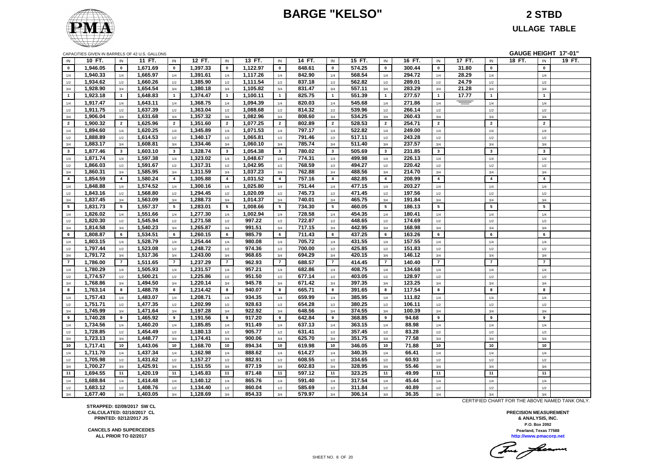### **BARGE "KELSO" 2 STBD**



**ULLAGE TABLE**

| CAPACITIES GIVEN IN BARRELS OF 42 U.S. GALLONS |  |  |  |
|------------------------------------------------|--|--|--|
|                                                |  |  |  |

|                | CAPACITIES GIVEN IN BARRELS OF 42 U.S. GALLONS |                |          |                  |          |                |          |                         |        |                |        |                |        |                |          |                 |        |                 | GAUGE HEIGHT 17'-01" |
|----------------|------------------------------------------------|----------------|----------|------------------|----------|----------------|----------|-------------------------|--------|----------------|--------|----------------|--------|----------------|----------|-----------------|--------|-----------------|----------------------|
| IN             | 10 FT.                                         | IN             | 11 FT.   | IN               | 12 FT.   | IN             | 13 FT.   | IN                      | 14 FT. | IN             | 15 FT. | IN             | 16 FT. | IN             | 17 FT.   | IN              | 18 FT. | IN              | 19 FT.               |
| $\bf{0}$       | 1,946.05                                       | $\mathbf 0$    | 1,671.69 | $\mathbf 0$      | 1,397.33 | $\mathbf 0$    | 1,122.97 | $\mathbf 0$             | 848.61 | $\mathbf 0$    | 574.25 | $\mathbf{0}$   | 300.44 | $\mathbf 0$    | 31.80    | $\mathbf{0}$    |        | $\pmb{0}$       |                      |
| 1/4            | 1,940.33                                       | 1/4            | 1,665.97 | 1/4              | 1,391.61 | 1/4            | 1,117.26 | 1/4                     | 842.90 | 1/4            | 568.54 | 1/4            | 294.72 | 1/4            | 28.29    | 1/4             |        | 1/4             |                      |
| 1/2            | 1,934.62                                       | $1/2$          | 1,660.26 | $1/2$            | 1,385.90 | 1/2            | 1,111.54 | 1/2                     | 837.18 | 1/2            | 562.82 | 1/2            | 289.01 | 1/2            | 24.79    | 1/2             |        | $1/2$           |                      |
| 3/4            | 1,928.90                                       | 3/4            | 1,654.54 | 3/4              | 1,380.18 | 3/4            | 1,105.82 | 3/4                     | 831.47 | 3/4            | 557.11 | 3/4            | 283.29 | 3/4            | 21.28    | 3/4             |        | 3/4             |                      |
| $\overline{1}$ | 1,923.18                                       | $\overline{1}$ | 1,648.83 | $\overline{1}$   | 1,374.47 | $\overline{1}$ | 1,100.11 | $\mathbf{1}$            | 825.75 | $\overline{1}$ | 551.39 | $\mathbf{1}$   | 277.57 | $\mathbf{1}$   | 17.77    | $\mathbf{1}$    |        | $\mathbf{1}$    |                      |
| 1/4            | 1,917.47                                       | 1/4            | 1,643.11 | 1/4              | 1,368.75 | 1/4            | 1,094.39 | 1/4                     | 820.03 | 1/4            | 545.68 | 1/4            | 271.86 | 1/4            | $\equiv$ | 1/4             |        | 1/4             |                      |
| 1/2            | 1,911.75                                       | $1/2$          | 1,637.39 | $1/2$            | 1,363.04 | 1/2            | 1,088.68 | 1/2                     | 814.32 | 1/2            | 539.96 | 1/2            | 266.14 | 1/2            |          | 1/2             |        | $1/2$           |                      |
| 3/4            | 1,906.04                                       | 3/4            | 1,631.68 | 3/4              | 1,357.32 | 3/4            | 1,082.96 | 3/4                     | 808.60 | 3/4            | 534.25 | 3/4            | 260.43 | 3/4            |          | 3/4             |        | 3/4             |                      |
| $\overline{2}$ | 1,900.32                                       | $\overline{2}$ | 1,625.96 | $\overline{2}$   | 1,351.60 | $\overline{2}$ | 1,077.25 | $\overline{2}$          | 802.89 | $\overline{2}$ | 528.53 | $\overline{2}$ | 254.71 | $\overline{2}$ |          | $\overline{2}$  |        | $\overline{2}$  |                      |
| 1/4            | 1,894.60                                       | 1/4            | 1,620.25 | 1/4              | 1,345.89 | 1/4            | 1,071.53 | 1/4                     | 797.17 | 1/4            | 522.82 | 1/4            | 249.00 | 1/4            |          | 1/4             |        | 1/4             |                      |
| 1/2            | 1,888.89                                       | 1/2            | 1,614.53 | 1/2              | 1,340.17 | 1/2            | 1,065.81 | 1/2                     | 791.46 | 1/2            | 517.11 | 1/2            | 243.28 | 1/2            |          | 1/2             |        | 1/2             |                      |
| 3/4            | 1,883.17                                       | 3/4            | 1,608.81 | 3/4              | 1,334.46 | 3/4            | 1,060.10 | 3/4                     | 785.74 | 3/4            | 511.40 | 3/4            | 237.57 | 3/4            |          | 3/4             |        | 3/4             |                      |
| $\mathbf{3}$   | 1,877.46                                       | $\mathbf{3}$   | 1,603.10 | $\mathbf{3}$     | 1,328.74 | $\mathbf{3}$   | 1,054.38 | $\mathbf{3}$            | 780.02 | $\mathbf{3}$   | 505.69 | $\mathbf{3}$   | 231.85 | $\mathbf{3}$   |          | $\mathbf{3}$    |        | $\mathbf{3}$    |                      |
| 1/4            | 1,871.74                                       | 1/4            | 1,597.38 | 1/4              | 1,323.02 | 1/4            | 1,048.67 | 1/4                     | 774.31 | 1/4            | 499.98 | 1/4            | 226.13 | 1/4            |          | 1/4             |        | 1/4             |                      |
| $1/2\,$        | 1,866.03                                       | 1/2            | 1,591.67 | 1/2              | 1,317.31 | 1/2            | 1,042.95 | 1/2                     | 768.59 | 1/2            | 494.27 | 1/2            | 220.42 | 1/2            |          | 1/2             |        | 1/2             |                      |
| 3/4            | 1,860.31                                       | 3/4            | 1,585.95 | $3/4$            | 1,311.59 | 3/4            | 1,037.23 | 3/4                     | 762.88 | 3/4            | 488.56 | 3/4            | 214.70 | 3/4            |          | 3/4             |        | 3/4             |                      |
| $\overline{4}$ | 1,854.59                                       | $\overline{4}$ | 1,580.24 | $\overline{4}$   | 1,305.88 | $\overline{4}$ | 1,031.52 | $\overline{\mathbf{4}}$ | 757.16 | $\overline{4}$ | 482.85 | $\overline{4}$ | 208.99 | $\overline{4}$ |          | $\overline{4}$  |        | $\overline{4}$  |                      |
| 1/4            | 1,848.88                                       | 1/4            | 1,574.52 | 1/4              | 1,300.16 | 1/4            | 1,025.80 | 1/4                     | 751.44 | 1/4            | 477.15 | 1/4            | 203.27 | 1/4            |          | 1/4             |        | 1/4             |                      |
| 1/2            | 1,843.16                                       | 1/2            | 1,568.80 | 1/2              | 1,294.45 | 1/2            | 1,020.09 | 1/2                     | 745.73 | 1/2            | 471.45 | 1/2            | 197.56 | 1/2            |          | 1/2             |        | 1/2             |                      |
| 3/4            | 1,837.45                                       | 3/4            | 1,563.09 | $3/4$            | 1,288.73 | 3/4            | 1,014.37 | 3/4                     | 740.01 | 3/4            | 465.75 | 3/4            | 191.84 | 3/4            |          | 3/4             |        | 3/4             |                      |
| 5              | 1,831.73                                       | 5              | 1,557.37 | 5                | 1,283.01 | 5              | 1,008.66 | $5\overline{5}$         | 734.30 | 5              | 460.05 | 5              | 186.13 | 5              |          | $5\phantom{.0}$ |        | $5\phantom{.0}$ |                      |
| 1/4            | 1,826.02                                       | 1/4            | 1,551.66 | 1/4              | 1,277.30 | 1/4            | 1,002.94 | 1/4                     | 728.58 | 1/4            | 454.35 | 1/4            | 180.41 | 1/4            |          | 1/4             |        | 1/4             |                      |
| 1/2            | 1,820.30                                       | 1/2            | 1,545.94 | $1/2$            | 1,271.58 | 1/2            | 997.22   | 1/2                     | 722.87 | 1/2            | 448.65 | 1/2            | 174.69 | 1/2            |          | 1/2             |        | 1/2             |                      |
| 3/4            | 1,814.58                                       | 3/4            | 1,540.23 | 3/4              | 1,265.87 | 3/4            | 991.51   | 3/4                     | 717.15 | 3/4            | 442.95 | 3/4            | 168.98 | 3/4            |          | 3/4             |        | 3/4             |                      |
| 6              | 1,808.87                                       | 6              | 1,534.51 | 6                | 1,260.15 | 6              | 985.79   | 6                       | 711.43 | 6              | 437.25 | 6              | 163.26 | 6              |          | 6               |        | 6               |                      |
| 1/4            | 1,803.15                                       | 1/4            | 1,528.79 | 1/4              | 1,254.44 | 1/4            | 980.08   | 1/4                     | 705.72 | 1/4            | 431.55 | 1/4            | 157.55 | 1/4            |          | 1/4             |        | 1/4             |                      |
| 1/2            | 1,797.44                                       | 1/2            | 1,523.08 | 1/2              | 1,248.72 | 1/2            | 974.36   | 1/2                     | 700.00 | 1/2            | 425.85 | 1/2            | 151.83 | 1/2            |          | 1/2             |        | 1/2             |                      |
| 3/4            | 1,791.72                                       | 3/4            | 1,517.36 | $3/4$            | 1,243.00 | 3/4            | 968.65   | $3/4$                   | 694.29 | $3/4$          | 420.15 | $3/4$          | 146.12 | 3/4            |          | 3/4             |        | 3/4             |                      |
| $\overline{7}$ | 1,786.00                                       | $\overline{7}$ | 1,511.65 | $\overline{7}$   | 1,237.29 | $\overline{7}$ | 962.93   | $\overline{7}$          | 688.57 | $\overline{7}$ | 414.45 | $\overline{7}$ | 140.40 | $\overline{7}$ |          | $\overline{7}$  |        | $\overline{7}$  |                      |
| 1/4            | 1,780.29                                       | 1/4            | 1,505.93 | 1/4              | 1,231.57 | 1/4            | 957.21   | 1/4                     | 682.86 | 1/4            | 408.75 | 1/4            | 134.68 | 1/4            |          | 1/4             |        | 1/4             |                      |
| 1/2            | 1,774.57                                       | 1/2            | 1,500.21 | 1/2              | 1,225.86 | 1/2            | 951.50   | 1/2                     | 677.14 | 1/2            | 403.05 | 1/2            | 128.97 | 1/2            |          | 1/2             |        | 1/2             |                      |
| 3/4            | 1,768.86                                       | 3/4            | 1,494.50 | $3/4$            | 1,220.14 | 3/4            | 945.78   | 3/4                     | 671.42 | 3/4            | 397.35 | 3/4            | 123.25 | 3/4            |          | 3/4             |        | 3/4             |                      |
| 8              | 1,763.14                                       | 8              | 1,488.78 | 8                | 1,214.42 | 8              | 940.07   | 8                       | 665.71 | 8              | 391.65 | 8              | 117.54 | 8              |          | 8               |        | 8               |                      |
| 1/4            | 1,757.43                                       | 1/4            | 1,483.07 | 1/4              | 1,208.71 | 1/4            | 934.35   | 1/4                     | 659.99 | 1/4            | 385.95 | 1/4            | 111.82 | 1/4            |          | 1/4             |        | 1/4             |                      |
| $1/2$          | 1,751.71                                       | 1/2            | 1,477.35 | 1/2              | 1,202.99 | 1/2            | 928.63   | 1/2                     | 654.28 | 1/2            | 380.25 | 1/2            | 106.11 | 1/2            |          | 1/2             |        | 1/2             |                      |
| 3/4            | 1,745.99                                       | 3/4            | 1,471.64 | 3/4              | 1,197.28 | 3/4            | 922.92   | 3/4                     | 648.56 | 3/4            | 374.55 | 3/4            | 100.39 | 3/4            |          | 3/4             |        | 3/4             |                      |
| 9              | 1,740.28                                       | 9              | 1,465.92 | $\boldsymbol{9}$ | 1,191.56 | 9              | 917.20   | 9                       | 642.84 | 9              | 368.85 | 9              | 94.68  | 9              |          | 9               |        | 9               |                      |
| 1/4            | 1,734.56                                       | 1/4            | 1,460.20 | 1/4              | 1,185.85 | 1/4            | 911.49   | 1/4                     | 637.13 | 1/4            | 363.15 | 1/4            | 88.98  | 1/4            |          | 1/4             |        | 1/4             |                      |
| 1/2            | 1,728.85                                       | 1/2            | 1,454.49 | 1/2              | 1,180.13 | 1/2            | 905.77   | 1/2                     | 631.41 | 1/2            | 357.45 | 1/2            | 83.28  | 1/2            |          | 1/2             |        | 1/2             |                      |
| 3/4            | 1,723.13                                       | 3/4            | 1,448.77 | 3/4              | 1,174.41 | 3/4            | 900.06   | 3/4                     | 625.70 | 3/4            | 351.75 | 3/4            | 77.58  | 3/4            |          | 3/4             |        | 3/4             |                      |
| 10             | 1,717.41                                       | 10             | 1,443.06 | 10               | 1,168.70 | 10             | 894.34   | 10                      | 619.98 | 10             | 346.05 | 10             | 71.88  | 10             |          | 10              |        | 10              |                      |
| 1/4            | 1,711.70                                       | 1/4            | 1,437.34 | 1/4              | 1,162.98 | 1/4            | 888.62   | 1/4                     | 614.27 | 1/4            | 340.35 | 1/4            | 66.41  | 1/4            |          | 1/4             |        | 1/4             |                      |
| 1/2            | 1,705.98                                       | 1/2            | 1,431.62 | 1/2              | 1,157.27 | 1/2            | 882.91   | 1/2                     | 608.55 | 1/2            | 334.65 | 1/2            | 60.93  | 1/2            |          | 1/2             |        | 1/2             |                      |
| 3/4            | 1,700.27                                       | 3/4            | 1,425.91 | 3/4              | 1,151.55 | 3/4            | 877.19   | 3/4                     | 602.83 | 3/4            | 328.95 | 3/4            | 55.46  | 3/4            |          | 3/4             |        | 3/4             |                      |
| 11             | 1,694.55                                       | 11             | 1,420.19 | 11               | 1,145.83 | 11             | 871.48   | 11                      | 597.12 | 11             | 323.25 | 11             | 49.99  | 11             |          | 11              |        | 11              |                      |
| 1/4            | 1,688.84                                       | 1/4            | 1,414.48 | 1/4              | 1,140.12 | 1/4            | 865.76   | 1/4                     | 591.40 | 1/4            | 317.54 | 1/4            | 45.44  | 1/4            |          | 1/4             |        | 1/4             |                      |
| $1/2$          | 1,683.12                                       | 1/2            | 1,408.76 | 1/2              | 1,134.40 | 1/2            | 860.04   | 1/2                     | 585.69 | 1/2            | 311.84 | 1/2            | 40.89  | 1/2            |          | 1/2             |        | 1/2             |                      |
| 3/4            | 1,677.40                                       | 3/4            | 1,403.05 | 3/4              | 1,128.69 | 3/4            | 854.33   | 3/4                     | 579.97 | 3/4            | 306.14 | 3/4            | 36.35  | 3/4            |          | 3/4             |        | 3/4             |                      |

CERTIFIED CHART FOR THE ABOVE NAMED TANK ONLY.

**http://www.pmacorp.net Pearland, Texas 77588 PRECISION MEASUREMENT & ANALYSIS, INC. P.O. Box 2092**

Tomas faceron

**STRAPPED: 02/09/2017 SW CL CALCULATED: 02/10/2017 CL PRINTED: 02/12/2017 JS**

**CANCELS AND SUPERCEDES ALL PRIOR TO 02/2017**

SHEET NO. 8 OF 20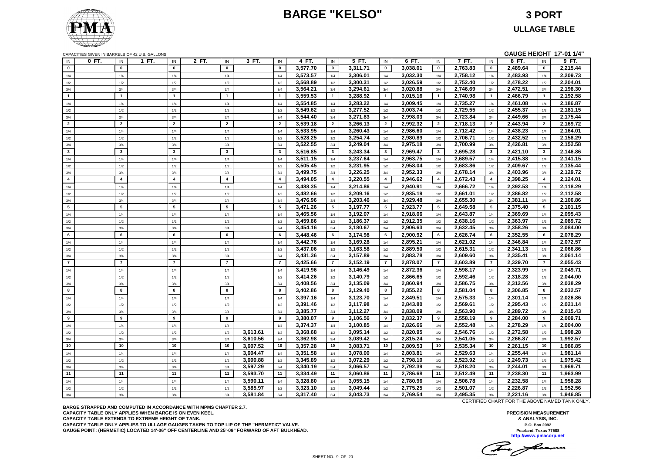### **BARGE "KELSO" 3 PORT**

CAPACITIES GIVEN IN BARRELS OF 42 U.S. GALLONS **GAUGE HEIGHT 17'-01 1/4"**

| $\mathbf 0$<br>3,577.70<br>3,311.71<br>3,038.01<br>2,763.83<br>2,489.64<br>$\mathbf{0}$<br>$\mathbf{0}$<br>$\mathbf 0$<br>$\mathbf 0$<br>$\mathbf{0}$<br>$\mathbf{0}$<br>$\mathbf{0}$<br>$\mathbf{0}$<br>$\mathbf 0$<br>3,573.57<br>3,032.30<br>2,758.12<br>2,483.93<br>3,306.01<br>1/4<br>1/4<br>1/4<br>1/4<br>1/4<br>1/4<br>1/4<br>1/4<br>1/4<br>1/4<br>3,568.89<br>3,300.31<br>3,026.59<br>2,752.40<br>2,478.22<br>1/2<br>1/2<br>1/2<br>1/2<br>1/2<br>1/2<br>1/2<br>1/2<br>1/2<br>1/2<br>3,564.21<br>3,294.61<br>3,020.88<br>2,746.69<br>2,472.51<br>3/4<br>3/4<br>3/4<br>3/4<br>3/4<br>3/4<br>3/4<br>3/4<br>3/4<br>3/4<br>3,559.53<br>3,288.92<br>3,015.16<br>2,740.98<br>2,466.79<br>$\mathbf{1}$<br>$\mathbf{1}$<br>$\mathbf{1}$<br>$\overline{1}$<br>$\overline{\mathbf{1}}$<br>$\mathbf{1}$<br>$\overline{1}$<br>$\mathbf{1}$<br>$\overline{1}$<br>$\overline{\mathbf{1}}$<br>3,554.85<br>3,283.22<br>2,735.27<br>2,461.08<br>2,186.87<br>3,009.45<br>1/4<br>1/4<br>1/4<br>1/4<br>1/4<br>1/4<br>1/4<br>1/4<br>1/4<br>1/4<br>3.549.62<br>3,277.52<br>3,003.74<br>2,729.55<br>2,455.37<br>1/2<br>1/2<br>1/2<br>1/2<br>1/2<br>1/2<br>1/2<br>1/2<br>1/2<br>1/2<br>3,271.83<br>2,723.84<br>3,544.40<br>2,998.03<br>2,449.66<br>3/4<br>3/4<br>3/4<br>3/4<br>3/4<br>3/4<br>3/4<br>3/4<br>3/4<br>3/4<br>$\overline{2}$<br>3,539.18<br>3,266.13<br>2,992.32<br>2,443.94<br>$\overline{2}$<br>$\overline{2}$<br>$\mathbf{2}$<br>$\overline{2}$<br>$\overline{2}$<br>$\overline{\mathbf{2}}$<br>$\overline{2}$<br>2,718.13<br>$\overline{\mathbf{2}}$<br>$\overline{2}$<br>3,533.95<br>2,712.42<br>2,438.23<br>3,260.43<br>2,986.60<br>1/4<br>$1/4$<br>$1/4$<br>1/4<br>1/4<br>1/4<br>$1/4$<br>1/4<br>1/4<br>1/4<br>3,528.25<br>3,254.74<br>2,980.89<br>2,706.71<br>2,432.52<br>1/2<br>1/2<br>1/2<br>1/2<br>1/2<br>1/2<br>1/2<br>1/2<br>1/2<br>1/2<br>3,522.55<br>2,975.18<br>3,249.04<br>2,700.99<br>2,426.81<br>3/4<br>3/4<br>3/4<br>3/4<br>3/4<br>3/4<br>3/4<br>3/4<br>3/4<br>3/4<br>3,516.85<br>3,243.34<br>2,969.47<br>2,695.28<br>2,421.10<br>$\mathbf{3}$<br>$\mathbf{3}$<br>$\mathbf{3}$<br>$\mathbf{3}$<br>$\mathbf{3}$<br>$\mathbf{3}$<br>$3^{\circ}$<br>$\mathbf{3}$<br>$\mathbf{3}$<br>$\mathbf{3}$<br>3,237.64<br>2,963.75<br>2,415.38<br>3,511.15<br>2,689.57<br>1/4<br>1/4<br>1/4<br>1/4<br>1/4<br>1/4<br>1/4<br>1/4<br>1/4<br>1/4<br>3,505.45<br>3,231.95<br>2,958.04<br>2,683.86<br>2,409.67<br>1/2<br>1/2<br>1/2<br>1/2<br>1/2<br>1/2<br>1/2<br>1/2<br>1/2<br>1/2<br>3,226.25<br>3,499.75<br>2,952.33<br>2,678.14<br>2,403.96<br>3/4<br>3/4<br>3/4<br>3/4<br>3/4<br>3/4<br>3/4<br>3/4<br>3/4<br>3/4<br>$\overline{4}$<br>$\overline{4}$<br>$\overline{\mathbf{4}}$<br>$\overline{\mathbf{4}}$<br>$\overline{4}$<br>3,494.05<br>$\overline{4}$<br>3,220.55<br>$\overline{4}$<br>2,946.62<br>2,672.43<br>$\overline{4}$<br>2,398.25<br>$\overline{4}$<br>2,124.01<br>$\overline{4}$<br>3.488.35<br>3,214.86<br>2,392.53<br>2,118.29<br>2,940.91<br>2,666.72<br>1/4<br>1/4<br>1/4<br>1/4<br>1/4<br>1/4<br>1/4<br>1/4<br>1/4<br>1/4 | 0 FT.<br>IN | IN    | 1 FT.<br>IN | 2 FT. | 3 FT.<br>IN | IN  | 4 FT.    | IN  | 5 FT.    | IN  | 6 FT.    | IN  | 7 FT.    | IN  | 8 FT.    | IN  | 9 FT.    |
|-----------------------------------------------------------------------------------------------------------------------------------------------------------------------------------------------------------------------------------------------------------------------------------------------------------------------------------------------------------------------------------------------------------------------------------------------------------------------------------------------------------------------------------------------------------------------------------------------------------------------------------------------------------------------------------------------------------------------------------------------------------------------------------------------------------------------------------------------------------------------------------------------------------------------------------------------------------------------------------------------------------------------------------------------------------------------------------------------------------------------------------------------------------------------------------------------------------------------------------------------------------------------------------------------------------------------------------------------------------------------------------------------------------------------------------------------------------------------------------------------------------------------------------------------------------------------------------------------------------------------------------------------------------------------------------------------------------------------------------------------------------------------------------------------------------------------------------------------------------------------------------------------------------------------------------------------------------------------------------------------------------------------------------------------------------------------------------------------------------------------------------------------------------------------------------------------------------------------------------------------------------------------------------------------------------------------------------------------------------------------------------------------------------------------------------------------------------------------------------------------------------------------------------------------------------------------------------------------------------------------------------------------------------------------------------------------------------------------------------------------------------------------------------------------------------------------------------------------------------------------------------------------------------------------------------------------------------------------------------------------------------------------------------------------|-------------|-------|-------------|-------|-------------|-----|----------|-----|----------|-----|----------|-----|----------|-----|----------|-----|----------|
|                                                                                                                                                                                                                                                                                                                                                                                                                                                                                                                                                                                                                                                                                                                                                                                                                                                                                                                                                                                                                                                                                                                                                                                                                                                                                                                                                                                                                                                                                                                                                                                                                                                                                                                                                                                                                                                                                                                                                                                                                                                                                                                                                                                                                                                                                                                                                                                                                                                                                                                                                                                                                                                                                                                                                                                                                                                                                                                                                                                                                                               |             |       |             |       |             |     |          |     |          |     |          |     |          |     |          |     | 2,215.44 |
|                                                                                                                                                                                                                                                                                                                                                                                                                                                                                                                                                                                                                                                                                                                                                                                                                                                                                                                                                                                                                                                                                                                                                                                                                                                                                                                                                                                                                                                                                                                                                                                                                                                                                                                                                                                                                                                                                                                                                                                                                                                                                                                                                                                                                                                                                                                                                                                                                                                                                                                                                                                                                                                                                                                                                                                                                                                                                                                                                                                                                                               |             |       |             |       |             |     |          |     |          |     |          |     |          |     |          |     | 2,209.73 |
|                                                                                                                                                                                                                                                                                                                                                                                                                                                                                                                                                                                                                                                                                                                                                                                                                                                                                                                                                                                                                                                                                                                                                                                                                                                                                                                                                                                                                                                                                                                                                                                                                                                                                                                                                                                                                                                                                                                                                                                                                                                                                                                                                                                                                                                                                                                                                                                                                                                                                                                                                                                                                                                                                                                                                                                                                                                                                                                                                                                                                                               |             |       |             |       |             |     |          |     |          |     |          |     |          |     |          |     | 2,204.01 |
|                                                                                                                                                                                                                                                                                                                                                                                                                                                                                                                                                                                                                                                                                                                                                                                                                                                                                                                                                                                                                                                                                                                                                                                                                                                                                                                                                                                                                                                                                                                                                                                                                                                                                                                                                                                                                                                                                                                                                                                                                                                                                                                                                                                                                                                                                                                                                                                                                                                                                                                                                                                                                                                                                                                                                                                                                                                                                                                                                                                                                                               |             |       |             |       |             |     |          |     |          |     |          |     |          |     |          |     | 2,198.30 |
|                                                                                                                                                                                                                                                                                                                                                                                                                                                                                                                                                                                                                                                                                                                                                                                                                                                                                                                                                                                                                                                                                                                                                                                                                                                                                                                                                                                                                                                                                                                                                                                                                                                                                                                                                                                                                                                                                                                                                                                                                                                                                                                                                                                                                                                                                                                                                                                                                                                                                                                                                                                                                                                                                                                                                                                                                                                                                                                                                                                                                                               |             |       |             |       |             |     |          |     |          |     |          |     |          |     |          |     | 2,192.58 |
|                                                                                                                                                                                                                                                                                                                                                                                                                                                                                                                                                                                                                                                                                                                                                                                                                                                                                                                                                                                                                                                                                                                                                                                                                                                                                                                                                                                                                                                                                                                                                                                                                                                                                                                                                                                                                                                                                                                                                                                                                                                                                                                                                                                                                                                                                                                                                                                                                                                                                                                                                                                                                                                                                                                                                                                                                                                                                                                                                                                                                                               |             |       |             |       |             |     |          |     |          |     |          |     |          |     |          |     |          |
|                                                                                                                                                                                                                                                                                                                                                                                                                                                                                                                                                                                                                                                                                                                                                                                                                                                                                                                                                                                                                                                                                                                                                                                                                                                                                                                                                                                                                                                                                                                                                                                                                                                                                                                                                                                                                                                                                                                                                                                                                                                                                                                                                                                                                                                                                                                                                                                                                                                                                                                                                                                                                                                                                                                                                                                                                                                                                                                                                                                                                                               |             |       |             |       |             |     |          |     |          |     |          |     |          |     |          |     | 2,181.15 |
|                                                                                                                                                                                                                                                                                                                                                                                                                                                                                                                                                                                                                                                                                                                                                                                                                                                                                                                                                                                                                                                                                                                                                                                                                                                                                                                                                                                                                                                                                                                                                                                                                                                                                                                                                                                                                                                                                                                                                                                                                                                                                                                                                                                                                                                                                                                                                                                                                                                                                                                                                                                                                                                                                                                                                                                                                                                                                                                                                                                                                                               |             |       |             |       |             |     |          |     |          |     |          |     |          |     |          |     | 2,175.44 |
|                                                                                                                                                                                                                                                                                                                                                                                                                                                                                                                                                                                                                                                                                                                                                                                                                                                                                                                                                                                                                                                                                                                                                                                                                                                                                                                                                                                                                                                                                                                                                                                                                                                                                                                                                                                                                                                                                                                                                                                                                                                                                                                                                                                                                                                                                                                                                                                                                                                                                                                                                                                                                                                                                                                                                                                                                                                                                                                                                                                                                                               |             |       |             |       |             |     |          |     |          |     |          |     |          |     |          |     | 2,169.72 |
|                                                                                                                                                                                                                                                                                                                                                                                                                                                                                                                                                                                                                                                                                                                                                                                                                                                                                                                                                                                                                                                                                                                                                                                                                                                                                                                                                                                                                                                                                                                                                                                                                                                                                                                                                                                                                                                                                                                                                                                                                                                                                                                                                                                                                                                                                                                                                                                                                                                                                                                                                                                                                                                                                                                                                                                                                                                                                                                                                                                                                                               |             |       |             |       |             |     |          |     |          |     |          |     |          |     |          |     | 2,164.01 |
|                                                                                                                                                                                                                                                                                                                                                                                                                                                                                                                                                                                                                                                                                                                                                                                                                                                                                                                                                                                                                                                                                                                                                                                                                                                                                                                                                                                                                                                                                                                                                                                                                                                                                                                                                                                                                                                                                                                                                                                                                                                                                                                                                                                                                                                                                                                                                                                                                                                                                                                                                                                                                                                                                                                                                                                                                                                                                                                                                                                                                                               |             |       |             |       |             |     |          |     |          |     |          |     |          |     |          |     | 2,158.29 |
|                                                                                                                                                                                                                                                                                                                                                                                                                                                                                                                                                                                                                                                                                                                                                                                                                                                                                                                                                                                                                                                                                                                                                                                                                                                                                                                                                                                                                                                                                                                                                                                                                                                                                                                                                                                                                                                                                                                                                                                                                                                                                                                                                                                                                                                                                                                                                                                                                                                                                                                                                                                                                                                                                                                                                                                                                                                                                                                                                                                                                                               |             |       |             |       |             |     |          |     |          |     |          |     |          |     |          |     | 2,152.58 |
|                                                                                                                                                                                                                                                                                                                                                                                                                                                                                                                                                                                                                                                                                                                                                                                                                                                                                                                                                                                                                                                                                                                                                                                                                                                                                                                                                                                                                                                                                                                                                                                                                                                                                                                                                                                                                                                                                                                                                                                                                                                                                                                                                                                                                                                                                                                                                                                                                                                                                                                                                                                                                                                                                                                                                                                                                                                                                                                                                                                                                                               |             |       |             |       |             |     |          |     |          |     |          |     |          |     |          |     | 2,146.86 |
|                                                                                                                                                                                                                                                                                                                                                                                                                                                                                                                                                                                                                                                                                                                                                                                                                                                                                                                                                                                                                                                                                                                                                                                                                                                                                                                                                                                                                                                                                                                                                                                                                                                                                                                                                                                                                                                                                                                                                                                                                                                                                                                                                                                                                                                                                                                                                                                                                                                                                                                                                                                                                                                                                                                                                                                                                                                                                                                                                                                                                                               |             |       |             |       |             |     |          |     |          |     |          |     |          |     |          |     | 2,141.15 |
|                                                                                                                                                                                                                                                                                                                                                                                                                                                                                                                                                                                                                                                                                                                                                                                                                                                                                                                                                                                                                                                                                                                                                                                                                                                                                                                                                                                                                                                                                                                                                                                                                                                                                                                                                                                                                                                                                                                                                                                                                                                                                                                                                                                                                                                                                                                                                                                                                                                                                                                                                                                                                                                                                                                                                                                                                                                                                                                                                                                                                                               |             |       |             |       |             |     |          |     |          |     |          |     |          |     |          |     | 2,135.44 |
|                                                                                                                                                                                                                                                                                                                                                                                                                                                                                                                                                                                                                                                                                                                                                                                                                                                                                                                                                                                                                                                                                                                                                                                                                                                                                                                                                                                                                                                                                                                                                                                                                                                                                                                                                                                                                                                                                                                                                                                                                                                                                                                                                                                                                                                                                                                                                                                                                                                                                                                                                                                                                                                                                                                                                                                                                                                                                                                                                                                                                                               |             |       |             |       |             |     |          |     |          |     |          |     |          |     |          |     | 2,129.72 |
|                                                                                                                                                                                                                                                                                                                                                                                                                                                                                                                                                                                                                                                                                                                                                                                                                                                                                                                                                                                                                                                                                                                                                                                                                                                                                                                                                                                                                                                                                                                                                                                                                                                                                                                                                                                                                                                                                                                                                                                                                                                                                                                                                                                                                                                                                                                                                                                                                                                                                                                                                                                                                                                                                                                                                                                                                                                                                                                                                                                                                                               |             |       |             |       |             |     |          |     |          |     |          |     |          |     |          |     |          |
|                                                                                                                                                                                                                                                                                                                                                                                                                                                                                                                                                                                                                                                                                                                                                                                                                                                                                                                                                                                                                                                                                                                                                                                                                                                                                                                                                                                                                                                                                                                                                                                                                                                                                                                                                                                                                                                                                                                                                                                                                                                                                                                                                                                                                                                                                                                                                                                                                                                                                                                                                                                                                                                                                                                                                                                                                                                                                                                                                                                                                                               |             |       |             |       |             |     |          |     |          |     |          |     |          |     |          |     |          |
|                                                                                                                                                                                                                                                                                                                                                                                                                                                                                                                                                                                                                                                                                                                                                                                                                                                                                                                                                                                                                                                                                                                                                                                                                                                                                                                                                                                                                                                                                                                                                                                                                                                                                                                                                                                                                                                                                                                                                                                                                                                                                                                                                                                                                                                                                                                                                                                                                                                                                                                                                                                                                                                                                                                                                                                                                                                                                                                                                                                                                                               | 1/2         | $1/2$ | $1/2$       |       | 1/2         | 1/2 | 3,482.66 | 1/2 | 3,209.16 | 1/2 | 2,935.19 | 1/2 | 2,661.01 | 1/2 | 2,386.82 | 1/2 | 2,112.58 |
| 2,929.48<br>3,476.96<br>3,203.46<br>2,655.30<br>2,381.11<br>3/4<br>3/4<br>3/4<br>3/4<br>3/4<br>3/4<br>3/4<br>3/4<br>3/4<br>3/4                                                                                                                                                                                                                                                                                                                                                                                                                                                                                                                                                                                                                                                                                                                                                                                                                                                                                                                                                                                                                                                                                                                                                                                                                                                                                                                                                                                                                                                                                                                                                                                                                                                                                                                                                                                                                                                                                                                                                                                                                                                                                                                                                                                                                                                                                                                                                                                                                                                                                                                                                                                                                                                                                                                                                                                                                                                                                                                |             |       |             |       |             |     |          |     |          |     |          |     |          |     |          |     | 2,106.86 |
| $5\phantom{.0}$<br>5<br>5<br>5<br>5<br>5<br>3,197.77<br>2,923.77<br>2,375.40<br>3,471.26<br>5<br>5<br>2,649.58<br>5<br>5                                                                                                                                                                                                                                                                                                                                                                                                                                                                                                                                                                                                                                                                                                                                                                                                                                                                                                                                                                                                                                                                                                                                                                                                                                                                                                                                                                                                                                                                                                                                                                                                                                                                                                                                                                                                                                                                                                                                                                                                                                                                                                                                                                                                                                                                                                                                                                                                                                                                                                                                                                                                                                                                                                                                                                                                                                                                                                                      |             |       |             |       |             |     |          |     |          |     |          |     |          |     |          |     | 2,101.15 |
| 3,465.56<br>3,192.07<br>2,918.06<br>2,643.87<br>2,369.69<br>1/4<br>1/4<br>1/4<br>1/4<br>1/4<br>1/4<br>1/4<br>1/4<br>1/4<br>1/4                                                                                                                                                                                                                                                                                                                                                                                                                                                                                                                                                                                                                                                                                                                                                                                                                                                                                                                                                                                                                                                                                                                                                                                                                                                                                                                                                                                                                                                                                                                                                                                                                                                                                                                                                                                                                                                                                                                                                                                                                                                                                                                                                                                                                                                                                                                                                                                                                                                                                                                                                                                                                                                                                                                                                                                                                                                                                                                |             |       |             |       |             |     |          |     |          |     |          |     |          |     |          |     | 2,095.43 |
| 3,459.86<br>3,186.37<br>2,912.35<br>2,638.16<br>2,363.97<br>$1/2$<br>$1/2$<br>1/2<br>1/2<br>1/2<br>1/2<br>1/2<br>1/2<br>1/2<br>1/2                                                                                                                                                                                                                                                                                                                                                                                                                                                                                                                                                                                                                                                                                                                                                                                                                                                                                                                                                                                                                                                                                                                                                                                                                                                                                                                                                                                                                                                                                                                                                                                                                                                                                                                                                                                                                                                                                                                                                                                                                                                                                                                                                                                                                                                                                                                                                                                                                                                                                                                                                                                                                                                                                                                                                                                                                                                                                                            |             |       |             |       |             |     |          |     |          |     |          |     |          |     |          |     | 2,089.72 |
| 3,454.16<br>3,180.67<br>2,906.63<br>2,632.45<br>2,358.26<br>3/4<br>3/4<br>3/4<br>3/4<br>3/4<br>3/4<br>3/4<br>3/4<br>3/4<br>3/4                                                                                                                                                                                                                                                                                                                                                                                                                                                                                                                                                                                                                                                                                                                                                                                                                                                                                                                                                                                                                                                                                                                                                                                                                                                                                                                                                                                                                                                                                                                                                                                                                                                                                                                                                                                                                                                                                                                                                                                                                                                                                                                                                                                                                                                                                                                                                                                                                                                                                                                                                                                                                                                                                                                                                                                                                                                                                                                |             |       |             |       |             |     |          |     |          |     |          |     |          |     |          |     | 2,084.00 |
| 2,352.55<br>6<br>3,448.46<br>3,174.98<br>2,900.92<br>2,626.74<br>6<br>6<br>6<br>6<br>6<br>6<br>6<br>6<br>6                                                                                                                                                                                                                                                                                                                                                                                                                                                                                                                                                                                                                                                                                                                                                                                                                                                                                                                                                                                                                                                                                                                                                                                                                                                                                                                                                                                                                                                                                                                                                                                                                                                                                                                                                                                                                                                                                                                                                                                                                                                                                                                                                                                                                                                                                                                                                                                                                                                                                                                                                                                                                                                                                                                                                                                                                                                                                                                                    |             |       |             |       |             |     |          |     |          |     |          |     |          |     |          |     | 2,078.29 |
| 3,442.76<br>3,169.28<br>2,895.21<br>2,346.84<br>2,621.02<br>1/4<br>1/4<br>1/4<br>1/4<br>1/4<br>1/4<br>1/4<br>1/4<br>1/4<br>1/4                                                                                                                                                                                                                                                                                                                                                                                                                                                                                                                                                                                                                                                                                                                                                                                                                                                                                                                                                                                                                                                                                                                                                                                                                                                                                                                                                                                                                                                                                                                                                                                                                                                                                                                                                                                                                                                                                                                                                                                                                                                                                                                                                                                                                                                                                                                                                                                                                                                                                                                                                                                                                                                                                                                                                                                                                                                                                                                |             |       |             |       |             |     |          |     |          |     |          |     |          |     |          |     | 2,072.57 |
| 3,437.06<br>3,163.58<br>2,889.50<br>2,615.31<br>2,341.13<br>1/2<br>1/2<br>1/2<br>1/2<br>1/2<br>1/2<br>$1/2$<br>1/2<br>1/2<br>1/2                                                                                                                                                                                                                                                                                                                                                                                                                                                                                                                                                                                                                                                                                                                                                                                                                                                                                                                                                                                                                                                                                                                                                                                                                                                                                                                                                                                                                                                                                                                                                                                                                                                                                                                                                                                                                                                                                                                                                                                                                                                                                                                                                                                                                                                                                                                                                                                                                                                                                                                                                                                                                                                                                                                                                                                                                                                                                                              |             |       |             |       |             |     |          |     |          |     |          |     |          |     |          |     | 2,066.86 |
| 3,431.36<br>3,157.89<br>2,883.78<br>2,609.60<br>2,335.41<br>3/4<br>3/4<br>3/4<br>3/4<br>3/4<br>3/4<br>3/4<br>3/4<br>3/4<br>3/4                                                                                                                                                                                                                                                                                                                                                                                                                                                                                                                                                                                                                                                                                                                                                                                                                                                                                                                                                                                                                                                                                                                                                                                                                                                                                                                                                                                                                                                                                                                                                                                                                                                                                                                                                                                                                                                                                                                                                                                                                                                                                                                                                                                                                                                                                                                                                                                                                                                                                                                                                                                                                                                                                                                                                                                                                                                                                                                |             |       |             |       |             |     |          |     |          |     |          |     |          |     |          |     | 2,061.14 |
| $\overline{7}$<br>$\overline{7}$<br>$\overline{7}$<br>$\overline{7}$<br>$\overline{7}$<br>3,425.66<br>$\overline{7}$<br>3,152.19<br>$\overline{7}$<br>2,878.07<br>$\overline{7}$<br>2,329.70<br>$\overline{7}$<br>$\overline{7}$<br>2,603.89                                                                                                                                                                                                                                                                                                                                                                                                                                                                                                                                                                                                                                                                                                                                                                                                                                                                                                                                                                                                                                                                                                                                                                                                                                                                                                                                                                                                                                                                                                                                                                                                                                                                                                                                                                                                                                                                                                                                                                                                                                                                                                                                                                                                                                                                                                                                                                                                                                                                                                                                                                                                                                                                                                                                                                                                  |             |       |             |       |             |     |          |     |          |     |          |     |          |     |          |     | 2,055.43 |
| 3,146.49<br>2,872.36<br>2,323.99<br>3,419.96<br>2,598.17<br>1/4<br>1/4<br>1/4<br>1/4<br>1/4<br>1/4<br>1/4<br>1/4<br>1/4<br>1/4                                                                                                                                                                                                                                                                                                                                                                                                                                                                                                                                                                                                                                                                                                                                                                                                                                                                                                                                                                                                                                                                                                                                                                                                                                                                                                                                                                                                                                                                                                                                                                                                                                                                                                                                                                                                                                                                                                                                                                                                                                                                                                                                                                                                                                                                                                                                                                                                                                                                                                                                                                                                                                                                                                                                                                                                                                                                                                                |             |       |             |       |             |     |          |     |          |     |          |     |          |     |          |     | 2,049.71 |
| 3,414.26<br>3,140.79<br>2,866.65<br>2,592.46<br>2,318.28<br>1/2<br>1/2<br>1/2<br>1/2<br>1/2<br>1/2<br>1/2<br>1/2<br>1/2<br>1/2                                                                                                                                                                                                                                                                                                                                                                                                                                                                                                                                                                                                                                                                                                                                                                                                                                                                                                                                                                                                                                                                                                                                                                                                                                                                                                                                                                                                                                                                                                                                                                                                                                                                                                                                                                                                                                                                                                                                                                                                                                                                                                                                                                                                                                                                                                                                                                                                                                                                                                                                                                                                                                                                                                                                                                                                                                                                                                                |             |       |             |       |             |     |          |     |          |     |          |     |          |     |          |     | 2,044.00 |
| 3,408.56<br>3,135.09<br>2,860.94<br>2,586.75<br>2,312.56<br>3/4<br>3/4<br>3/4<br>3/4<br>3/4<br>3/4<br>3/4<br>3/4<br>3/4<br>3/4                                                                                                                                                                                                                                                                                                                                                                                                                                                                                                                                                                                                                                                                                                                                                                                                                                                                                                                                                                                                                                                                                                                                                                                                                                                                                                                                                                                                                                                                                                                                                                                                                                                                                                                                                                                                                                                                                                                                                                                                                                                                                                                                                                                                                                                                                                                                                                                                                                                                                                                                                                                                                                                                                                                                                                                                                                                                                                                |             |       |             |       |             |     |          |     |          |     |          |     |          |     |          |     | 2,038.29 |
| 8<br>8<br>8<br>8<br>8<br>3,402.86<br>8<br>3,129.40<br>8<br>2,855.22<br>2,581.04<br>8<br>2,306.85<br>8<br>8                                                                                                                                                                                                                                                                                                                                                                                                                                                                                                                                                                                                                                                                                                                                                                                                                                                                                                                                                                                                                                                                                                                                                                                                                                                                                                                                                                                                                                                                                                                                                                                                                                                                                                                                                                                                                                                                                                                                                                                                                                                                                                                                                                                                                                                                                                                                                                                                                                                                                                                                                                                                                                                                                                                                                                                                                                                                                                                                    |             |       |             |       |             |     |          |     |          |     |          |     |          |     |          |     | 2,032.57 |
| 3,397.16<br>3,123.70<br>2,849.51<br>2,575.33<br>2,301.14<br>1/4<br>1/4<br>1/4<br>1/4<br>1/4<br>1/4<br>1/4<br>1/4<br>1/4<br>1/4                                                                                                                                                                                                                                                                                                                                                                                                                                                                                                                                                                                                                                                                                                                                                                                                                                                                                                                                                                                                                                                                                                                                                                                                                                                                                                                                                                                                                                                                                                                                                                                                                                                                                                                                                                                                                                                                                                                                                                                                                                                                                                                                                                                                                                                                                                                                                                                                                                                                                                                                                                                                                                                                                                                                                                                                                                                                                                                |             |       |             |       |             |     |          |     |          |     |          |     |          |     |          |     | 2,026.86 |
| 3,391.46<br>3,117.98<br>2,843.80<br>2,569.61<br>2,295.43<br>1/2<br>1/2<br>1/2<br>1/2<br>1/2<br>1/2<br>1/2<br>1/2<br>1/2<br>1/2                                                                                                                                                                                                                                                                                                                                                                                                                                                                                                                                                                                                                                                                                                                                                                                                                                                                                                                                                                                                                                                                                                                                                                                                                                                                                                                                                                                                                                                                                                                                                                                                                                                                                                                                                                                                                                                                                                                                                                                                                                                                                                                                                                                                                                                                                                                                                                                                                                                                                                                                                                                                                                                                                                                                                                                                                                                                                                                |             |       |             |       |             |     |          |     |          |     |          |     |          |     |          |     | 2,021.14 |
| 2,838.09<br>2,289.72<br>3,385.77<br>3,112.27<br>2,563.90<br>3/4<br>3/4<br>3/4<br>3/4<br>3/4<br>3/4<br>3/4<br>3/4<br>3/4<br>3/4                                                                                                                                                                                                                                                                                                                                                                                                                                                                                                                                                                                                                                                                                                                                                                                                                                                                                                                                                                                                                                                                                                                                                                                                                                                                                                                                                                                                                                                                                                                                                                                                                                                                                                                                                                                                                                                                                                                                                                                                                                                                                                                                                                                                                                                                                                                                                                                                                                                                                                                                                                                                                                                                                                                                                                                                                                                                                                                |             |       |             |       |             |     |          |     |          |     |          |     |          |     |          |     | 2,015.43 |
| 9<br>9<br>3,380.07<br>3,106.56<br>2,832.37<br>2,558.19<br>2,284.00<br>9<br>9<br>9<br>9<br>9<br>9<br>9<br>9                                                                                                                                                                                                                                                                                                                                                                                                                                                                                                                                                                                                                                                                                                                                                                                                                                                                                                                                                                                                                                                                                                                                                                                                                                                                                                                                                                                                                                                                                                                                                                                                                                                                                                                                                                                                                                                                                                                                                                                                                                                                                                                                                                                                                                                                                                                                                                                                                                                                                                                                                                                                                                                                                                                                                                                                                                                                                                                                    |             |       |             |       |             |     |          |     |          |     |          |     |          |     |          |     | 2,009.71 |
| 3,374.37<br>3,100.85<br>2,826.66<br>2,552.48<br>2,278.29<br>1/4<br>$1/4$<br>1/4<br>1/4<br>1/4<br>1/4<br>1/4<br>1/4<br>1/4<br>1/4                                                                                                                                                                                                                                                                                                                                                                                                                                                                                                                                                                                                                                                                                                                                                                                                                                                                                                                                                                                                                                                                                                                                                                                                                                                                                                                                                                                                                                                                                                                                                                                                                                                                                                                                                                                                                                                                                                                                                                                                                                                                                                                                                                                                                                                                                                                                                                                                                                                                                                                                                                                                                                                                                                                                                                                                                                                                                                              |             |       |             |       |             |     |          |     |          |     |          |     |          |     |          |     | 2,004.00 |
| 2,820.95<br>2,272.58<br>3,613.61<br>3,368.68<br>3,095.14<br>2,546.76<br>1/2<br>1/2<br>$1/2$<br>1/2<br>1/2<br>1/2<br>1/2<br>1/2<br>1/2<br>1/2                                                                                                                                                                                                                                                                                                                                                                                                                                                                                                                                                                                                                                                                                                                                                                                                                                                                                                                                                                                                                                                                                                                                                                                                                                                                                                                                                                                                                                                                                                                                                                                                                                                                                                                                                                                                                                                                                                                                                                                                                                                                                                                                                                                                                                                                                                                                                                                                                                                                                                                                                                                                                                                                                                                                                                                                                                                                                                  |             |       |             |       |             |     |          |     |          |     |          |     |          |     |          |     | 1,998.28 |
| 2,266.87<br>3,610.56<br>3,362.98<br>3,089.42<br>2,815.24<br>2,541.05<br>3/4<br>3/4<br>3/4<br>3/4<br>3/4<br>3/4<br>3/4<br>3/4<br>3/4<br>3/4                                                                                                                                                                                                                                                                                                                                                                                                                                                                                                                                                                                                                                                                                                                                                                                                                                                                                                                                                                                                                                                                                                                                                                                                                                                                                                                                                                                                                                                                                                                                                                                                                                                                                                                                                                                                                                                                                                                                                                                                                                                                                                                                                                                                                                                                                                                                                                                                                                                                                                                                                                                                                                                                                                                                                                                                                                                                                                    |             |       |             |       |             |     |          |     |          |     |          |     |          |     |          |     | 1,992.57 |
| 10<br>10<br>10 <sup>1</sup><br>3,357.28<br>2,535.34<br>10<br>3.607.52<br>10<br>10<br>3,083.71<br>2,809.53<br>10<br>2,261.15<br>10<br>10<br>10                                                                                                                                                                                                                                                                                                                                                                                                                                                                                                                                                                                                                                                                                                                                                                                                                                                                                                                                                                                                                                                                                                                                                                                                                                                                                                                                                                                                                                                                                                                                                                                                                                                                                                                                                                                                                                                                                                                                                                                                                                                                                                                                                                                                                                                                                                                                                                                                                                                                                                                                                                                                                                                                                                                                                                                                                                                                                                 |             |       |             |       |             |     |          |     |          |     |          |     |          |     |          |     | 1,986.85 |
| 2,255.44<br>3,604.47<br>3,351.58<br>3,078.00<br>2,803.81<br>2,529.63<br>1/4<br>$1/4$<br>1/4<br>1/4<br>1/4<br>1/4<br>1/4<br>1/4<br>1/4<br>1/4                                                                                                                                                                                                                                                                                                                                                                                                                                                                                                                                                                                                                                                                                                                                                                                                                                                                                                                                                                                                                                                                                                                                                                                                                                                                                                                                                                                                                                                                                                                                                                                                                                                                                                                                                                                                                                                                                                                                                                                                                                                                                                                                                                                                                                                                                                                                                                                                                                                                                                                                                                                                                                                                                                                                                                                                                                                                                                  |             |       |             |       |             |     |          |     |          |     |          |     |          |     |          |     | 1,981.14 |
| 2,798.10<br>2,523.92<br>2,249.73<br>3,600.88<br>3,345.89<br>3,072.29<br>1/2<br>1/2<br>1/2<br>1/2<br>1/2<br>1/2<br>1/2<br>1/2<br>1/2<br>1/2                                                                                                                                                                                                                                                                                                                                                                                                                                                                                                                                                                                                                                                                                                                                                                                                                                                                                                                                                                                                                                                                                                                                                                                                                                                                                                                                                                                                                                                                                                                                                                                                                                                                                                                                                                                                                                                                                                                                                                                                                                                                                                                                                                                                                                                                                                                                                                                                                                                                                                                                                                                                                                                                                                                                                                                                                                                                                                    |             |       |             |       |             |     |          |     |          |     |          |     |          |     |          |     | 1,975.42 |
| 3,597.29<br>3,340.19<br>3,066.57<br>2,792.39<br>2,518.20<br>2,244.01<br>3/4<br>3/4<br>3/4<br>3/4<br>3/4<br>3/4<br>3/4<br>3/4<br>3/4<br>3/4                                                                                                                                                                                                                                                                                                                                                                                                                                                                                                                                                                                                                                                                                                                                                                                                                                                                                                                                                                                                                                                                                                                                                                                                                                                                                                                                                                                                                                                                                                                                                                                                                                                                                                                                                                                                                                                                                                                                                                                                                                                                                                                                                                                                                                                                                                                                                                                                                                                                                                                                                                                                                                                                                                                                                                                                                                                                                                    |             |       |             |       |             |     |          |     |          |     |          |     |          |     |          |     | 1,969.71 |
| 3,593.70<br>2,786.68<br>2,238.30<br>11<br>11<br>11<br>11<br>3,334.49<br>11<br>3,060.86<br>2,512.49<br>11<br>11<br>11<br>11<br>11                                                                                                                                                                                                                                                                                                                                                                                                                                                                                                                                                                                                                                                                                                                                                                                                                                                                                                                                                                                                                                                                                                                                                                                                                                                                                                                                                                                                                                                                                                                                                                                                                                                                                                                                                                                                                                                                                                                                                                                                                                                                                                                                                                                                                                                                                                                                                                                                                                                                                                                                                                                                                                                                                                                                                                                                                                                                                                              |             |       |             |       |             |     |          |     |          |     |          |     |          |     |          |     | 1,963.99 |
| 3,055.15<br>3,590.11<br>3,328.80<br>2,780.96<br>2,506.78<br>2,232.58<br>1/4<br>1/4<br>1/4<br>1/4<br>1/4<br>1/4<br>1/4<br>1/4<br>1/4<br>1/4                                                                                                                                                                                                                                                                                                                                                                                                                                                                                                                                                                                                                                                                                                                                                                                                                                                                                                                                                                                                                                                                                                                                                                                                                                                                                                                                                                                                                                                                                                                                                                                                                                                                                                                                                                                                                                                                                                                                                                                                                                                                                                                                                                                                                                                                                                                                                                                                                                                                                                                                                                                                                                                                                                                                                                                                                                                                                                    |             |       |             |       |             |     |          |     |          |     |          |     |          |     |          |     | 1,958.28 |
| 3,585.97<br>3,323.10<br>3.049.44<br>2,775.25<br>2,501.07<br>2,226.87<br>1/2<br>1/2<br>1/2<br>1/2<br>1/2<br>1/2<br>1/2<br>1/2<br>1/2<br>1/2                                                                                                                                                                                                                                                                                                                                                                                                                                                                                                                                                                                                                                                                                                                                                                                                                                                                                                                                                                                                                                                                                                                                                                                                                                                                                                                                                                                                                                                                                                                                                                                                                                                                                                                                                                                                                                                                                                                                                                                                                                                                                                                                                                                                                                                                                                                                                                                                                                                                                                                                                                                                                                                                                                                                                                                                                                                                                                    |             |       |             |       |             |     |          |     |          |     |          |     |          |     |          |     | 1,952.56 |
| 3,581.84<br>3,043.73<br>2,769.54<br>2,495.35<br>2,221.16<br>1,946.85<br>3/4<br>3,317.40<br>3/4<br>3/4<br>3/4<br>3/4<br>3/4<br>3/4<br>3/4<br>3/4<br>3/4                                                                                                                                                                                                                                                                                                                                                                                                                                                                                                                                                                                                                                                                                                                                                                                                                                                                                                                                                                                                                                                                                                                                                                                                                                                                                                                                                                                                                                                                                                                                                                                                                                                                                                                                                                                                                                                                                                                                                                                                                                                                                                                                                                                                                                                                                                                                                                                                                                                                                                                                                                                                                                                                                                                                                                                                                                                                                        |             |       |             |       |             |     |          |     |          |     |          |     |          |     |          |     |          |

**BARGE STRAPPED AND COMPUTED IN ACCORDANCE WITH MPMS CHAPTER 2.7. CAPACITY TABLE ONLY APPLIES WHEN BARGE IS ON EVEN KEEL. CAPACITY TABLE EXTENDS TO EXTREME HEIGHT OF TANK. CAPACITY TABLE ONLY APPLIES TO ULLAGE GAUGES TAKEN TO TOP LIP OF THE "HERMETIC" VALVE. GAUGE POINT: (HERMETIC) LOCATED 14'-06" OFF CENTERLINE AND 25'-09" FORWARD OF AFT BULKHEAD.** CERTIFIED CHART FOR THE ABOVE NAMED TANK ONLY.

This floam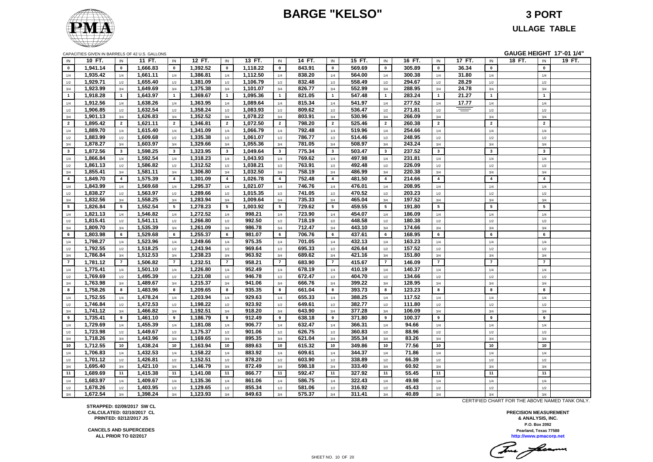### **BARGE "KELSO" 3 PORT**



**ULLAGE TABLE**

|  | CAPACITIES GIVEN IN BARRELS OF 42 U.S. GALLONS |  |  |  |  |  |
|--|------------------------------------------------|--|--|--|--|--|
|--|------------------------------------------------|--|--|--|--|--|

|                | CAPACITIES GIVEN IN BARRELS OF 42 U.S. GALLONS |                |          |                |          |                |          |                |        |                         |        |                |        |                |        |                         | GAUGE HEIGHT 17'-01 1/4" |        |
|----------------|------------------------------------------------|----------------|----------|----------------|----------|----------------|----------|----------------|--------|-------------------------|--------|----------------|--------|----------------|--------|-------------------------|--------------------------|--------|
| IN             | 10 FT.                                         | IN             | 11 FT.   | IN             | 12 FT.   | IN             | 13 FT.   | IN             | 14 FT. | IN                      | 15 FT. | IN             | 16 FT. | IN             | 17 FT. | IN                      | 18 FT.<br>IN             | 19 FT. |
| $\bf{0}$       | 1,941.14                                       | $\mathbf 0$    | 1,666.83 | $\mathbf 0$    | 1,392.52 | $\mathbf 0$    | 1,118.22 | $\mathbf 0$    | 843.91 | $\mathbf 0$             | 569.69 | $\mathbf 0$    | 305.89 | $\mathbf 0$    | 36.34  | $\mathbf 0$             | $\mathbf 0$              |        |
| 1/4            | 1,935.42                                       | 1/4            | 1,661.11 | 1/4            | 1,386.81 | 1/4            | 1,112.50 | 1/4            | 838.20 | 1/4                     | 564.00 | 1/4            | 300.38 | 1/4            | 31.80  | 1/4                     | 1/4                      |        |
| 1/2            | 1,929.71                                       | 1/2            | 1,655.40 | $1/2$          | 1,381.09 | 1/2            | 1,106.79 | 1/2            | 832.48 | 1/2                     | 558.49 | 1/2            | 294.67 | 1/2            | 28.29  | 1/2                     | $1/2$                    |        |
| 3/4            | 1,923.99                                       | 3/4            | 1,649.69 | 3/4            | 1,375.38 | 3/4            | 1,101.07 | 3/4            | 826.77 | 3/4                     | 552.99 | 3/4            | 288.95 | 3/4            | 24.78  | 3/4                     | 3/4                      |        |
| $\overline{1}$ | 1,918.28                                       | $\overline{1}$ | 1,643.97 | $\mathbf{1}$   | 1,369.67 | $\overline{1}$ | 1,095.36 | $\overline{1}$ | 821.05 | $\overline{1}$          | 547.48 | $\overline{1}$ | 283.24 | $\overline{1}$ | 21.27  | $\overline{1}$          | $\overline{1}$           |        |
| 1/4            | 1,912.56                                       | 1/4            | 1,638.26 | 1/4            | 1,363.95 | 1/4            | 1,089.64 | 1/4            | 815.34 | 1/4                     | 541.97 | 1/4            | 277.52 | 1/4            | 17.77  | 1/4                     | 1/4                      |        |
| 1/2            | 1,906.85                                       | 1/2            | 1,632.54 | $1/2$          | 1,358.24 | 1/2            | 1,083.93 | 1/2            | 809.62 | 1/2                     | 536.47 | 1/2            | 271.81 | 1/2            | $=$    | 1/2                     | $1/2$                    |        |
| 3/4            | 1,901.13                                       | 3/4            | 1,626.83 | 3/4            | 1,352.52 | 3/4            | 1,078.22 | 3/4            | 803.91 | 3/4                     | 530.96 | 3/4            | 266.09 | 3/4            |        | 3/4                     | 3/4                      |        |
| $\overline{2}$ | 1,895.42                                       | $\overline{2}$ | 1,621.11 | $\overline{2}$ | 1,346.81 | $\overline{2}$ | 1,072.50 | $\overline{2}$ | 798.20 | $\overline{2}$          | 525.46 | $\overline{2}$ | 260.38 | $\overline{2}$ |        | $\overline{2}$          | $\overline{2}$           |        |
| 1/4            | 1,889.70                                       | 1/4            | 1,615.40 | 1/4            | 1,341.09 | 1/4            | 1,066.79 | 1/4            | 792.48 | 1/4                     | 519.96 | 1/4            | 254.66 | 1/4            |        | 1/4                     | 1/4                      |        |
| 1/2            | 1,883.99                                       | 1/2            | 1,609.68 | 1/2            | 1,335.38 | 1/2            | 1,061.07 | 1/2            | 786.77 | 1/2                     | 514.46 | 1/2            | 248.95 | 1/2            |        | 1/2                     | 1/2                      |        |
| 3/4            | 1,878.27                                       | 3/4            | 1,603.97 | 3/4            | 1,329.66 | 3/4            | 1,055.36 | 3/4            | 781.05 | 3/4                     | 508.97 | 3/4            | 243.24 | 3/4            |        | 3/4                     | 3/4                      |        |
| $\mathbf{3}$   | 1,872.56                                       | $\mathbf{3}$   | 1,598.25 | $\mathbf{3}$   | 1,323.95 | $\mathbf{3}$   | 1,049.64 | $3^{\circ}$    | 775.34 | $\overline{\mathbf{3}}$ | 503.47 | $\mathbf{3}$   | 237.52 | $\mathbf{3}$   |        | $\overline{\mathbf{3}}$ | $\mathbf{3}$             |        |
| $1/4$          | 1,866.84                                       | 1/4            | 1,592.54 | 1/4            | 1,318.23 | 1/4            | 1,043.93 | 1/4            | 769.62 | 1/4                     | 497.98 | 1/4            | 231.81 | 1/4            |        | 1/4                     | 1/4                      |        |
| 1/2            | 1,861.13                                       | 1/2            | 1,586.82 | 1/2            | 1,312.52 | 1/2            | 1,038.21 | 1/2            | 763.91 | 1/2                     | 492.48 | 1/2            | 226.09 | 1/2            |        | 1/2                     | 1/2                      |        |
| 3/4            | 1,855.41                                       | 3/4            | 1,581.11 | 3/4            | 1,306.80 | 3/4            | 1,032.50 | 3/4            | 758.19 | 3/4                     | 486.99 | 3/4            | 220.38 | 3/4            |        | 3/4                     | 3/4                      |        |
| $\overline{4}$ | 1,849.70                                       | $\overline{4}$ | 1,575.39 | $\overline{4}$ | 1,301.09 | $\overline{4}$ | 1,026.78 | $\overline{4}$ | 752.48 | $\overline{4}$          | 481.50 | $\overline{4}$ | 214.66 | $\overline{4}$ |        | $\overline{4}$          | $\overline{4}$           |        |
| 1/4            | 1,843.99                                       | 1/4            | 1,569.68 | 1/4            | 1,295.37 | 1/4            | 1,021.07 | 1/4            | 746.76 | 1/4                     | 476.01 | 1/4            | 208.95 | 1/4            |        | 1/4                     | 1/4                      |        |
|                | 1,838.27                                       | 1/2            | 1,563.97 | 1/2            | 1,289.66 | 1/2            | 1,015.35 | 1/2            | 741.05 | 1/2                     | 470.52 | 1/2            | 203.23 | 1/2            |        | 1/2                     | 1/2                      |        |
| $1/2$<br>3/4   | 1,832.56                                       | 3/4            | 1,558.25 | 3/4            | 1,283.94 | 3/4            | 1,009.64 | 3/4            | 735.33 | 3/4                     | 465.04 | 3/4            | 197.52 | 3/4            |        | 3/4                     | 3/4                      |        |
| 5              | 1,826.84                                       | 5              | 1,552.54 | 5              | 1,278.23 | 5              | 1,003.92 | 5              | 729.62 | 5                       | 459.55 | 5              | 191.80 | 5              |        | 5                       | 5                        |        |
|                |                                                |                | 1,546.82 |                | 1,272.52 |                | 998.21   |                | 723.90 |                         | 454.07 |                | 186.09 |                |        |                         |                          |        |
| 1/4            | 1,821.13                                       | 1/4            |          | 1/4            | 1,266.80 | 1/4            |          | 1/4            |        | 1/4                     |        | 1/4            | 180.38 | 1/4            |        | 1/4                     | 1/4                      |        |
| $1/2\,$        | 1,815.41                                       | 1/2            | 1,541.11 | 1/2            |          | 1/2            | 992.50   | 1/2            | 718.19 | 1/2                     | 448.58 | 1/2            |        | 1/2            |        | 1/2                     | 1/2                      |        |
| 3/4            | 1,809.70                                       | 3/4            | 1,535.39 | 3/4            | 1,261.09 | 3/4            | 986.78   | 3/4            | 712.47 | 3/4                     | 443.10 | 3/4            | 174.66 | 3/4            |        | 3/4<br>6                | 3/4<br>6                 |        |
| 6              | 1,803.98                                       | 6              | 1,529.68 | 6              | 1,255.37 | 6              | 981.07   | 6              | 706.76 | 6                       | 437.61 | 6              | 168.95 | 6              |        |                         |                          |        |
| 1/4            | 1,798.27                                       | 1/4            | 1,523.96 | 1/4            | 1,249.66 | 1/4            | 975.35   | 1/4            | 701.05 | 1/4                     | 432.13 | 1/4            | 163.23 | 1/4            |        | 1/4                     | 1/4                      |        |
| 1/2            | 1,792.55                                       | 1/2            | 1,518.25 | 1/2            | 1,243.94 | 1/2            | 969.64   | 1/2            | 695.33 | 1/2                     | 426.64 | 1/2            | 157.52 | 1/2            |        | 1/2                     | 1/2                      |        |
| 3/4            | 1,786.84                                       | 3/4            | 1,512.53 | 3/4            | 1,238.23 | 3/4            | 963.92   | 3/4            | 689.62 | 3/4                     | 421.16 | 3/4            | 151.80 | 3/4            |        | 3/4                     | 3/4                      |        |
| $\overline{7}$ | 1,781.12                                       | $\overline{7}$ | 1,506.82 | $\overline{7}$ | 1,232.51 | $\overline{7}$ | 958.21   | $\overline{7}$ | 683.90 | $\overline{7}$          | 415.67 | $\overline{7}$ | 146.09 | $\overline{7}$ |        | $\overline{7}$          | $\overline{7}$           |        |
| 1/4            | 1,775.41                                       | 1/4            | 1,501.10 | 1/4            | 1,226.80 | 1/4            | 952.49   | 1/4            | 678.19 | 1/4                     | 410.19 | 1/4            | 140.37 | 1/4            |        | 1/4                     | 1/4                      |        |
| 1/2            | 1,769.69                                       | 1/2            | 1,495.39 | 1/2            | 1,221.08 | 1/2            | 946.78   | 1/2            | 672.47 | 1/2                     | 404.70 | 1/2            | 134.66 | 1/2            |        | 1/2                     | 1/2                      |        |
| 3/4            | 1,763.98                                       | 3/4            | 1,489.67 | 3/4            | 1,215.37 | 3/4            | 941.06   | 3/4            | 666.76 | 3/4                     | 399.22 | 3/4            | 128.95 | 3/4            |        | 3/4                     | 3/4                      |        |
| 8              | 1,758.26                                       | 8              | 1,483.96 | 8              | 1,209.65 | 8              | 935.35   | 8              | 661.04 | 8                       | 393.73 | 8              | 123.23 | 8              |        | 8                       | 8                        |        |
| 1/4            | 1,752.55                                       | 1/4            | 1,478.24 | 1/4            | 1,203.94 | 1/4            | 929.63   | 1/4            | 655.33 | 1/4                     | 388.25 | 1/4            | 117.52 | 1/4            |        | 1/4                     | 1/4                      |        |
| 1/2            | 1,746.84                                       | 1/2            | 1,472.53 | 1/2            | 1,198.22 | 1/2            | 923.92   | 1/2            | 649.61 | 1/2                     | 382.77 | 1/2            | 111.80 | 1/2            |        | 1/2                     | 1/2                      |        |
| 3/4            | 1,741.12                                       | 3/4            | 1,466.82 | 3/4            | 1,192.51 | 3/4            | 918.20   | 3/4            | 643.90 | 3/4                     | 377.28 | 3/4            | 106.09 | 3/4            |        | 3/4                     | 3/4                      |        |
| 9              | 1,735.41                                       | 9              | 1,461.10 | 9              | 1,186.79 | 9              | 912.49   | 9              | 638.18 | 9                       | 371.80 | 9              | 100.37 | 9              |        | 9                       | 9                        |        |
| 1/4            | 1,729.69                                       | 1/4            | 1,455.39 | 1/4            | 1,181.08 | 1/4            | 906.77   | 1/4            | 632.47 | 1/4                     | 366.31 | 1/4            | 94.66  | 1/4            |        | 1/4                     | 1/4                      |        |
| 1/2            | 1,723.98                                       | 1/2            | 1,449.67 | 1/2            | 1,175.37 | 1/2            | 901.06   | 1/2            | 626.75 | 1/2                     | 360.83 | 1/2            | 88.96  | 1/2            |        | 1/2                     | 1/2                      |        |
| 3/4            | 1,718.26                                       | 3/4            | 1,443.96 | 3/4            | 1,169.65 | 3/4            | 895.35   | 3/4            | 621.04 | 3/4                     | 355.34 | 3/4            | 83.26  | 3/4            |        | 3/4                     | 3/4                      |        |
| 10             | 1,712.55                                       | 10             | 1,438.24 | 10             | 1,163.94 | 10             | 889.63   | 10             | 615.32 | 10                      | 349.86 | 10             | 77.56  | 10             |        | 10                      | 10                       |        |
| 1/4            | 1,706.83                                       | 1/4            | 1,432.53 | 1/4            | 1,158.22 | 1/4            | 883.92   | 1/4            | 609.61 | 1/4                     | 344.37 | 1/4            | 71.86  | 1/4            |        | 1/4                     | 1/4                      |        |
| 1/2            | 1,701.12                                       | 1/2            | 1.426.81 | 1/2            | 1,152.51 | 1/2            | 878.20   | 1/2            | 603.90 | 1/2                     | 338.89 | 1/2            | 66.39  | 1/2            |        | 1/2                     | 1/2                      |        |
| 3/4            | 1,695.40                                       | 3/4            | 1,421.10 | 3/4            | 1,146.79 | 3/4            | 872.49   | 3/4            | 598.18 | 3/4                     | 333.40 | 3/4            | 60.92  | 3/4            |        | 3/4                     | 3/4                      |        |
| 11             | 1,689.69                                       | 11             | 1,415.38 | 11             | 1,141.08 | 11             | 866.77   | 11             | 592.47 | 11                      | 327.92 | 11             | 55.45  | 11             |        | 11                      | 11                       |        |
| 1/4            | 1,683.97                                       | 1/4            | 1,409.67 | 1/4            | 1,135.36 | 1/4            | 861.06   | 1/4            | 586.75 | 1/4                     | 322.43 | 1/4            | 49.98  | 1/4            |        | 1/4                     | 1/4                      |        |
| $1/2\,$        | 1,678.26                                       | 1/2            | 1,403.95 | 1/2            | 1,129.65 | 1/2            | 855.34   | 1/2            | 581.06 | 1/2                     | 316.92 | 1/2            | 45.43  | 1/2            |        | 1/2                     | 1/2                      |        |
| 3/4            | 1,672.54                                       | 3/4            | 1,398.24 | 3/4            | 1,123.93 | 3/4            | 849.63   | 3/4            | 575.37 | 3/4                     | 311.41 | 3/4            | 40.89  | 3/4            |        | 3/4                     | 3/4                      |        |

**STRAPPED: 02/09/2017 SW CL CALCULATED: 02/10/2017 CL PRINTED: 02/12/2017 JS**

**CANCELS AND SUPERCEDES ALL PRIOR TO 02/2017**

CERTIFIED CHART FOR THE ABOVE NAMED TANK ONLY.

Tomas facermen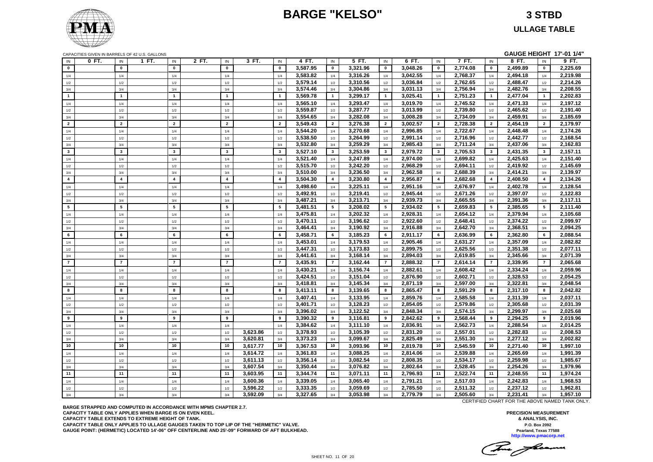### **BARGE "KELSO" 3 STBD**

**ULLAGE TABLE**



|  | <b>GAUGE HEIGHT 17'-01 1/4"</b> |  |  |
|--|---------------------------------|--|--|
|  |                                 |  |  |

| CAPACITIES GIVEN IN BARRELS OF 42 U.S. GALLONS |                |                |                |                         |          |                        |          |                         |          |                         |          |                |          |                         | GAUGE HEIGHT 17'-01 1/4" |                |          |
|------------------------------------------------|----------------|----------------|----------------|-------------------------|----------|------------------------|----------|-------------------------|----------|-------------------------|----------|----------------|----------|-------------------------|--------------------------|----------------|----------|
| 0 FT.<br>$\sf IN$                              | IN             | 1 FT.          | IN             | 2 FT.<br>IN             | 3 FT.    | IN                     | 4 FT.    | IN                      | 5 FT.    | IN                      | 6 FT.    | $\sf IN$       | 7 FT.    | $\sf IN$                | 8 FT.                    | IN             | 9 FT.    |
| $\mathbf{0}$                                   | $\mathbf{0}$   |                | $\mathbf{0}$   | $\mathbf 0$             |          | $\mathbf 0$            | 3,587.95 | $\mathbf 0$             | 3,321.96 | $\pmb{0}$               | 3,048.26 | $\mathbf 0$    | 2,774.08 | $\mathbf 0$             | 2,499.89                 | $\mathbf 0$    | 2,225.69 |
| 1/4                                            | 1/4            |                | 1/4            | 1/4                     |          | 1/4                    | 3,583.82 | 1/4                     | 3,316.26 | 1/4                     | 3,042.55 | 1/4            | 2,768.37 | 1/4                     | 2,494.18                 | 1/4            | 2,219.98 |
| $1/2$                                          | 1/2            | $1/2$          |                | 1/2                     |          | 1/2                    | 3,579.14 | 1/2                     | 3,310.56 | 1/2                     | 3,036.84 | 1/2            | 2,762.65 | 1/2                     | 2,488.47                 | 1/2            | 2,214.26 |
| 3/4                                            | 3/4            | 3/4            |                | 3/4                     |          | 3/4                    | 3,574.46 | 3/4                     | 3,304.86 | 3/4                     | 3,031.13 | 3/4            | 2,756.94 | 3/4                     | 2,482.76                 | 3/4            | 2,208.55 |
| $\overline{1}$                                 | $\overline{1}$ | $\overline{1}$ |                | $\overline{1}$          |          | $\mathbf{1}$           | 3,569.78 | $\mathbf{1}$            | 3,299.17 | $\mathbf{1}$            | 3,025.41 | $\overline{1}$ | 2,751.23 | $\overline{1}$          | 2,477.04                 | $\mathbf{1}$   | 2,202.83 |
| 1/4                                            | 1/4            |                | 1/4            | 1/4                     |          | 1/4                    | 3,565.10 | 1/4                     | 3,293.47 | 1/4                     | 3,019.70 | 1/4            | 2,745.52 | 1/4                     | 2,471.33                 | 1/4            | 2,197.12 |
| 1/2                                            | 1/2            | 1/2            |                | 1/2                     |          | 1/2                    | 3,559.87 | 1/2                     | 3,287.77 | 1/2                     | 3,013.99 | 1/2            | 2,739.80 | 1/2                     | 2,465.62                 | 1/2            | 2,191.40 |
| 3/4                                            | 3/4            | 3/4            |                | 3/4                     |          | 3/4                    | 3,554.65 | 3/4                     | 3,282.08 | 3/4                     | 3,008.28 | 3/4            | 2,734.09 | 3/4                     | 2,459.91                 | 3/4            | 2,185.69 |
| $\overline{2}$                                 | $\overline{2}$ |                | $\overline{2}$ | $\overline{2}$          |          | $\overline{2}$         | 3,549.43 | $\overline{2}$          | 3,276.38 | $\overline{2}$          | 3,002.57 | $\overline{2}$ | 2,728.38 | $\overline{2}$          | 2,454.19                 | $\overline{2}$ | 2,179.97 |
| 1/4                                            | 1/4            |                | 1/4            | 1/4                     |          | 1/4                    | 3,544.20 | 1/4                     | 3,270.68 | 1/4                     | 2,996.85 | 1/4            | 2,722.67 | 1/4                     | 2,448.48                 | 1/4            | 2,174.26 |
| 1/2                                            | 1/2            | 1/2            |                | 1/2                     |          | 1/2                    | 3,538.50 | 1/2                     | 3,264.99 | 1/2                     | 2,991.14 | 1/2            | 2,716.96 | 1/2                     | 2,442.77                 | 1/2            | 2,168.54 |
| 3/4                                            | 3/4            | 3/4            |                | 3/4                     |          | 3/4                    | 3,532.80 | 3/4                     | 3,259.29 | 3/4                     | 2,985.43 | 3/4            | 2,711.24 | 3/4                     | 2,437.06                 | 3/4            | 2,162.83 |
| $\overline{\mathbf{3}}$                        | $\mathbf{3}$   | $\mathbf{3}$   |                | $\overline{\mathbf{3}}$ |          | $\mathbf{3}$           | 3,527.10 | $\mathbf{3}$            | 3,253.59 | $\overline{\mathbf{3}}$ | 2,979.72 | $\mathbf{3}$   | 2,705.53 | $\overline{\mathbf{3}}$ | 2,431.35                 | $\mathbf{3}$   | 2,157.11 |
| 1/4                                            | 1/4            |                | 1/4            | 1/4                     |          | 1/4                    | 3,521.40 | 1/4                     | 3,247.89 | 1/4                     | 2,974.00 | 1/4            | 2,699.82 | 1/4                     | 2,425.63                 | 1/4            | 2,151.40 |
| 1/2                                            | 1/2            | 1/2            |                | 1/2                     |          | 1/2                    | 3,515.70 | 1/2                     | 3,242.20 | 1/2                     | 2.968.29 | 1/2            | 2,694.11 | 1/2                     | 2,419.92                 | 1/2            | 2,145.69 |
| 3/4                                            | 3/4            | 3/4            |                | 3/4                     |          | 3/4                    | 3,510.00 | 3/4                     | 3,236.50 | 3/4                     | 2,962.58 | 3/4            | 2,688.39 | 3/4                     | 2,414.21                 | 3/4            | 2,139.97 |
| $\overline{\mathbf{4}}$                        | $\overline{4}$ | $\overline{4}$ |                | $\overline{4}$          |          | $\overline{4}$         | 3.504.30 | $\overline{\mathbf{4}}$ | 3,230.80 | $\overline{4}$          | 2.956.87 | $\overline{4}$ | 2.682.68 | $\overline{4}$          | 2,408.50                 | $\overline{4}$ | 2,134.26 |
|                                                |                |                |                |                         |          |                        | 3,498.60 |                         | 3,225.11 |                         | 2,951.16 |                | 2,676.97 |                         | 2,402.78                 |                | 2,128.54 |
| 1/4                                            | 1/4            |                | 1/4            | 1/4                     |          | 1/4                    | 3,492.91 | 1/4                     | 3,219.41 | 1/4                     | 2,945.44 | 1/4            | 2,671.26 | 1/4                     | 2,397.07                 | 1/4            | 2,122.83 |
| $1/2$                                          | 1/2            | 1/2            |                | 1/2                     |          | 1/2                    | 3,487.21 | 1/2                     | 3,213.71 | 1/2                     | 2,939.73 | 1/2            | 2,665.55 | 1/2                     | 2,391.36                 | 1/2            | 2,117.11 |
| 3/4<br>5                                       | 3/4<br>5       | 3/4<br>5       |                | 3/4<br>5                |          | 3/4<br>$5\phantom{.0}$ | 3,481.51 | 3/4<br>$5\phantom{.0}$  | 3,208.02 | 3/4<br>5                | 2,934.02 | 3/4<br>5       | 2.659.83 | 3/4<br>5                | 2.385.65                 | 3/4<br>5       | 2,111.40 |
|                                                |                |                |                |                         |          |                        |          |                         |          |                         |          |                |          |                         |                          |                |          |
| 1/4                                            | 1/4            |                | 1/4            | 1/4                     |          | 1/4                    | 3,475.81 | 1/4                     | 3,202.32 | 1/4                     | 2,928.31 | 1/4            | 2,654.12 | 1/4                     | 2,379.94                 | 1/4            | 2,105.68 |
| 1/2                                            | 1/2            | 1/2            |                | 1/2                     |          | 1/2                    | 3,470.11 | 1/2                     | 3,196.62 | 1/2                     | 2,922.60 | 1/2            | 2,648.41 | 1/2                     | 2,374.22                 | 1/2            | 2,099.97 |
| 3/4                                            | 3/4            | 3/4            |                | 3/4                     |          | 3/4                    | 3,464.41 | 3/4                     | 3,190.92 | 3/4                     | 2,916.88 | 3/4            | 2,642.70 | 3/4                     | 2,368.51                 | 3/4            | 2,094.25 |
| 6                                              | 6              | 6              |                | 6                       |          | 6                      | 3,458.71 | 6                       | 3,185.23 | 6                       | 2,911.17 | 6              | 2,636.99 | 6                       | 2,362.80                 | 6              | 2,088.54 |
| 1/4                                            | 1/4            |                | 1/4            | 1/4                     |          | 1/4                    | 3,453.01 | 1/4                     | 3,179.53 | 1/4                     | 2,905.46 | 1/4            | 2,631.27 | 1/4                     | 2,357.09                 | 1/4            | 2.082.82 |
| 1/2                                            | 1/2            | 1/2            |                | 1/2                     |          | 1/2                    | 3.447.31 | 1/2                     | 3,173.83 | 1/2                     | 2.899.75 | 1/2            | 2,625.56 | 1/2                     | 2.351.38                 | 1/2            | 2.077.11 |
| 3/4                                            | 3/4            | 3/4            |                | 3/4                     |          | 3/4                    | 3,441.61 | 3/4                     | 3,168.14 | 3/4                     | 2,894.03 | 3/4            | 2,619.85 | 3/4                     | 2,345.66                 | 3/4            | 2,071.39 |
| $\overline{7}$                                 | $\overline{7}$ | $\overline{7}$ |                | $\overline{7}$          |          | $\overline{7}$         | 3,435.91 | $\overline{7}$          | 3,162.44 | $\overline{7}$          | 2,888.32 | $\overline{7}$ | 2,614.14 | $\overline{7}$          | 2,339.95                 | $\overline{7}$ | 2,065.68 |
| 1/4                                            | 1/4            |                | 1/4            | 1/4                     |          | 1/4                    | 3,430.21 | 1/4                     | 3,156.74 | 1/4                     | 2,882.61 | 1/4            | 2,608.42 | 1/4                     | 2,334.24                 | 1/4            | 2,059.96 |
| 1/2                                            | 1/2            |                | 1/2            | 1/2                     |          | 1/2                    | 3,424.51 | 1/2                     | 3,151.04 | 1/2                     | 2,876.90 | 1/2            | 2,602.71 | 1/2                     | 2,328.53                 | 1/2            | 2,054.25 |
| 3/4                                            | 3/4            | 3/4            |                | 3/4                     |          | 3/4                    | 3,418.81 | 3/4                     | 3,145.34 | 3/4                     | 2,871.19 | 3/4            | 2,597.00 | 3/4                     | 2,322.81                 | 3/4            | 2,048.54 |
| 8                                              | 8              | 8              |                | 8                       |          | 8                      | 3,413.11 | 8                       | 3,139.65 | 8                       | 2.865.47 | 8              | 2,591.29 | 8                       | 2,317.10                 | 8              | 2,042.82 |
| 1/4                                            | 1/4            |                | 1/4            | 1/4                     |          | 1/4                    | 3,407.41 | 1/4                     | 3,133.95 | 1/4                     | 2,859.76 | 1/4            | 2,585.58 | 1/4                     | 2,311.39                 | 1/4            | 2,037.11 |
| 1/2                                            | 1/2            | 1/2            |                | 1/2                     |          | 1/2                    | 3,401.71 | 1/2                     | 3,128.23 | 1/2                     | 2,854.05 | 1/2            | 2,579.86 | 1/2                     | 2,305.68                 | 1/2            | 2,031.39 |
| 3/4                                            | 3/4            | 3/4            |                | 3/4                     |          | 3/4                    | 3,396.02 | 3/4                     | 3,122.52 | 3/4                     | 2,848.34 | 3/4            | 2,574.15 | 3/4                     | 2,299.97                 | 3/4            | 2,025.68 |
| 9                                              | 9              | 9              |                | 9                       |          | 9                      | 3,390.32 | 9                       | 3,116.81 | 9                       | 2,842.62 | 9              | 2,568.44 | 9                       | 2,294.25                 | 9              | 2,019.96 |
| 1/4                                            | 1/4            |                | 1/4            | 1/4                     |          | 1/4                    | 3,384.62 | 1/4                     | 3,111.10 | 1/4                     | 2,836.91 | 1/4            | 2,562.73 | 1/4                     | 2,288.54                 | 1/4            | 2,014.25 |
| $1/2$                                          | 1/2            | 1/2            |                | 1/2                     | 3,623.86 | 1/2                    | 3,378.93 | 1/2                     | 3.105.39 | 1/2                     | 2.831.20 | 1/2            | 2,557.01 | 1/2                     | 2,282.83                 | 1/2            | 2.008.53 |
| 3/4                                            | 3/4            | 3/4            |                | 3/4                     | 3,620.81 | 3/4                    | 3,373.23 | 3/4                     | 3,099.67 | 3/4                     | 2,825.49 | 3/4            | 2,551.30 | 3/4                     | 2,277.12                 | 3/4            | 2,002.82 |
| 10                                             | 10             | $10\,$         |                | 10                      | 3,617.77 | 10                     | 3,367.53 | 10                      | 3,093.96 | 10                      | 2,819.78 | 10             | 2,545.59 | 10                      | 2,271.40                 | 10             | 1,997.10 |
| 1/4                                            | 1/4            |                | 1/4            | 1/4                     | 3,614.72 | 1/4                    | 3,361.83 | 1/4                     | 3,088.25 | 1/4                     | 2,814.06 | 1/4            | 2,539.88 | 1/4                     | 2,265.69                 | 1/4            | 1,991.39 |
| 1/2                                            | 1/2            | 1/2            |                | 1/2                     | 3.611.13 | 1/2                    | 3.356.14 | 1/2                     | 3.082.54 | 1/2                     | 2.808.35 | 1/2            | 2.534.17 | 1/2                     | 2.259.98                 | 1/2            | 1.985.67 |
| 3/4                                            | 3/4            | 3/4            |                | 3/4                     | 3,607.54 | 3/4                    | 3,350.44 | 3/4                     | 3,076.82 | 3/4                     | 2,802.64 | 3/4            | 2,528.45 | 3/4                     | 2,254.26                 | 3/4            | 1,979.96 |
| 11                                             | 11             | 11             |                | 11                      | 3,603.95 | 11                     | 3,344.74 | 11                      | 3,071.11 | 11                      | 2,796.93 | 11             | 2,522.74 | 11                      | 2,248.55                 | 11             | 1,974.24 |
| 1/4                                            | 1/4            |                | 1/4            | 1/4                     | 3,600.36 | 1/4                    | 3,339.05 | 1/4                     | 3,065.40 | 1/4                     | 2,791.21 | 1/4            | 2,517.03 | 1/4                     | 2,242.83                 | 1/4            | 1,968.53 |
| $1/2\,$                                        | 1/2            |                | 1/2            | 1/2                     | 3,596.22 | 1/2                    | 3,333.35 | 1/2                     | 3,059.69 | 1/2                     | 2,785.50 | 1/2            | 2,511.32 | 1/2                     | 2,237.12                 | 1/2            | 1,962.81 |
| 3/4                                            | 3/4            |                | 3/4            | 3/4                     | 3,592.09 | 3/4                    | 3,327.65 | 3/4                     | 3,053.98 | 3/4                     | 2,779.79 | 3/4            | 2,505.60 | 3/4                     | 2,231.41                 | 3/4            | 1,957.10 |

**BARGE STRAPPED AND COMPUTED IN ACCORDANCE WITH MPMS CHAPTER 2.7. CAPACITY TABLE ONLY APPLIES WHEN BARGE IS ON EVEN KEEL. CAPACITY TABLE EXTENDS TO EXTREME HEIGHT OF TANK. CAPACITY TABLE ONLY APPLIES TO ULLAGE GAUGES TAKEN TO TOP LIP OF THE "HERMETIC" VALVE. GAUGE POINT: (HERMETIC) LOCATED 14'-06" OFF CENTERLINE AND 25'-09" FORWARD OF AFT BULKHEAD.** CERTIFIED CHART FOR THE ABOVE NAMED TANK ONLY.

This floam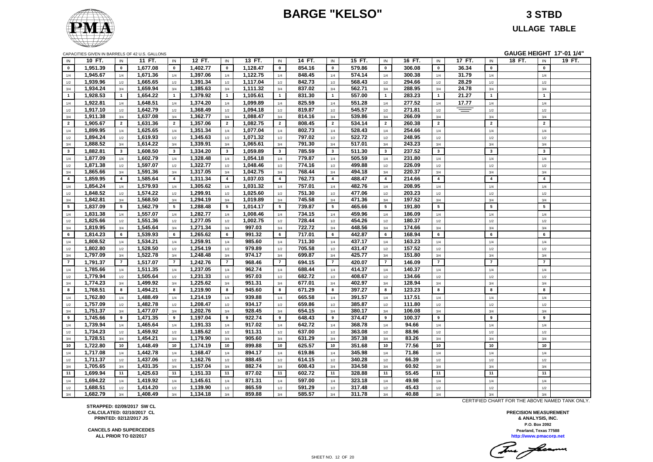### **BARGE "KELSO" 3 STBD**



**ULLAGE TABLE**

| CAPACITIES GIVEN IN BARRELS OF 42 U.S. GALLONS |  |  |  |
|------------------------------------------------|--|--|--|
|                                                |  |  |  |

|                |          |                | CAPACITIES GIVEN IN BARRELS OF 42 U.S. GALLONS |                         |          |                |          |                 |        |                |        |                 |        |                         |        |                         | GAUGE HEIGHT 17'-01 1/4" |                 |        |
|----------------|----------|----------------|------------------------------------------------|-------------------------|----------|----------------|----------|-----------------|--------|----------------|--------|-----------------|--------|-------------------------|--------|-------------------------|--------------------------|-----------------|--------|
| IN             | 10 FT.   | IN             | 11 FT.                                         | IN                      | 12 FT.   | IN             | 13 FT.   | IN              | 14 FT. | IN             | 15 FT. | IN              | 16 FT. | IN                      | 17 FT. | $\sf IN$                | 18 FT.                   | IN              | 19 FT. |
| $\mathbf 0$    | 1,951.39 | $\mathbf 0$    | 1,677.08                                       | $\mathbf 0$             | 1,402.77 | $\mathbf 0$    | 1,128.47 | $\mathbf{0}$    | 854.16 | $\bf{0}$       | 579.86 | $\mathbf 0$     | 306.08 | $\mathbf 0$             | 36.34  | $\pmb{0}$               |                          | $\mathbf 0$     |        |
| 1/4            | 1,945.67 | 1/4            | 1,671.36                                       | 1/4                     | 1,397.06 | 1/4            | 1,122.75 | 1/4             | 848.45 | 1/4            | 574.14 | 1/4             | 300.38 | 1/4                     | 31.79  | $1/4$                   |                          | 1/4             |        |
| 1/2            | 1,939.96 | 1/2            | 1,665.65                                       | 1/2                     | 1,391.34 | 1/2            | 1,117.04 | 1/2             | 842.73 | 1/2            | 568.43 | 1/2             | 294.66 | 1/2                     | 28.29  | 1/2                     |                          | 1/2             |        |
| 3/4            | 1,934.24 | 3/4            | 1,659.94                                       | 3/4                     | 1,385.63 | 3/4            | 1,111.32 | 3/4             | 837.02 | 3/4            | 562.71 | 3/4             | 288.95 | 3/4                     | 24.78  | 3/4                     |                          | 3/4             |        |
| $\overline{1}$ | 1,928.53 | $\overline{1}$ | 1,654.22                                       | $\blacksquare$          | 1,379.92 | $\overline{1}$ | 1,105.61 | $\mathbf{1}$    | 831.30 | $\overline{1}$ | 557.00 | $\mathbf{1}$    | 283.23 | $\mathbf{1}$            | 21.27  | $\mathbf{1}$            |                          | $\mathbf{1}$    |        |
| 1/4            | 1,922.81 | 1/4            | 1,648.51                                       | 1/4                     | 1,374.20 | 1/4            | 1,099.89 | 1/4             | 825.59 | 1/4            | 551.28 | 1/4             | 277.52 | 1/4                     | 17.77  | 1/4                     |                          | 1/4             |        |
| 1/2            | 1,917.10 | 1/2            | 1,642.79                                       | $1/2$                   | 1,368.49 | 1/2            | 1,094.18 | 1/2             | 819.87 | $1/2$          | 545.57 | 1/2             | 271.81 | 1/2                     | ══     | 1/2                     |                          | 1/2             |        |
| 3/4            | 1,911.38 | 3/4            | 1,637.08                                       | 3/4                     | 1,362.77 | 3/4            | 1,088.47 | 3/4             | 814.16 | 3/4            | 539.86 | 3/4             | 266.09 | 3/4                     |        | 3/4                     |                          | 3/4             |        |
| $\overline{2}$ | 1,905.67 | $\overline{2}$ | 1,631.36                                       | $\overline{2}$          | 1,357.06 | $\overline{2}$ | 1,082.75 | $\overline{2}$  | 808.45 | $\overline{2}$ | 534.14 | $\overline{2}$  | 260.38 | $\overline{2}$          |        | $\overline{2}$          |                          | $\overline{2}$  |        |
| 1/4            | 1,899.95 | 1/4            | 1,625.65                                       | 1/4                     | 1,351.34 | 1/4            | 1,077.04 | 1/4             | 802.73 | 1/4            | 528.43 | 1/4             | 254.66 | 1/4                     |        | 1/4                     |                          | 1/4             |        |
| 1/2            | 1,894.24 | 1/2            | 1,619.93                                       | 1/2                     | 1,345.63 | 1/2            | 1,071.32 | 1/2             | 797.02 | 1/2            | 522.72 | 1/2             | 248.95 | 1/2                     |        | 1/2                     |                          | 1/2             |        |
| 3/4            | 1,888.52 | 3/4            | 1,614.22                                       | 3/4                     | 1,339.91 | 3/4            | 1,065.61 | 3/4             | 791.30 | 3/4            | 517.01 | 3/4             | 243.23 | 3/4                     |        | 3/4                     |                          | 3/4             |        |
| $\mathbf{3}$   | 1,882.81 | $\mathbf{3}$   | 1,608.50                                       | $\overline{\mathbf{3}}$ | 1,334.20 | $\mathbf{3}$   | 1,059.89 | $\mathbf{3}$    | 785.59 | $\mathbf{3}$   | 511.30 | $\mathbf{3}$    | 237.52 | $\mathbf{3}$            |        | $\overline{\mathbf{3}}$ |                          | $\mathbf{3}$    |        |
| 1/4            | 1,877.09 | 1/4            | 1,602.79                                       | 1/4                     | 1,328.48 | 1/4            | 1,054.18 | 1/4             | 779.87 | 1/4            | 505.59 | 1/4             | 231.80 | 1/4                     |        | 1/4                     |                          | 1/4             |        |
| 1/2            | 1,871.38 | 1/2            | 1,597.07                                       | 1/2                     | 1,322.77 | 1/2            | 1,048.46 | 1/2             | 774.16 | 1/2            | 499.88 | 1/2             | 226.09 | 1/2                     |        | 1/2                     |                          | 1/2             |        |
| $3/4$          | 1,865.66 | 3/4            | 1,591.36                                       | $3/4$                   | 1,317.05 | 3/4            | 1,042.75 | 3/4             | 768.44 | 3/4            | 494.18 | 3/4             | 220.37 | 3/4                     |        | 3/4                     |                          | 3/4             |        |
| $\overline{4}$ | 1,859.95 | $\overline{4}$ | 1,585.64                                       | $\overline{4}$          | 1,311.34 | $\overline{4}$ | 1,037.03 | $\overline{4}$  | 762.73 | $\overline{4}$ | 488.47 | $\overline{4}$  | 214.66 | $\overline{\mathbf{4}}$ |        | $\overline{\mathbf{4}}$ |                          | $\overline{4}$  |        |
| 1/4            | 1,854.24 | 1/4            | 1,579.93                                       | 1/4                     | 1,305.62 | 1/4            | 1,031.32 | 1/4             | 757.01 | 1/4            | 482.76 | 1/4             | 208.95 | 1/4                     |        | 1/4                     |                          | 1/4             |        |
| 1/2            | 1,848.52 | 1/2            | 1,574.22                                       | 1/2                     | 1,299.91 | 1/2            | 1,025.60 | 1/2             | 751.30 | 1/2            | 477.06 | 1/2             | 203.23 | 1/2                     |        | 1/2                     |                          | 1/2             |        |
| 3/4            | 1,842.81 | 3/4            | 1,568.50                                       | $3/4$                   | 1,294.19 | 3/4            | 1,019.89 | 3/4             | 745.58 | 3/4            | 471.36 | 3/4             | 197.52 | 3/4                     |        | 3/4                     |                          | 3/4             |        |
| 5              | 1.837.09 | 5              | 1.562.79                                       | 5                       | 1,288.48 | 5              | 1,014.17 | $5\phantom{.0}$ | 739.87 | 5              | 465.66 | $5\phantom{.0}$ | 191.80 | 5                       |        | ${\bf 5}$               |                          | $5\phantom{.0}$ |        |
| 1/4            | 1,831.38 | 1/4            | 1,557.07                                       | 1/4                     | 1,282.77 | 1/4            | 1,008.46 | 1/4             | 734.15 | 1/4            | 459.96 | 1/4             | 186.09 | 1/4                     |        | 1/4                     |                          | 1/4             |        |
| 1/2            | 1,825.66 | 1/2            | 1,551.36                                       | 1/2                     | 1,277.05 | 1/2            | 1,002.75 | 1/2             | 728.44 | 1/2            | 454.26 | 1/2             | 180.37 | 1/2                     |        | 1/2                     |                          | 1/2             |        |
| 3/4            | 1,819.95 | 3/4            | 1,545.64                                       | 3/4                     | 1,271.34 | 3/4            | 997.03   | 3/4             | 722.72 | 3/4            | 448.56 | 3/4             | 174.66 | 3/4                     |        | 3/4                     |                          | 3/4             |        |
| 6              | 1,814.23 | 6              | 1,539.93                                       | 6                       | 1,265.62 | 6              | 991.32   | 6               | 717.01 | 6              | 442.87 | 6               | 168.94 | 6                       |        | $\bf 6$                 |                          | 6               |        |
| 1/4            | 1,808.52 | 1/4            | 1,534.21                                       | 1/4                     | 1,259.91 | 1/4            | 985.60   | 1/4             | 711.30 | 1/4            | 437.17 | 1/4             | 163.23 | 1/4                     |        | 1/4                     |                          | 1/4             |        |
| 1/2            | 1,802.80 | 1/2            | 1,528.50                                       | 1/2                     | 1,254.19 | 1/2            | 979.89   | 1/2             | 705.58 | 1/2            | 431.47 | 1/2             | 157.52 | 1/2                     |        | 1/2                     |                          | 1/2             |        |
| 3/4            | 1,797.09 | 3/4            | 1,522.78                                       | 3/4                     | 1,248.48 | 3/4            | 974.17   | 3/4             | 699.87 | 3/4            | 425.77 | 3/4             | 151.80 | 3/4                     |        | 3/4                     |                          | 3/4             |        |
| $\overline{7}$ | 1,791.37 | $\overline{7}$ | 1,517.07                                       | $\overline{7}$          | 1,242.76 | $\overline{7}$ | 968.46   | $\overline{7}$  | 694.15 | $\overline{7}$ | 420.07 | $\overline{7}$  | 146.09 | $\overline{7}$          |        | $\overline{7}$          |                          | $\overline{7}$  |        |
| 1/4            | 1,785.66 | 1/4            | 1,511.35                                       | 1/4                     | 1,237.05 | 1/4            | 962.74   | 1/4             | 688.44 | 1/4            | 414.37 | 1/4             | 140.37 | 1/4                     |        | 1/4                     |                          | 1/4             |        |
| 1/2            | 1.779.94 | 1/2            | 1,505.64                                       | 1/2                     | 1,231.33 | 1/2            | 957.03   | 1/2             | 682.72 | 1/2            | 408.67 | 1/2             | 134.66 | 1/2                     |        | 1/2                     |                          | 1/2             |        |
| 3/4            | 1,774.23 | 3/4            | 1,499.92                                       | 3/4                     | 1,225.62 | 3/4            | 951.31   | 3/4             | 677.01 | 3/4            | 402.97 | 3/4             | 128.94 | 3/4                     |        | 3/4                     |                          | 3/4             |        |
| 8              | 1,768.51 | 8              | 1,494.21                                       | 8                       | 1,219.90 | 8              | 945.60   | 8               | 671.29 | 8              | 397.27 | 8               | 123.23 | 8                       |        | 8                       |                          | 8               |        |
| 1/4            | 1,762.80 | 1/4            | 1,488.49                                       | 1/4                     | 1,214.19 | 1/4            | 939.88   | 1/4             | 665.58 | 1/4            | 391.57 | 1/4             | 117.51 | 1/4                     |        | 1/4                     |                          | 1/4             |        |
| 1/2            | 1.757.09 | 1/2            | 1,482.78                                       | 1/2                     | 1.208.47 | 1/2            | 934.17   | 1/2             | 659.86 | 1/2            | 385.87 | 1/2             | 111.80 | 1/2                     |        | 1/2                     |                          | 1/2             |        |
| 3/4            | 1,751.37 | 3/4            | 1,477.07                                       | 3/4                     | 1,202.76 | 3/4            | 928.45   | 3/4             | 654.15 | 3/4            | 380.17 | 3/4             | 106.08 | 3/4                     |        | 3/4                     |                          | 3/4             |        |
| 9              | 1,745.66 | 9              | 1,471.35                                       | 9                       | 1,197.04 | 9              | 922.74   | 9               | 648.43 | 9              | 374.47 | 9               | 100.37 | $\boldsymbol{9}$        |        | 9                       |                          | 9               |        |
| 1/4            | 1,739.94 | 1/4            | 1,465.64                                       | 1/4                     | 1,191.33 | 1/4            | 917.02   | 1/4             | 642.72 | 1/4            | 368.78 | 1/4             | 94.66  | 1/4                     |        | 1/4                     |                          | 1/4             |        |
| 1/2            | 1.734.23 | 1/2            | 1.459.92                                       | 1/2                     | 1.185.62 | 1/2            | 911.31   | 1/2             | 637.00 | 1/2            | 363.08 | 1/2             | 88.96  | 1/2                     |        | 1/2                     |                          | 1/2             |        |
| 3/4            | 1,728.51 | 3/4            | 1,454.21                                       | 3/4                     | 1,179.90 | 3/4            | 905.60   | 3/4             | 631.29 | 3/4            | 357.38 | 3/4             | 83.26  | 3/4                     |        | 3/4                     |                          | 3/4             |        |
| 10             | 1,722.80 | 10             | 1.448.49                                       | 10                      | 1,174.19 | 10             | 899.88   | 10              | 625.57 | 10             | 351.68 | 10              | 77.56  | 10                      |        | 10                      |                          | 10              |        |
| 1/4            | 1,717.08 | 1/4            | 1,442.78                                       | 1/4                     | 1,168.47 | 1/4            | 894.17   | 1/4             | 619.86 | 1/4            | 345.98 | 1/4             | 71.86  | 1/4                     |        | 1/4                     |                          | 1/4             |        |
| 1/2            | 1,711.37 | 1/2            | 1,437.06                                       | $1/2$                   | 1,162.76 | 1/2            | 888.45   | 1/2             | 614.15 | 1/2            | 340.28 | $1/2$           | 66.39  | 1/2                     |        | $1/2$                   |                          | 1/2             |        |
| 3/4            | 1,705.65 | 3/4            | 1,431.35                                       | 3/4                     | 1,157.04 | 3/4            | 882.74   | 3/4             | 608.43 | 3/4            | 334.58 | 3/4             | 60.92  | 3/4                     |        | 3/4                     |                          | 3/4             |        |
| 11             | 1,699.94 | 11             | 1,425.63                                       | 11                      | 1,151.33 | 11             | 877.02   | 11              | 602.72 | 11             | 328.88 | 11              | 55.45  | 11                      |        | 11                      |                          | 11              |        |
| $1/4$          | 1,694.22 | 1/4            | 1,419.92                                       | 1/4                     | 1,145.61 | 1/4            | 871.31   | 1/4             | 597.00 | 1/4            | 323.18 | 1/4             | 49.98  | 1/4                     |        | 1/4                     |                          | 1/4             |        |
| 1/2            | 1,688.51 | 1/2            | 1,414.20                                       | 1/2                     | 1,139.90 | 1/2            | 865.59   | 1/2             | 591.29 | 1/2            | 317.48 | 1/2             | 45.43  | 1/2                     |        | 1/2                     |                          | 1/2             |        |
| 3/4            | 1,682.79 | 3/4            | 1,408.49                                       | 3/4                     | 1,134.18 | 3/4            | 859.88   | 3/4             | 585.57 | 3/4            | 311.78 | 3/4             | 40.88  | 3/4                     |        | 3/4                     |                          | 3/4             |        |

CERTIFIED CHART FOR THE ABOVE NAMED TANK ONLY.

**http://www.pmacorp.net Pearland, Texas 77588 PRECISION MEASUREMENT & ANALYSIS, INC. P.O. Box 2092**

Tomas faceron

**STRAPPED: 02/09/2017 SW CL CALCULATED: 02/10/2017 CL PRINTED: 02/12/2017 JS**

**CANCELS AND SUPERCEDES ALL PRIOR TO 02/2017**

SHEET NO. 12 OF 20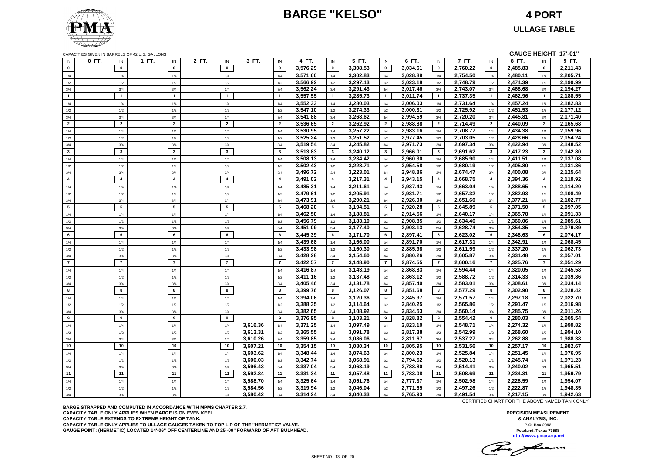## **BARGE "KELSO" 4 PORT**



CAPACITIES GIVEN IN BARRELS OF 42 U.S. GALLONS **GAUGE HEIGHT 17'-01"**

|                | <u>UALAUITLU UIVEN IN DANNELU UL 42 U.U. UALLUNU</u> |                |       |                         |                 |          |                |          |                         |          |                |          |                |          |                |          |                | .        |
|----------------|------------------------------------------------------|----------------|-------|-------------------------|-----------------|----------|----------------|----------|-------------------------|----------|----------------|----------|----------------|----------|----------------|----------|----------------|----------|
| IN             | 0 FT.                                                | IN             | 1 FT. | IN                      | 2 FT.<br>IN     | 3 FT.    | IN             | 4 FT.    | IN                      | 5 FT.    | IN             | 6 FT.    | IN             | 7 FT.    | IN             | 8 FT.    | IN             | 9 FT.    |
| $\mathbf{0}$   |                                                      | $\mathbf 0$    |       | $\mathbf 0$             | $\pmb{0}$       |          | $\pmb{0}$      | 3,576.29 | $\mathbf 0$             | 3,308.53 | 0              | 3,034.61 | $\pmb{0}$      | 2,760.22 | $\mathbf 0$    | 2,485.83 | $\mathbf{0}$   | 2,211.43 |
|                |                                                      | 1/4            |       | 1/4                     | 1/4             |          | 1/4            | 3,571.60 | 1/4                     | 3,302.83 | 1/4            | 3,028.89 | 1/4            | 2,754.50 | 1/4            | 2,480.11 | 1/4            | 2,205.71 |
| 1/4            |                                                      |                |       |                         |                 |          |                |          |                         |          |                |          |                |          |                |          |                |          |
| 1/2            |                                                      | $1/2$          |       | $1/2\,$                 | 1/2             |          | $1/2$          | 3,566.92 | 1/2                     | 3,297.13 | $1/2$          | 3,023.18 | $1/2$          | 2,748.79 | 1/2            | 2,474.39 | 1/2            | 2,199.99 |
| 3/4            |                                                      | 3/4            |       | 3/4                     | 3/4             |          | 3/4            | 3,562.24 | 3/4                     | 3,291.43 | 3/4            | 3,017.46 | 3/4            | 2,743.07 | 3/4            | 2,468.68 | 3/4            | 2,194.27 |
| $\overline{1}$ |                                                      | $\mathbf{1}$   |       | $\overline{1}$          | $\mathbf{1}$    |          | $\mathbf{1}$   | 3,557.55 | $\mathbf 1$             | 3,285.73 | $\mathbf{1}$   | 3,011.74 | $\mathbf{1}$   | 2,737.35 | $\overline{1}$ | 2,462.96 | $\mathbf{1}$   | 2,188.55 |
| 1/4            |                                                      | 1/4            |       | 1/4                     | 1/4             |          | 1/4            | 3,552.33 | 1/4                     | 3,280.03 | 1/4            | 3,006.03 | 1/4            | 2,731.64 | 1/4            | 2,457.24 | 1/4            | 2,182.83 |
| 1/2            |                                                      | 1/2            |       | 1/2                     | 1/2             |          | 1/2            | 3,547.10 | 1/2                     | 3,274.33 | 1/2            | 3,000.31 | 1/2            | 2,725.92 | 1/2            | 2,451.53 | 1/2            | 2,177.12 |
| 3/4            |                                                      | 3/4            |       | 3/4                     | 3/4             |          | 3/4            | 3,541.88 | 3/4                     | 3,268.62 | 3/4            | 2,994.59 | 3/4            | 2,720.20 | 3/4            | 2,445.81 | 3/4            | 2,171.40 |
| $\overline{2}$ |                                                      | $\overline{2}$ |       | $\overline{2}$          | $\overline{2}$  |          | $\overline{2}$ |          | $\overline{2}$          |          | $\overline{2}$ |          | $\overline{2}$ |          | $\overline{2}$ |          | $\overline{2}$ |          |
|                |                                                      |                |       |                         |                 |          |                | 3,536.65 |                         | 3,262.92 |                | 2,988.88 |                | 2,714.49 |                | 2,440.09 |                | 2,165.68 |
| 1/4            |                                                      | 1/4            |       | 1/4                     | 1/4             |          | 1/4            | 3,530.95 | 1/4                     | 3,257.22 | 1/4            | 2,983.16 | 1/4            | 2,708.77 | 1/4            | 2,434.38 | 1/4            | 2,159.96 |
| 1/2            |                                                      | 1/2            |       | 1/2                     | 1/2             |          | 1/2            | 3.525.24 | 1/2                     | 3,251.52 | 1/2            | 2,977.45 | 1/2            | 2,703.05 | 1/2            | 2.428.66 | 1/2            | 2,154.24 |
| 3/4            |                                                      | 3/4            |       | 3/4                     | 3/4             |          | 3/4            | 3,519.54 | 3/4                     | 3,245.82 | 3/4            | 2,971.73 | 3/4            | 2,697.34 | 3/4            | 2,422.94 | 3/4            | 2,148.52 |
| $\mathbf{3}$   |                                                      | $\mathbf{3}$   |       | $\overline{\mathbf{3}}$ | $\mathbf{3}$    |          | $\mathbf{3}$   | 3,513.83 | $3^{\circ}$             | 3,240.12 | 3              | 2,966.01 | $\mathbf{3}$   | 2,691.62 | $\mathbf{3}$   | 2,417.23 | 3 <sup>1</sup> | 2,142.80 |
| 1/4            |                                                      | 1/4            |       | 1/4                     | 1/4             |          | 1/4            | 3,508.13 | 1/4                     | 3,234.42 | 1/4            | 2,960.30 | 1/4            | 2,685.90 | 1/4            | 2,411.51 | 1/4            | 2,137.08 |
| $1/2$          |                                                      | $1/2$          |       | 1/2                     | 1/2             |          | 1/2            | 3,502.43 | $1/2$                   | 3,228.71 | 1/2            | 2,954.58 | 1/2            | 2,680.19 | 1/2            | 2,405.80 | $1/2$          | 2,131.36 |
| 3/4            |                                                      | 3/4            |       | 3/4                     | 3/4             |          | 3/4            | 3,496.72 | 3/4                     | 3,223.01 | 3/4            | 2,948.86 | 3/4            | 2,674.47 | 3/4            | 2,400.08 | 3/4            | 2,125.64 |
|                |                                                      |                |       |                         |                 |          |                |          |                         |          |                |          |                |          |                |          |                |          |
| $\overline{4}$ |                                                      | $\overline{4}$ |       | $\overline{4}$          | $\overline{4}$  |          | $\overline{4}$ | 3,491.02 | $\overline{\mathbf{4}}$ | 3,217.31 | 4              | 2,943.15 | $\overline{4}$ | 2,668.75 | $\overline{4}$ | 2,394.36 | $\overline{4}$ | 2,119.92 |
| 1/4            |                                                      | 1/4            |       | 1/4                     | 1/4             |          | 1/4            | 3,485.31 | 1/4                     | 3,211.61 | 1/4            | 2,937.43 | 1/4            | 2,663.04 | 1/4            | 2,388.65 | 1/4            | 2,114.20 |
| 1/2            |                                                      | 1/2            |       | 1/2                     | 1/2             |          | 1/2            | 3,479.61 | 1/2                     | 3,205.91 | 1/2            | 2,931.71 | 1/2            | 2,657.32 | 1/2            | 2,382.93 | 1/2            | 2,108.49 |
| 3/4            |                                                      | 3/4            |       | 3/4                     | 3/4             |          | 3/4            | 3,473.91 | 3/4                     | 3,200.21 | 3/4            | 2,926.00 | 3/4            | 2,651.60 | 3/4            | 2,377.21 | 3/4            | 2,102.77 |
| 5              |                                                      | 5              |       | 5                       | $5\overline{5}$ |          | 5              | 3,468.20 | $5^{\circ}$             | 3,194.51 | 5              | 2,920.28 | 5              | 2,645.89 | 5              | 2,371.50 | $5^{\circ}$    | 2,097.05 |
| 1/4            |                                                      | 1/4            |       | 1/4                     | 1/4             |          | 1/4            | 3,462.50 | 1/4                     | 3,188.81 | 1/4            | 2,914.56 | 1/4            | 2,640.17 | 1/4            | 2,365.78 | 1/4            | 2,091.33 |
|                |                                                      |                |       | 1/2                     | 1/2             |          | 1/2            | 3,456.79 | 1/2                     | 3,183.10 |                | 2,908.85 | 1/2            | 2,634.46 | 1/2            | 2,360.06 |                | 2,085.61 |
| 1/2            |                                                      | 1/2            |       |                         |                 |          |                |          |                         |          | 1/2            |          |                |          |                |          | 1/2            |          |
| 3/4            |                                                      | 3/4            |       | 3/4                     | 3/4             |          | 3/4            | 3,451.09 | 3/4                     | 3,177.40 | 3/4            | 2,903.13 | 3/4            | 2,628.74 | 3/4            | 2,354.35 | 3/4            | 2,079.89 |
| 6              |                                                      | 6              |       | 6                       | 6               |          | 6              | 3,445.39 | 6                       | 3,171.70 | 6              | 2,897.41 | 6              | 2,623.02 | 6              | 2,348.63 | 6              | 2,074.17 |
| 1/4            |                                                      | 1/4            |       | 1/4                     | 1/4             |          | 1/4            | 3,439.68 | 1/4                     | 3,166.00 | 1/4            | 2,891.70 | 1/4            | 2,617.31 | 1/4            | 2,342.91 | 1/4            | 2,068.45 |
| 1/2            |                                                      | 1/2            |       | 1/2                     | 1/2             |          | 1/2            | 3,433.98 | 1/2                     | 3.160.30 | 1/2            | 2,885.98 | 1/2            | 2.611.59 | 1/2            | 2.337.20 | 1/2            | 2.062.73 |
| 3/4            |                                                      | 3/4            |       | 3/4                     | 3/4             |          | 3/4            | 3,428.28 | 3/4                     | 3,154.60 | 3/4            | 2,880.26 | 3/4            | 2,605.87 | 3/4            | 2,331.48 | 3/4            | 2,057.01 |
| $\overline{7}$ |                                                      | $\overline{7}$ |       | $\overline{7}$          | $\overline{7}$  |          | $\overline{7}$ | 3,422.57 | $\overline{7}$          | 3,148.90 | $\overline{7}$ | 2,874.55 | $\overline{7}$ | 2,600.16 | $\overline{7}$ | 2,325.76 | $\overline{7}$ | 2,051.29 |
| 1/4            |                                                      | 1/4            |       | 1/4                     | 1/4             |          | 1/4            | 3,416.87 | 1/4                     | 3,143.19 | 1/4            | 2,868.83 | 1/4            | 2,594.44 | 1/4            | 2,320.05 | 1/4            | 2,045.58 |
|                |                                                      |                |       |                         |                 |          |                |          |                         |          |                |          |                |          |                |          |                |          |
| 1/2            |                                                      | $1/2\,$        |       | 1/2                     | 1/2             |          | 1/2            | 3,411.16 | 1/2                     | 3,137.48 | 1/2            | 2,863.12 | 1/2            | 2,588.72 | 1/2            | 2,314.33 | 1/2            | 2,039.86 |
| 3/4            |                                                      | 3/4            |       | 3/4                     | 3/4             |          | 3/4            | 3.405.46 | 3/4                     | 3,131.78 | 3/4            | 2,857.40 | 3/4            | 2,583.01 | 3/4            | 2,308.61 | 3/4            | 2,034.14 |
| 8              |                                                      | 8              |       | 8                       | 8               |          | 8              | 3,399.76 | 8                       | 3,126.07 | 8              | 2,851.68 | 8              | 2,577.29 | 8              | 2,302.90 | 8              | 2,028.42 |
| 1/4            |                                                      | 1/4            |       | 1/4                     | 1/4             |          | 1/4            | 3,394.06 | 1/4                     | 3,120.36 | 1/4            | 2,845.97 | 1/4            | 2,571.57 | 1/4            | 2,297.18 | 1/4            | 2,022.70 |
| 1/2            |                                                      | 1/2            |       | 1/2                     | 1/2             |          | 1/2            | 3,388.35 | 1/2                     | 3,114.64 | 1/2            | 2,840.25 | 1/2            | 2,565.86 | 1/2            | 2,291.47 | 1/2            | 2,016.98 |
| 3/4            |                                                      | 3/4            |       | 3/4                     | 3/4             |          | 3/4            | 3,382.65 | 3/4                     | 3,108.92 | 3/4            | 2,834.53 | 3/4            | 2,560.14 | 3/4            | 2,285.75 | 3/4            | 2,011.26 |
| 9              |                                                      | 9              |       | 9                       | 9               |          | 9              | 3,376.95 | 9                       | 3,103.21 | 9              | 2,828.82 | 9              | 2,554.42 | 9              | 2,280.03 | 9              | 2,005.54 |
| 1/4            |                                                      | 1/4            |       | 1/4                     | 1/4             | 3,616.36 | 1/4            | 3,371.25 | 1/4                     | 3,097.49 | 1/4            | 2,823.10 | 1/4            | 2,548.71 | 1/4            | 2,274.32 | 1/4            | 1,999.82 |
|                |                                                      |                |       |                         |                 |          |                |          |                         |          |                |          |                |          |                |          |                |          |
| 1/2            |                                                      | 1/2            |       | 1/2                     | 1/2             | 3,613.31 | 1/2            | 3,365.55 | 1/2                     | 3.091.78 | 1/2            | 2,817.38 | 1/2            | 2,542.99 | 1/2            | 2.268.60 | 1/2            | 1,994.10 |
| 3/4            |                                                      | 3/4            |       | 3/4                     | 3/4             | 3,610.26 | 3/4            | 3,359.85 | 3/4                     | 3,086.06 | 3/4            | 2,811.67 | 3/4            | 2,537.27 | 3/4            | 2,262.88 | 3/4            | 1,988.38 |
| 10             |                                                      | 10             |       | 10                      | 10              | 3,607.21 | 10             | 3,354.15 | 10                      | 3,080.34 | 10             | 2,805.95 | 10             | 2,531.56 | 10             | 2,257.17 | 10             | 1,982.67 |
| 1/4            |                                                      | 1/4            |       | 1/4                     | 1/4             | 3,603.62 | 1/4            | 3,348.44 | 1/4                     | 3,074.63 | 1/4            | 2,800.23 | 1/4            | 2,525.84 | 1/4            | 2,251.45 | 1/4            | 1,976.95 |
| $1/2$          |                                                      | $1/2\,$        |       | 1/2                     | 1/2             | 3,600.03 | 1/2            | 3,342.74 | 1/2                     | 3,068.91 | $1/2\,$        | 2,794.52 | 1/2            | 2,520.13 | 1/2            | 2,245.74 | 1/2            | 1,971.23 |
| 3/4            |                                                      | 3/4            |       | 3/4                     | 3/4             | 3,596.43 | 3/4            | 3,337.04 | 3/4                     | 3,063.19 | 3/4            | 2,788.80 | 3/4            | 2,514.41 | 3/4            | 2,240.02 | 3/4            | 1,965.51 |
| 11             |                                                      | 11             |       | 11                      | 11              | 3,592.84 | 11             | 3,331.34 | 11                      | 3,057.48 | 11             | 2,783.08 | 11             | 2,508.69 | 11             | 2,234.31 | 11             | 1,959.79 |
|                |                                                      | 1/4            |       |                         | 1/4             | 3,588.70 | 1/4            | 3,325.64 | 1/4                     | 3,051.76 | 1/4            | 2,777.37 | 1/4            | 2,502.98 | 1/4            | 2,228.59 | 1/4            | 1,954.07 |
| 1/4            |                                                      |                |       | 1/4                     |                 |          |                |          |                         |          |                |          |                |          |                |          |                |          |
| 1/2            |                                                      | 1/2            |       | 1/2                     | 1/2             | 3,584.56 | 1/2            | 3,319.94 | 1/2                     | 3,046.04 | 1/2            | 2,771.65 | 1/2            | 2,497.26 | 1/2            | 2,222.87 | 1/2            | 1,948.35 |
| 3/4            |                                                      | 3/4            |       | 3/4                     | 3/4             | 3,580.42 | 3/4            | 3,314.24 | 3/4                     | 3,040.33 | 3/4            | 2,765.93 | 3/4            | 2,491.54 | 3/4            | 2,217.15 | 3/4            | 1,942.63 |

**BARGE STRAPPED AND COMPUTED IN ACCORDANCE WITH MPMS CHAPTER 2.7. CAPACITY TABLE ONLY APPLIES WHEN BARGE IS ON EVEN KEEL. CAPACITY TABLE EXTENDS TO EXTREME HEIGHT OF TANK. CAPACITY TABLE ONLY APPLIES TO ULLAGE GAUGES TAKEN TO TOP LIP OF THE "HERMETIC" VALVE. GAUGE POINT: (HERMETIC) LOCATED 14'-06" OFF CENTERLINE AND 25'-09" FORWARD OF AFT BULKHEAD.** CERTIFIED CHART FOR THE ABOVE NAMED TANK ONLY.

This floam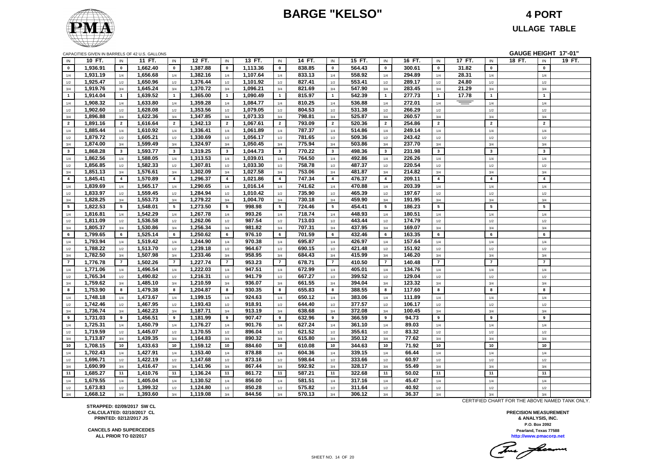### **BARGE "KELSO" 4 PORT**



**ULLAGE TABLE**

| CAPACITIES GIVEN IN BARRELS OF 42 U.S. GALLONS |  |  |  |
|------------------------------------------------|--|--|--|
|                                                |  |  |  |

|                | CAPACITIES GIVEN IN BARRELS OF 42 U.S. GALLONS |                |          |                |          |                |          |                |        |                         |        |                |        |                |        |                         | GAUGE HEIGHT 17'-01" |        |
|----------------|------------------------------------------------|----------------|----------|----------------|----------|----------------|----------|----------------|--------|-------------------------|--------|----------------|--------|----------------|--------|-------------------------|----------------------|--------|
| IN             | 10 FT.                                         | IN             | 11 FT.   | IN             | 12 FT.   | IN             | 13 FT.   | IN             | 14 FT. | IN                      | 15 FT. | IN             | 16 FT. | IN             | 17 FT. | IN                      | 18 FT.<br>IN         | 19 FT. |
| $\bf{0}$       | 1,936.91                                       | $\mathbf 0$    | 1,662.40 | $\mathbf 0$    | 1,387.88 | $\mathbf 0$    | 1,113.36 | $\mathbf 0$    | 838.85 | $\mathbf 0$             | 564.43 | $\mathbf 0$    | 300.61 | $\mathbf 0$    | 31.82  | $\mathbf 0$             | $\mathbf 0$          |        |
| 1/4            | 1,931.19                                       | 1/4            | 1,656.68 | 1/4            | 1,382.16 | 1/4            | 1,107.64 | 1/4            | 833.13 | 1/4                     | 558.92 | 1/4            | 294.89 | 1/4            | 28.31  | 1/4                     | 1/4                  |        |
| 1/2            | 1,925.47                                       | 1/2            | 1,650.96 | $1/2$          | 1,376.44 | 1/2            | 1,101.92 | 1/2            | 827.41 | 1/2                     | 553.41 | 1/2            | 289.17 | 1/2            | 24.80  | 1/2                     | $1/2$                |        |
| 3/4            | 1,919.76                                       | 3/4            | 1,645.24 | 3/4            | 1,370.72 | 3/4            | 1,096.21 | 3/4            | 821.69 | 3/4                     | 547.90 | 3/4            | 283.45 | 3/4            | 21.29  | 3/4                     | 3/4                  |        |
| $\overline{1}$ | 1,914.04                                       | $\overline{1}$ | 1,639.52 | $\mathbf{1}$   | 1,365.00 | $\mathbf{1}$   | 1,090.49 | $\overline{1}$ | 815.97 | $\overline{1}$          | 542.39 | $\overline{1}$ | 277.73 | $\overline{1}$ | 17.78  | $\overline{1}$          | $\overline{1}$       |        |
| 1/4            | 1,908.32                                       | 1/4            | 1,633.80 | 1/4            | 1,359.28 | 1/4            | 1,084.77 | 1/4            | 810.25 | 1/4                     | 536.88 | 1/4            | 272.01 | 1/4            | $=$    | 1/4                     | 1/4                  |        |
| 1/2            | 1,902.60                                       | 1/2            | 1,628.08 | $1/2$          | 1,353.56 | 1/2            | 1,079.05 | 1/2            | 804.53 | 1/2                     | 531.38 | 1/2            | 266.29 | 1/2            |        | 1/2                     | $1/2$                |        |
| 3/4            | 1,896.88                                       | 3/4            | 1,622.36 | 3/4            | 1,347.85 | 3/4            | 1,073.33 | 3/4            | 798.81 | 3/4                     | 525.87 | 3/4            | 260.57 | 3/4            |        | 3/4                     | 3/4                  |        |
| $\overline{2}$ | 1,891.16                                       | $\overline{2}$ | 1,616.64 | $\overline{2}$ | 1,342.13 | $\overline{2}$ | 1,067.61 | $\overline{2}$ | 793.09 | $\overline{2}$          | 520.36 | $\overline{2}$ | 254.86 | $\overline{2}$ |        | $\overline{2}$          | $\overline{2}$       |        |
| 1/4            | 1,885.44                                       | 1/4            | 1,610.92 | 1/4            | 1,336.41 | 1/4            | 1,061.89 | 1/4            | 787.37 | 1/4                     | 514.86 | 1/4            | 249.14 | 1/4            |        | 1/4                     | 1/4                  |        |
| 1/2            | 1,879.72                                       | 1/2            | 1,605.21 | 1/2            | 1,330.69 | 1/2            | 1,056.17 | 1/2            | 781.65 | 1/2                     | 509.36 | 1/2            | 243.42 | 1/2            |        | 1/2                     | 1/2                  |        |
| 3/4            | 1,874.00                                       | 3/4            | 1,599.49 | 3/4            | 1,324.97 | 3/4            | 1,050.45 | 3/4            | 775.94 | 3/4                     | 503.86 | 3/4            | 237.70 | 3/4            |        | 3/4                     | 3/4                  |        |
| $\mathbf{3}$   | 1,868.28                                       | $\mathbf{3}$   | 1,593.77 | $\mathbf{3}$   | 1,319.25 | $\mathbf{3}$   | 1,044.73 | $3^{\circ}$    | 770.22 | $\overline{\mathbf{3}}$ | 498.36 | $\mathbf{3}$   | 231.98 | $\mathbf{3}$   |        | $\overline{\mathbf{3}}$ | $\mathbf{3}$         |        |
| $1/4$          | 1,862.56                                       | 1/4            | 1,588.05 | 1/4            | 1,313.53 | 1/4            | 1,039.01 | 1/4            | 764.50 | 1/4                     | 492.86 | 1/4            | 226.26 | 1/4            |        | 1/4                     | 1/4                  |        |
| 1/2            | 1,856.85                                       | 1/2            | 1,582.33 | 1/2            | 1,307.81 | 1/2            | 1,033.30 | 1/2            | 758.78 | 1/2                     | 487.37 | 1/2            | 220.54 | 1/2            |        | 1/2                     | 1/2                  |        |
| 3/4            | 1,851.13                                       | 3/4            | 1,576.61 | 3/4            | 1,302.09 | 3/4            | 1,027.58 | 3/4            | 753.06 | 3/4                     | 481.87 | 3/4            | 214.82 | 3/4            |        | 3/4                     | 3/4                  |        |
| $\overline{4}$ | 1,845.41                                       | $\overline{4}$ | 1,570.89 | $\overline{4}$ | 1,296.37 | $\overline{4}$ | 1,021.86 | $\overline{4}$ | 747.34 | $\overline{4}$          | 476.37 | $\overline{4}$ | 209.11 | $\overline{4}$ |        | $\overline{4}$          | $\overline{4}$       |        |
| 1/4            | 1,839.69                                       | 1/4            | 1,565.17 | 1/4            | 1,290.65 | 1/4            | 1,016.14 | 1/4            | 741.62 | 1/4                     | 470.88 | 1/4            | 203.39 | 1/4            |        | 1/4                     | 1/4                  |        |
|                | 1,833.97                                       | 1/2            | 1,559.45 | 1/2            | 1,284.94 | 1/2            | 1,010.42 | 1/2            | 735.90 | 1/2                     | 465.39 | 1/2            | 197.67 | 1/2            |        | 1/2                     | 1/2                  |        |
| $1/2$<br>3/4   | 1,828.25                                       | 3/4            | 1,553.73 | 3/4            | 1,279.22 | 3/4            | 1,004.70 | 3/4            | 730.18 | 3/4                     | 459.90 | 3/4            | 191.95 | 3/4            |        | 3/4                     | 3/4                  |        |
| 5              | 1,822.53                                       | 5              | 1,548.01 | 5              | 1,273.50 | 5              | 998.98   | 5              | 724.46 | 5                       | 454.41 | 5              | 186.23 | 5              |        | 5                       | 5                    |        |
|                | 1,816.81                                       | 1/4            | 1,542.29 |                | 1,267.78 |                | 993.26   | 1/4            | 718.74 | 1/4                     | 448.93 | 1/4            | 180.51 | 1/4            |        | 1/4                     | 1/4                  |        |
| 1/4            | 1,811.09                                       |                | 1,536.58 | 1/4            | 1,262.06 | 1/4            | 987.54   |                | 713.03 | 1/2                     | 443.44 |                | 174.79 |                |        |                         |                      |        |
| $1/2\,$        | 1,805.37                                       | 1/2            | 1,530.86 | 1/2            | 1,256.34 | 1/2            | 981.82   | 1/2            | 707.31 |                         | 437.95 | 1/2            | 169.07 | 1/2            |        | 1/2                     | 1/2<br>3/4           |        |
| 3/4<br>6       |                                                | 3/4<br>6       |          | 3/4<br>6       |          | 3/4<br>6       |          | 3/4<br>6       |        | 3/4<br>6                |        | 3/4<br>6       |        | 3/4<br>6       |        | 3/4<br>6                | 6                    |        |
|                | 1,799.65                                       |                | 1,525.14 |                | 1,250.62 |                | 976.10   |                | 701.59 |                         | 432.46 |                | 163.35 |                |        |                         |                      |        |
| 1/4            | 1,793.94                                       | 1/4            | 1,519.42 | 1/4            | 1,244.90 | 1/4            | 970.38   | 1/4            | 695.87 | 1/4                     | 426.97 | 1/4            | 157.64 | 1/4            |        | 1/4                     | 1/4                  |        |
| 1/2            | 1,788.22                                       | 1/2            | 1,513.70 | 1/2            | 1,239.18 | 1/2            | 964.67   | 1/2            | 690.15 | 1/2                     | 421.48 | 1/2            | 151.92 | 1/2            |        | 1/2                     | 1/2                  |        |
| 3/4            | 1,782.50                                       | 3/4            | 1,507.98 | 3/4            | 1,233.46 | 3/4            | 958.95   | 3/4            | 684.43 | 3/4                     | 415.99 | 3/4            | 146.20 | 3/4            |        | 3/4                     | 3/4                  |        |
| $\overline{7}$ | 1,776.78                                       | $\overline{7}$ | 1,502.26 | $\overline{7}$ | 1,227.74 | $\overline{7}$ | 953.23   | $\overline{7}$ | 678.71 | $\overline{7}$          | 410.50 | $\overline{7}$ | 140.48 | $\overline{7}$ |        | $\overline{7}$          | $\overline{7}$       |        |
| 1/4            | 1,771.06                                       | 1/4            | 1,496.54 | 1/4            | 1,222.03 | 1/4            | 947.51   | 1/4            | 672.99 | 1/4                     | 405.01 | 1/4            | 134.76 | 1/4            |        | 1/4                     | 1/4                  |        |
| 1/2            | 1,765.34                                       | 1/2            | 1,490.82 | 1/2            | 1,216.31 | 1/2            | 941.79   | 1/2            | 667.27 | 1/2                     | 399.52 | 1/2            | 129.04 | 1/2            |        | 1/2                     | 1/2                  |        |
| 3/4            | 1,759.62                                       | 3/4            | 1,485.10 | 3/4            | 1,210.59 | 3/4            | 936.07   | 3/4            | 661.55 | 3/4                     | 394.04 | 3/4            | 123.32 | 3/4            |        | 3/4                     | 3/4                  |        |
| 8              | 1,753.90                                       | 8              | 1,479.38 | 8              | 1,204.87 | 8              | 930.35   | 8              | 655.83 | 8                       | 388.55 | 8              | 117.60 | 8              |        | 8                       | 8                    |        |
| 1/4            | 1,748.18                                       | 1/4            | 1,473.67 | 1/4            | 1,199.15 | 1/4            | 924.63   | 1/4            | 650.12 | 1/4                     | 383.06 | 1/4            | 111.89 | 1/4            |        | 1/4                     | 1/4                  |        |
| 1/2            | 1,742.46                                       | 1/2            | 1,467.95 | 1/2            | 1,193.43 | 1/2            | 918.91   | 1/2            | 644.40 | 1/2                     | 377.57 | 1/2            | 106.17 | 1/2            |        | 1/2                     | 1/2                  |        |
| 3/4            | 1,736.74                                       | 3/4            | 1,462.23 | 3/4            | 1,187.71 | 3/4            | 913.19   | $3/4$          | 638.68 | 3/4                     | 372.08 | 3/4            | 100.45 | 3/4            |        | 3/4                     | 3/4                  |        |
| 9              | 1,731.03                                       | 9              | 1,456.51 | 9              | 1,181.99 | 9              | 907.47   | 9              | 632.96 | 9                       | 366.59 | 9              | 94.73  | 9              |        | 9                       | 9                    |        |
| 1/4            | 1,725.31                                       | 1/4            | 1,450.79 | 1/4            | 1,176.27 | 1/4            | 901.76   | 1/4            | 627.24 | 1/4                     | 361.10 | 1/4            | 89.03  | 1/4            |        | 1/4                     | 1/4                  |        |
| 1/2            | 1,719.59                                       | 1/2            | 1,445.07 | 1/2            | 1,170.55 | 1/2            | 896.04   | 1/2            | 621.52 | 1/2                     | 355.61 | 1/2            | 83.32  | 1/2            |        | 1/2                     | 1/2                  |        |
| 3/4            | 1,713.87                                       | 3/4            | 1,439.35 | 3/4            | 1,164.83 | 3/4            | 890.32   | 3/4            | 615.80 | 3/4                     | 350.12 | 3/4            | 77.62  | 3/4            |        | 3/4                     | 3/4                  |        |
| 10             | 1,708.15                                       | 10             | 1,433.63 | 10             | 1,159.12 | 10             | 884.60   | 10             | 610.08 | 10                      | 344.63 | 10             | 71.92  | 10             |        | 10                      | 10                   |        |
| 1/4            | 1,702.43                                       | 1/4            | 1,427.91 | 1/4            | 1,153.40 | 1/4            | 878.88   | 1/4            | 604.36 | 1/4                     | 339.15 | 1/4            | 66.44  | 1/4            |        | 1/4                     | 1/4                  |        |
| 1/2            | 1,696.71                                       | 1/2            | 1.422.19 | 1/2            | 1,147.68 | 1/2            | 873.16   | 1/2            | 598.64 | 1/2                     | 333.66 | 1/2            | 60.97  | 1/2            |        | 1/2                     | 1/2                  |        |
| 3/4            | 1,690.99                                       | 3/4            | 1,416.47 | 3/4            | 1,141.96 | 3/4            | 867.44   | 3/4            | 592.92 | 3/4                     | 328.17 | 3/4            | 55.49  | 3/4            |        | 3/4                     | 3/4                  |        |
| 11             | 1,685.27                                       | 11             | 1,410.76 | 11             | 1,136.24 | 11             | 861.72   | 11             | 587.21 | 11                      | 322.68 | 11             | 50.02  | 11             |        | 11                      | 11                   |        |
| 1/4            | 1,679.55                                       | 1/4            | 1,405.04 | 1/4            | 1,130.52 | 1/4            | 856.00   | 1/4            | 581.51 | 1/4                     | 317.16 | 1/4            | 45.47  | 1/4            |        | 1/4                     | 1/4                  |        |
| $1/2\,$        | 1,673.83                                       | 1/2            | 1,399.32 | 1/2            | 1,124.80 | 1/2            | 850.28   | 1/2            | 575.82 | 1/2                     | 311.64 | 1/2            | 40.92  | 1/2            |        | 1/2                     | 1/2                  |        |
| 3/4            | 1,668.12                                       | 3/4            | 1,393.60 | 3/4            | 1,119.08 | 3/4            | 844.56   | 3/4            | 570.13 | 3/4                     | 306.12 | 3/4            | 36.37  | 3/4            |        | 3/4                     | 3/4                  |        |

**STRAPPED: 02/09/2017 SW CL CALCULATED: 02/10/2017 CL PRINTED: 02/12/2017 JS**

**CANCELS AND SUPERCEDES ALL PRIOR TO 02/2017**

CERTIFIED CHART FOR THE ABOVE NAMED TANK ONLY.

Tomas facermen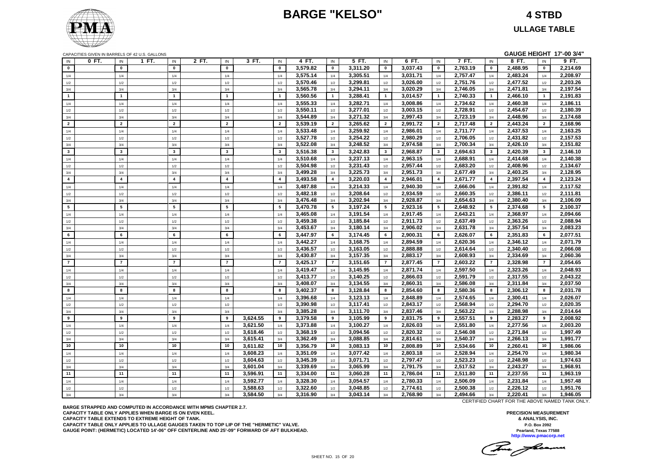### **BARGE "KELSO" 4 STBD**



**ULLAGE TABLE**

|                | CAPACITIES GIVEN IN BARRELS OF 42 U.S. GALLONS |                 |                 |       |                         |                      |                         |                      |                |                      |                         |                      |                |                      |                         | GAUGE HEIGHT 17'-00 3/4" |                |                      |
|----------------|------------------------------------------------|-----------------|-----------------|-------|-------------------------|----------------------|-------------------------|----------------------|----------------|----------------------|-------------------------|----------------------|----------------|----------------------|-------------------------|--------------------------|----------------|----------------------|
| IN             | 0 FT.                                          | IN              | 1 FT.<br>IN     | 2 FT. | IN                      | 3 FT.                | IN                      | 4 FT.                | IN             | 5 FT.                | IN                      | 6 FT.                | IN             | 7 FT.                | IN                      | 8 FT.                    | IN             | 9 FT.                |
| $\mathbf{0}$   |                                                | $\mathbf{0}$    | $\mathbf{0}$    |       | $\mathbf{0}$            |                      | $\mathbf{0}$            | 3,579.82             | $\mathbf{0}$   | 3,311.20             | $\mathbf{0}$            | 3,037.43             | $\mathbf{0}$   | 2,763.19             | $\pmb{0}$               | 2,488.95                 | $\mathbf{0}$   | 2,214.69             |
| 1/4            |                                                | 1/4             | 1/4             |       | 1/4                     |                      | 1/4                     | 3,575.14             | 1/4            | 3,305.51             | 1/4                     | 3,031.71             | 1/4            | 2,757.47             | 1/4                     | 2,483.24                 | 1/4            | 2,208.97             |
| 1/2            |                                                | 1/2             | 1/2             |       | 1/2                     |                      | 1/2                     | 3,570.46             | 1/2            | 3,299.81             | 1/2                     | 3,026.00             | 1/2            | 2,751.76             | 1/2                     | 2,477.52                 | 1/2            | 2,203.26             |
| 3/4            |                                                | 3/4             | 3/4             |       | 3/4                     |                      | 3/4                     | 3,565.78             | 3/4            | 3,294.11             | 3/4                     | 3,020.29             | 3/4            | 2,746.05             | 3/4                     | 2,471.81                 | 3/4            | 2,197.54             |
| $\mathbf{1}$   |                                                | $\mathbf{1}$    | $\mathbf{1}$    |       | $\mathbf{1}$            |                      | $\mathbf{1}$            | 3,560.56             | $\mathbf{1}$   | 3,288.41             | $\mathbf{1}$            | 3,014.57             | $\mathbf{1}$   | 2,740.33             | $\overline{1}$          | 2,466.10                 | $\overline{1}$ | 2,191.83             |
| 1/4            |                                                | $1/4$           | 1/4             |       | 1/4                     |                      | 1/4                     | 3,555.33             | 1/4            | 3,282.71             | 1/4                     | 3,008.86             | 1/4            | 2,734.62             | 1/4                     | 2,460.38                 | 1/4            | 2,186.11             |
| 1/2            |                                                | 1/2             | 1/2             |       | 1/2                     |                      | 1/2                     | 3,550.11             | 1/2            | 3,277.01             | 1/2                     | 3,003.15             | 1/2            | 2,728.91             | 1/2                     | 2,454.67                 | 1/2            | 2,180.39             |
| 3/4            |                                                | 3/4             | 3/4             |       | 3/4                     |                      | 3/4                     | 3,544.89             | 3/4            | 3,271.32             | 3/4                     | 2,997.43             | 3/4            | 2,723.19             | 3/4                     | 2,448.96                 | 3/4            | 2,174.68             |
| $\overline{2}$ |                                                | $\overline{2}$  | $\overline{2}$  |       | $\overline{2}$          |                      | $\overline{2}$          | 3,539.19             | $\overline{2}$ | 3,265.62             | $\overline{2}$          | 2,991.72             | $\overline{2}$ | 2,717.48             | $\overline{2}$          | 2,443.24                 | $\overline{2}$ | 2,168.96             |
| 1/4            |                                                | 1/4             | 1/4             |       | 1/4                     |                      | 1/4                     | 3,533.48             | 1/4            | 3,259.92             | 1/4                     | 2,986.01             | 1/4            | 2,711.77             | 1/4                     | 2,437.53                 | 1/4            | 2,163.25             |
| 1/2            |                                                | 1/2             | 1/2             |       | 1/2                     |                      | 1/2                     | 3,527.78             | 1/2            | 3,254.22             | 1/2                     | 2,980.29             | 1/2            | 2,706.05             | 1/2                     | 2,431.82                 | 1/2            | 2,157.53             |
| 3/4            |                                                | 3/4             | 3/4             |       | 3/4                     |                      | 3/4                     | 3,522.08             | 3/4            | 3,248.52             | 3/4                     | 2,974.58             | 3/4            | 2,700.34             | 3/4                     | 2,426.10                 | 3/4            | 2,151.82             |
| $\mathbf{3}$   |                                                | $\mathbf{3}$    | $\mathbf{3}$    |       | $\mathbf{3}$            |                      | $\mathbf{3}$            | 3,516.38             | $\mathbf{3}$   | 3,242.83             | $\mathbf{3}$            | 2,968.87             | $\mathbf{3}$   | 2,694.63             | $\mathbf{3}$            | 2,420.39                 | $\mathbf{3}$   | 2,146.10             |
| 1/4            |                                                | 1/4             | 1/4             |       | 1/4                     |                      | 1/4                     | 3,510.68             | 1/4            | 3,237.13             | 1/4                     | 2,963.15             | 1/4            | 2,688.91             | 1/4                     | 2,414.68                 | 1/4            | 2,140.38             |
| 1/2            |                                                | $1/2$           | 1/2             |       | 1/2                     |                      | 1/2                     | 3,504.98             | 1/2            | 3,231.43             | $1/2$                   | 2,957.44             | 1/2            | 2,683.20             | $1/2$                   | 2,408.96                 | 1/2            | 2,134.67             |
| 3/4            |                                                | 3/4             | 3/4             |       | 3/4                     |                      | 3/4                     | 3,499.28             | 3/4            | 3,225.73             | 3/4                     | 2,951.73             | 3/4            | 2,677.49             | 3/4                     | 2,403.25                 | 3/4            | 2,128.95             |
| $\overline{4}$ |                                                | $\overline{4}$  | $\overline{4}$  |       | $\overline{\mathbf{4}}$ |                      | $\overline{\mathbf{4}}$ | 3,493.58             | $\overline{4}$ | 3,220.03             | $\overline{\mathbf{4}}$ | 2,946.01             | $\overline{4}$ | 2,671.77             | $\overline{\mathbf{4}}$ | 2,397.54                 | $\overline{4}$ | 2,123.24             |
| 1/4            |                                                | 1/4             | 1/4             |       | 1/4                     |                      | 1/4                     | 3,487.88             | 1/4            | 3,214.33             | 1/4                     | 2,940.30             | 1/4            | 2,666.06             | 1/4                     | 2,391.82                 | 1/4            | 2,117.52             |
| 1/2            |                                                | 1/2             | 1/2             |       | 1/2                     |                      | 1/2                     | 3,482.18             | 1/2            | 3,208.64             | 1/2                     | 2,934.59             | 1/2            | 2,660.35             | 1/2                     | 2,386.11                 | 1/2            | 2,111.81             |
| 3/4            |                                                | 3/4             | 3/4             |       | 3/4                     |                      | 3/4                     | 3,476.48             | 3/4            | 3,202.94             | 3/4                     | 2,928.87             | 3/4            | 2,654.63             | 3/4                     | 2,380.40                 | 3/4            | 2,106.09             |
| 5              |                                                | $5\phantom{.0}$ | $5\phantom{.0}$ |       | 5                       |                      | 5                       | 3,470.78             | 5              | 3,197.24             | $5\phantom{.0}$         | 2,923.16             | 5              | 2,648.92             | 5                       | 2,374.68                 | 5              | 2,100.37             |
| 1/4            |                                                | 1/4             | 1/4             |       | 1/4                     |                      | 1/4                     | 3,465.08             | 1/4            | 3,191.54             | 1/4                     | 2,917.45             | 1/4            | 2,643.21             | 1/4                     | 2,368.97                 | 1/4            | 2,094.66             |
| 1/2            |                                                | 1/2             | 1/2             |       | 1/2                     |                      | 1/2                     | 3,459.38             | 1/2            | 3,185.84             | 1/2                     | 2,911.73             | 1/2            | 2,637.49             | 1/2                     | 2,363.26                 | 1/2            | 2,088.94             |
| 3/4            |                                                | 3/4             | 3/4             |       | 3/4                     |                      | 3/4                     | 3,453.67             | 3/4            | 3,180.14             | 3/4                     | 2,906.02             | 3/4            | 2,631.78             | 3/4                     | 2,357.54                 | 3/4            | 2,083.23             |
| 6              |                                                | 6               | 6               |       | 6                       |                      | 6                       | 3,447.97             | 6              | 3,174.45             | 6                       | 2,900.31             | 6              | 2,626.07             | 6                       | 2,351.83                 | 6              | 2,077.51             |
|                |                                                |                 | 1/4             |       |                         |                      | 1/4                     | 3,442.27             |                | 3,168.75             | 1/4                     | 2,894.59             |                | 2,620.36             |                         | 2,346.12                 | 1/4            | 2,071.79             |
| 1/4            |                                                | $1/4$           |                 |       | $1/4$                   |                      |                         | 3,436.57             | 1/4            | 3,163.05             |                         | 2,888.88             | 1/4            | 2,614.64             | $1/4$                   | 2,340.40                 |                | 2,066.08             |
| 1/2<br>3/4     |                                                | 1/2<br>3/4      | 1/2<br>3/4      |       | 1/2<br>3/4              |                      | 1/2<br>3/4              | 3,430.87             | 1/2<br>3/4     | 3,157.35             | 1/2<br>3/4              | 2,883.17             | 1/2<br>3/4     | 2,608.93             | $1/2$<br>3/4            | 2,334.69                 | 1/2<br>3/4     | 2,060.36             |
| $\overline{7}$ |                                                | $\overline{7}$  | $\overline{7}$  |       | $\overline{7}$          |                      | $\overline{7}$          | 3.425.17             | $\overline{7}$ | 3,151.65             | $\overline{7}$          | 2.877.45             | $\overline{7}$ | 2,603.22             | $\overline{7}$          | 2.328.98                 | $\overline{7}$ | 2.054.65             |
| 1/4            |                                                | 1/4             | 1/4             |       | 1/4                     |                      | 1/4                     | 3,419.47             | 1/4            | 3,145.95             | 1/4                     | 2,871.74             | 1/4            | 2,597.50             | 1/4                     | 2,323.26                 | 1/4            | 2,048.93             |
|                |                                                | 1/2             | 1/2             |       | 1/2                     |                      | 1/2                     | 3,413.77             | 1/2            | 3,140.25             |                         | 2,866.03             | 1/2            | 2,591.79             | 1/2                     | 2,317.55                 | 1/2            | 2,043.22             |
| 1/2<br>3/4     |                                                | 3/4             | 3/4             |       | 3/4                     |                      | 3/4                     | 3,408.07             | 3/4            | 3,134.55             | 1/2<br>3/4              | 2,860.31             | 3/4            | 2,586.08             | 3/4                     | 2,311.84                 | 3/4            | 2,037.50             |
| 8              |                                                | 8               | 8               |       | 8                       |                      | 8                       | 3,402.37             | 8              | 3,128.84             | 8                       | 2,854.60             | 8              | 2,580.36             | 8                       | 2,306.12                 | 8              | 2,031.78             |
|                |                                                |                 |                 |       |                         |                      |                         |                      |                |                      |                         |                      |                |                      |                         |                          |                | 2,026.07             |
| 1/4            |                                                | $1/4$           | 1/4             |       | 1/4                     |                      | 1/4                     | 3,396.68<br>3,390.98 | 1/4            | 3,123.13<br>3,117.41 | 1/4                     | 2,848.89<br>2,843.17 | 1/4            | 2,574.65             | 1/4                     | 2,300.41<br>2,294.70     | 1/4            | 2,020.35             |
| 1/2            |                                                | 1/2             | 1/2             |       | 1/2                     |                      | 1/2<br>3/4              | 3,385.28             | 1/2<br>3/4     | 3,111.70             | 1/2                     | 2,837.46             | 1/2            | 2,568.94<br>2,563.22 | $1/2\,$<br>3/4          | 2,288.98                 | 1/2            | 2,014.64             |
| 3/4<br>9       |                                                | 3/4<br>9        | 3/4<br>9        |       | 3/4<br>9                | 3,624.55             | 9                       | 3,379.58             | 9              | 3,105.99             | 3/4<br>9                | 2,831.75             | 3/4<br>9       | 2,557.51             | 9                       | 2,283.27                 | 3/4<br>9       | 2,008.92             |
|                |                                                |                 |                 |       |                         |                      |                         |                      |                |                      |                         |                      |                |                      |                         |                          |                |                      |
| 1/4            |                                                | $1/4$           | 1/4             |       | 1/4                     | 3,621.50             | 1/4                     | 3,373.88             | 1/4            | 3,100.27             | 1/4                     | 2,826.03             | 1/4            | 2,551.80             | 1/4                     | 2,277.56                 | 1/4            | 2,003.20             |
| 1/2            |                                                | 1/2             | 1/2             |       | 1/2                     | 3,618.46<br>3,615.41 | 1/2                     | 3.368.19<br>3,362.49 | 1/2            | 3.094.56<br>3,088.85 | 1/2                     | 2.820.32             | 1/2            | 2,546.08             | 1/2                     | 2.271.84<br>2,266.13     | 1/2            | 1,997.49<br>1,991.77 |
| 3/4            |                                                | 3/4             | 3/4             |       | 3/4                     |                      | 3/4                     |                      | 3/4            |                      | 3/4                     | 2,814.61             | 3/4            | 2,540.37             | 3/4                     |                          | 3/4            |                      |
| 10             |                                                | 10              | 10              |       | 10                      | 3,611.82             | 10                      | 3,356.79             | 10             | 3.083.13             | 10                      | 2.808.89             | 10             | 2,534.66             | 10                      | 2.260.41                 | 10             | 1.986.06             |
| 1/4            |                                                | 1/4             | 1/4             |       | 1/4                     | 3,608.23             | 1/4                     | 3,351.09             | 1/4            | 3,077.42             | 1/4                     | 2,803.18             | 1/4            | 2,528.94             | 1/4                     | 2,254.70                 | 1/4            | 1,980.34             |
| 1/2            |                                                | 1/2             | 1/2             |       | 1/2                     | 3,604.63             | 1/2                     | 3,345.39             | 1/2            | 3.071.71             | 1/2                     | 2,797.47             | 1/2            | 2,523.23             | 1/2                     | 2,248.98                 | 1/2            | 1,974.63             |
| 3/4            |                                                | 3/4             | 3/4             |       | 3/4                     | 3,601.04             | 3/4                     | 3,339.69             | 3/4            | 3,065.99             | 3/4                     | 2,791.75             | 3/4            | 2,517.52             | 3/4                     | 2,243.27                 | 3/4            | 1,968.91             |
| 11             |                                                | 11              | 11              |       | 11                      | 3,596.91             | 11                      | 3,334.00             | 11             | 3,060.28             | 11                      | 2,786.04             | 11             | 2,511.80             | 11                      | 2,237.55                 | 11             | 1,963.19             |
| 1/4            |                                                | 1/4             | 1/4             |       | 1/4                     | 3,592.77             | 1/4                     | 3,328.30             | 1/4            | 3,054.57             | 1/4                     | 2,780.33             | 1/4            | 2,506.09             | 1/4                     | 2,231.84                 | 1/4            | 1,957.48             |
| $1/2\,$        |                                                | 1/2             | 1/2             |       | 1/2                     | 3,588.63             | 1/2                     | 3,322.60             | 1/2            | 3,048.85             | 1/2                     | 2,774.61             | 1/2            | 2,500.38             | 1/2                     | 2,226.12                 | 1/2            | 1,951.76             |
| $3/4$          |                                                | 3/4             | 3/4             |       | 3/4                     | 3,584.50             | 3/4                     | 3,316.90             | 3/4            | 3,043.14             | 3/4                     | 2,768.90             | 3/4            | 2,494.66             | 3/4                     | 2,220.41                 | 3/4            | 1,946.05             |

**BARGE STRAPPED AND COMPUTED IN ACCORDANCE WITH MPMS CHAPTER 2.7. CAPACITY TABLE ONLY APPLIES WHEN BARGE IS ON EVEN KEEL. CAPACITY TABLE EXTENDS TO EXTREME HEIGHT OF TANK. CAPACITY TABLE ONLY APPLIES TO ULLAGE GAUGES TAKEN TO TOP LIP OF THE "HERMETIC" VALVE. GAUGE POINT: (HERMETIC) LOCATED 14'-06" OFF CENTERLINE AND 25'-09" FORWARD OF AFT BULKHEAD.** CERTIFIED CHART FOR THE ABOVE NAMED TANK ONLY.

This floam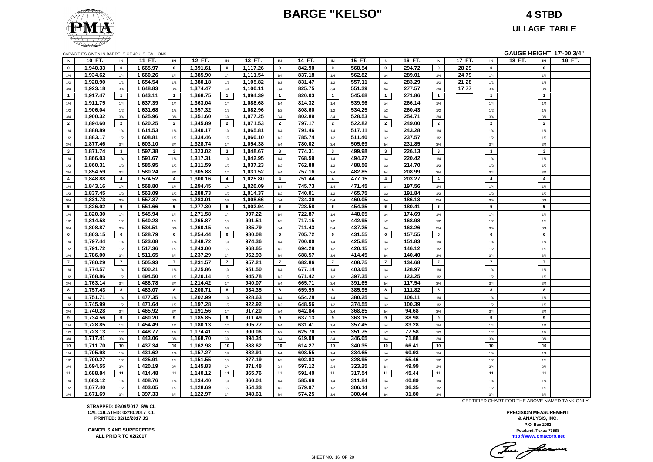### **BARGE "KELSO" 4 STBD**



**ULLAGE TABLE**

| CAPACITIES GIVEN IN BARRELS OF 42 U.S. GALLONS |
|------------------------------------------------|
|------------------------------------------------|

| GAUGE HEIGHT 17'-00 3/4"<br>CAPACITIES GIVEN IN BARRELS OF 42 U.S. GALLONS |          |                 |          |                  |          |                |          |                 |        |                 |        |                 |        |                |        |                         |        |                 |        |
|----------------------------------------------------------------------------|----------|-----------------|----------|------------------|----------|----------------|----------|-----------------|--------|-----------------|--------|-----------------|--------|----------------|--------|-------------------------|--------|-----------------|--------|
| IN                                                                         | 10 FT.   | IN              | 11 FT.   | IN               | 12 FT.   | IN             | 13 FT.   | IN              | 14 FT. | IN              | 15 FT. | IN              | 16 FT. | IN             | 17 FT. | IN                      | 18 FT. | IN              | 19 FT. |
| $\bf{0}$                                                                   | 1,940.33 | $\mathbf 0$     | 1,665.97 | $\mathbf 0$      | 1,391.61 | $\mathbf 0$    | 1,117.26 | $\mathbf{0}$    | 842.90 | $\mathbf 0$     | 568.54 | $\mathbf{0}$    | 294.72 | $\mathbf 0$    | 28.29  | $\mathbf 0$             |        | $\mathbf 0$     |        |
| 1/4                                                                        | 1,934.62 | 1/4             | 1,660.26 | $1/4$            | 1,385.90 | 1/4            | 1,111.54 | 1/4             | 837.18 | 1/4             | 562.82 | 1/4             | 289.01 | 1/4            | 24.79  | 1/4                     |        | 1/4             |        |
| 1/2                                                                        | 1,928.90 | 1/2             | 1,654.54 | 1/2              | 1,380.18 | 1/2            | 1,105.82 | 1/2             | 831.47 | 1/2             | 557.11 | 1/2             | 283.29 | 1/2            | 21.28  | 1/2                     |        | $1/2$           |        |
| 3/4                                                                        | 1,923.18 | 3/4             | 1,648.83 | 3/4              | 1,374.47 | 3/4            | 1,100.11 | 3/4             | 825.75 | 3/4             | 551.39 | 3/4             | 277.57 | 3/4            | 17.77  | 3/4                     |        | 3/4             |        |
| $\overline{1}$                                                             | 1,917.47 | $\mathbf{1}$    | 1,643.11 | $\mathbf{1}$     | 1,368.75 | $\overline{1}$ | 1,094.39 | $\mathbf{1}$    | 820.03 | $\overline{1}$  | 545.68 | $\mathbf{1}$    | 271.86 | $\mathbf{1}$   | $=$    | $\mathbf{1}$            |        | $\mathbf{1}$    |        |
| 1/4                                                                        | 1,911.75 | 1/4             | 1,637.39 | 1/4              | 1,363.04 | 1/4            | 1,088.68 | 1/4             | 814.32 | 1/4             | 539.96 | 1/4             | 266.14 | 1/4            |        | 1/4                     |        | 1/4             |        |
| $1/2\,$                                                                    | 1,906.04 | 1/2             | 1,631.68 | 1/2              | 1,357.32 | 1/2            | 1,082.96 | 1/2             | 808.60 | 1/2             | 534.25 | 1/2             | 260.43 | 1/2            |        | 1/2                     |        | 1/2             |        |
| 3/4                                                                        | 1,900.32 | 3/4             | 1,625.96 | 3/4              | 1,351.60 | 3/4            | 1,077.25 | 3/4             | 802.89 | 3/4             | 528.53 | 3/4             | 254.71 | 3/4            |        | 3/4                     |        | 3/4             |        |
| $\overline{2}$                                                             | 1,894.60 | $\overline{2}$  | 1,620.25 | $\overline{2}$   | 1,345.89 | $\overline{2}$ | 1,071.53 | $\overline{2}$  | 797.17 | $\overline{2}$  | 522.82 | $\overline{2}$  | 249.00 | $\overline{2}$ |        | $\overline{2}$          |        | $\overline{2}$  |        |
| 1/4                                                                        | 1,888.89 | 1/4             | 1,614.53 | $1/4$            | 1,340.17 | 1/4            | 1,065.81 | 1/4             | 791.46 | 1/4             | 517.11 | 1/4             | 243.28 | 1/4            |        | 1/4                     |        | 1/4             |        |
| 1/2                                                                        | 1,883.17 | $1/2\,$         | 1,608.81 | 1/2              | 1,334.46 | 1/2            | 1,060.10 | 1/2             | 785.74 | 1/2             | 511.40 | 1/2             | 237.57 | 1/2            |        | 1/2                     |        | $1/2$           |        |
| 3/4                                                                        | 1,877.46 | 3/4             | 1,603.10 | 3/4              | 1,328.74 | 3/4            | 1,054.38 | 3/4             | 780.02 | 3/4             | 505.69 | 3/4             | 231.85 | 3/4            |        | 3/4                     |        | 3/4             |        |
| $\mathbf{3}$                                                               | 1,871.74 | $\mathbf{3}$    | 1,597.38 | $\mathbf{3}$     | 1,323.02 | $\mathbf{3}$   | 1,048.67 | $3^{\circ}$     | 774.31 | $\mathbf{3}$    | 499.98 | 3               | 226.13 | $\mathbf{3}$   |        | $\mathbf{3}$            |        | $\mathbf{3}$    |        |
| 1/4                                                                        | 1,866.03 | 1/4             | 1,591.67 | 1/4              | 1,317.31 | 1/4            | 1,042.95 | 1/4             | 768.59 | 1/4             | 494.27 | 1/4             | 220.42 | 1/4            |        | 1/4                     |        | 1/4             |        |
| $1/2\,$                                                                    | 1,860.31 | $1/2\,$         | 1,585.95 | 1/2              | 1,311.59 | 1/2            | 1,037.23 | 1/2             | 762.88 | 1/2             | 488.56 | 1/2             | 214.70 | 1/2            |        | 1/2                     |        | $1/2$           |        |
| 3/4                                                                        | 1,854.59 | 3/4             | 1,580.24 | 3/4              | 1,305.88 | 3/4            | 1,031.52 | 3/4             | 757.16 | 3/4             | 482.85 | 3/4             | 208.99 | 3/4            |        | 3/4                     |        | 3/4             |        |
| $\overline{\mathbf{4}}$                                                    | 1,848.88 | $\overline{4}$  | 1,574.52 | $\overline{4}$   | 1,300.16 | $\overline{4}$ | 1,025.80 | $\overline{4}$  | 751.44 | $\overline{4}$  | 477.15 | $\overline{4}$  | 203.27 | $\overline{4}$ |        | $\overline{\mathbf{4}}$ |        | $\overline{4}$  |        |
| 1/4                                                                        | 1,843.16 | 1/4             | 1,568.80 | 1/4              | 1,294.45 | 1/4            | 1,020.09 | $1/4$           | 745.73 | 1/4             | 471.45 | 1/4             | 197.56 | 1/4            |        | $1/4$                   |        | 1/4             |        |
| $1/2$                                                                      | 1,837.45 | $1/2\,$         | 1,563.09 | $1/2$            | 1,288.73 | 1/2            | 1,014.37 | 1/2             | 740.01 | 1/2             | 465.75 | 1/2             | 191.84 | 1/2            |        | 1/2                     |        | 1/2             |        |
| 3/4                                                                        | 1,831.73 | 3/4             | 1,557.37 | 3/4              | 1,283.01 | 3/4            | 1,008.66 | 3/4             | 734.30 | 3/4             | 460.05 | 3/4             | 186.13 | 3/4            |        | 3/4                     |        | 3/4             |        |
| $5\overline{5}$                                                            | 1,826.02 | $5\phantom{.0}$ | 1,551.66 | $5\phantom{.0}$  | 1,277.30 | 5              | 1,002.94 | $5\overline{5}$ | 728.58 | $5\overline{5}$ | 454.35 | $5\overline{5}$ | 180.41 | 5              |        | $5\overline{5}$         |        | $5\overline{5}$ |        |
| 1/4                                                                        | 1,820.30 | 1/4             | 1,545.94 | $1/4$            | 1,271.58 | 1/4            | 997.22   | 1/4             | 722.87 | 1/4             | 448.65 | 1/4             | 174.69 | 1/4            |        | 1/4                     |        | 1/4             |        |
| $1/2\,$                                                                    | 1,814.58 | 1/2             | 1,540.23 | 1/2              | 1,265.87 | 1/2            | 991.51   | 1/2             | 717.15 | 1/2             | 442.95 | 1/2             | 168.98 | 1/2            |        | 1/2                     |        | $1/2$           |        |
| 3/4                                                                        | 1,808.87 | 3/4             | 1,534.51 | 3/4              | 1,260.15 | 3/4            | 985.79   | 3/4             | 711.43 | 3/4             | 437.25 | 3/4             | 163.26 | 3/4            |        | 3/4                     |        | 3/4             |        |
| 6                                                                          | 1,803.15 | 6               | 1,528.79 | 6                | 1,254.44 | 6              | 980.08   | 6               | 705.72 | 6               | 431.55 | 6               | 157.55 | 6              |        | 6                       |        | 6               |        |
| 1/4                                                                        | 1,797.44 | 1/4             | 1,523.08 | $1/4$            | 1,248.72 | 1/4            | 974.36   | $1/4$           | 700.00 | 1/4             | 425.85 | 1/4             | 151.83 | 1/4            |        | 1/4                     |        | 1/4             |        |
| 1/2                                                                        | 1,791.72 | 1/2             | 1,517.36 | 1/2              | 1,243.00 | 1/2            | 968.65   | 1/2             | 694.29 | 1/2             | 420.15 | 1/2             | 146.12 | 1/2            |        | 1/2                     |        | 1/2             |        |
| 3/4                                                                        | 1,786.00 | 3/4             | 1,511.65 | 3/4              | 1,237.29 | 3/4            | 962.93   | 3/4             | 688.57 | 3/4             | 414.45 | 3/4             | 140.40 | 3/4            |        | 3/4                     |        | 3/4             |        |
| $\overline{7}$                                                             | 1,780.29 | $\overline{7}$  | 1,505.93 | $\overline{7}$   | 1,231.57 | $\overline{7}$ | 957.21   | $\overline{7}$  | 682.86 | $\overline{7}$  | 408.75 | $\overline{7}$  | 134.68 | $\overline{7}$ |        | $\overline{7}$          |        | $\overline{7}$  |        |
| 1/4                                                                        | 1,774.57 | 1/4             | 1,500.21 | $1/4$            | 1,225.86 | 1/4            | 951.50   | 1/4             | 677.14 | 1/4             | 403.05 | 1/4             | 128.97 | 1/4            |        | 1/4                     |        | 1/4             |        |
| $1/2$                                                                      | 1,768.86 | $1/2$           | 1,494.50 | $1/2$            | 1,220.14 | 1/2            | 945.78   | 1/2             | 671.42 | 1/2             | 397.35 | 1/2             | 123.25 | 1/2            |        | 1/2                     |        | $1/2$           |        |
| 3/4                                                                        | 1,763.14 | 3/4             | 1,488.78 | 3/4              | 1,214.42 | 3/4            | 940.07   | 3/4             | 665.71 | 3/4             | 391.65 | 3/4             | 117.54 | 3/4            |        | 3/4                     |        | 3/4             |        |
| 8                                                                          | 1,757.43 | 8               | 1,483.07 | 8                | 1,208.71 | 8              | 934.35   | 8               | 659.99 | 8               | 385.95 | 8               | 111.82 | 8              |        | 8                       |        | 8               |        |
| 1/4                                                                        | 1,751.71 | 1/4             | 1,477.35 | 1/4              | 1,202.99 | 1/4            | 928.63   | 1/4             | 654.28 | 1/4             | 380.25 | 1/4             | 106.11 | 1/4            |        | 1/4                     |        | 1/4             |        |
| $1/2\,$                                                                    | 1,745.99 | 1/2             | 1,471.64 | 1/2              | 1,197.28 | 1/2            | 922.92   | 1/2             | 648.56 | 1/2             | 374.55 | 1/2             | 100.39 | 1/2            |        | 1/2                     |        | 1/2             |        |
| 3/4                                                                        | 1,740.28 | 3/4             | 1,465.92 | 3/4              | 1,191.56 | 3/4            | 917.20   | 3/4             | 642.84 | 3/4             | 368.85 | 3/4             | 94.68  | 3/4            |        | 3/4                     |        | 3/4             |        |
| 9                                                                          | 1,734.56 | 9               | 1,460.20 | $\boldsymbol{9}$ | 1,185.85 | 9              | 911.49   | 9               | 637.13 | 9               | 363.15 | 9               | 88.98  | 9              |        | 9                       |        | 9               |        |
| 1/4                                                                        | 1,728.85 | $1/4$           | 1,454.49 | $1/4$            | 1,180.13 | 1/4            | 905.77   | 1/4             | 631.41 | 1/4             | 357.45 | 1/4             | 83.28  | 1/4            |        | 1/4                     |        | 1/4             |        |
| 1/2                                                                        | 1,723.13 | $1/2\,$         | 1,448.77 | $1/2$            | 1,174.41 | 1/2            | 900.06   | 1/2             | 625.70 | 1/2             | 351.75 | $1/2\,$         | 77.58  | 1/2            |        | 1/2                     |        | $1/2$           |        |
| 3/4                                                                        | 1,717.41 | 3/4             | 1,443.06 | 3/4              | 1,168.70 | 3/4            | 894.34   | 3/4             | 619.98 | 3/4             | 346.05 | 3/4             | 71.88  | 3/4            |        | 3/4                     |        | 3/4             |        |
| 10                                                                         | 1,711.70 | 10              | 1,437.34 | 10               | 1,162.98 | 10             | 888.62   | 10              | 614.27 | 10              | 340.35 | 10              | 66.41  | 10             |        | 10                      |        | $10\,$          |        |
| 1/4                                                                        | 1,705.98 | 1/4             | 1,431.62 | 1/4              | 1,157.27 | 1/4            | 882.91   | 1/4             | 608.55 | 1/4             | 334.65 | 1/4             | 60.93  | 1/4            |        | 1/4                     |        | 1/4             |        |
| $1/2\,$                                                                    | 1,700.27 | 1/2             | 1,425.91 | 1/2              | 1,151.55 | 1/2            | 877.19   | 1/2             | 602.83 | 1/2             | 328.95 | 1/2             | 55.46  | 1/2            |        | 1/2                     |        | 1/2             |        |
| 3/4                                                                        | 1,694.55 | 3/4             | 1,420.19 | 3/4              | 1,145.83 | 3/4            | 871.48   | 3/4             | 597.12 | 3/4             | 323.25 | 3/4             | 49.99  | 3/4            |        | 3/4                     |        | 3/4             |        |
| 11                                                                         | 1,688.84 | 11              | 1,414.48 | 11               | 1,140.12 | 11             | 865.76   | 11              | 591.40 | 11              | 317.54 | 11              | 45.44  | 11             |        | 11                      |        | 11              |        |
| 1/4                                                                        | 1,683.12 | $1/4$           | 1,408.76 | $1/4$            | 1,134.40 | 1/4            | 860.04   | 1/4             | 585.69 | 1/4             | 311.84 | 1/4             | 40.89  | 1/4            |        | 1/4                     |        | 1/4             |        |
| $1/2$                                                                      | 1,677.40 | 1/2             | 1,403.05 | $1/2$            | 1,128.69 | 1/2            | 854.33   | 1/2             | 579.97 | 1/2             | 306.14 | 1/2             | 36.35  | 1/2            |        | 1/2                     |        | 1/2             |        |
| 3/4                                                                        | 1,671.69 | 3/4             | 1,397.33 | 3/4              | 1,122.97 | 3/4            | 848.61   | 3/4             | 574.25 | 3/4             | 300.44 | 3/4             | 31.80  | 3/4            |        | 3/4                     |        | 3/4             |        |

CERTIFIED CHART FOR THE ABOVE NAMED TANK ONLY.

**http://www.pmacorp.net Pearland, Texas 77588 PRECISION MEASUREMENT & ANALYSIS, INC. P.O. Box 2092**

Tomas facermen

**STRAPPED: 02/09/2017 SW CL CALCULATED: 02/10/2017 CL PRINTED: 02/12/2017 JS**

**CANCELS AND SUPERCEDES ALL PRIOR TO 02/2017**

SHEET NO. 16 OF 20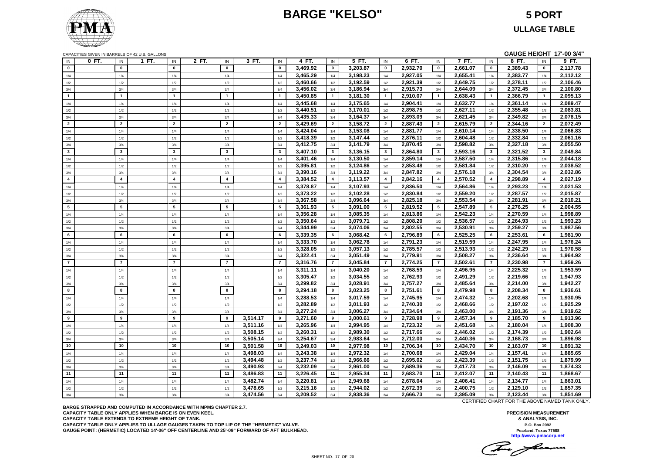### **BARGE "KELSO" 5 PORT**



CAPACITIES GIVEN IN BARRELS OF 42 U.S. GALLONS **GAUGE HEIGHT 17'-00 3/4"** IN **0 FT.** IN **1 FT.** IN **2 FT.** IN **3 FT.** IN **4 FT.** IN **5 FT.** IN **6 FT.** IN **7 FT.** IN **8 FT.** IN **9 FT. 0 0 0 0 0 3,469.92 0 3,203.87 0 2,932.70 0 2,661.07 0 2,389.43 0 2,117.78** 1/4 1/4 1/4 1/4 1/4 **3,465.29** 1/4 **3,198.23** 1/4 **2,927.05** 1/4 **2,655.41** 1/4 **2,383.77** 1/4 **2,112.12** 1/2 1/2 1/2 1/2 1/2 **3,460.66** 1/2 **3,192.59** 1/2 **2,921.39** 1/2 **2,649.75** 1/2 **2,378.11** 1/2 **2,106.46** 3/4 3/4 3/4 3/4 3/4 **3,456.02** 3/4 **3,186.94** 3/4 **2,915.73** 3/4 **2,644.09** 3/4 **2,372.45** 3/4 **2,100.80 1 1 1 1 1 3,450.85 1 3,181.30 1 2,910.07 1 2,638.43 1 2,366.79 1 2,095.13** 1/4 1/4 1/4 1/4 1/4 **3,445.68** 1/4 **3,175.65** 1/4 **2,904.41** 1/4 **2,632.77** 1/4 **2,361.14** 1/4 **2,089.47** 1/2 1/2 1/2 1/2 1/2 **3,440.51** 1/2 **3,170.01** 1/2 **2,898.75** 1/2 **2,627.11** 1/2 **2,355.48** 1/2 **2,083.81** 3/4 3/4 3/4 3/4 3/4 **3,435.33** 3/4 **3,164.37** 3/4 **2,893.09** 3/4 **2,621.45** 3/4 **2,349.82** 3/4 **2,078.15 2 2 2 2 2 3,429.69 2 3,158.72 2 2,887.43 2 2,615.79 2 2,344.16 2 2,072.49** 1/4 1/4 1/4 1/4 1/4 **3,424.04** 1/4 **3,153.08** 1/4 **2,881.77** 1/4 **2,610.14** 1/4 **2,338.50** 1/4 **2,066.83** 1/2 1/2 1/2 1/2 1/2 **3,418.39** 1/2 **3,147.44** 1/2 **2,876.11** 1/2 **2,604.48** 1/2 **2,332.84** 1/2 **2,061.16** 3/4 3/4 3/4 3/4 3/4 **3,412.75** 3/4 **3,141.79** 3/4 **2,870.45** 3/4 **2,598.82** 3/4 **2,327.18** 3/4 **2,055.50 3 3 3 3 3 3,407.10 3 3,136.15 3 2,864.80 3 2,593.16 3 2,321.52 3 2,049.84** 1/4 1/4 1/4 1/4 1/4 **3,401.46** 1/4 **3,130.50** 1/4 **2,859.14** 1/4 **2,587.50** 1/4 **2,315.86** 1/4 **2,044.18** 1/2 1/2 1/2 1/2 1/2 **3,395.81** 1/2 **3,124.86** 1/2 **2,853.48** 1/2 **2,581.84** 1/2 **2,310.20** 1/2 **2,038.52** 3/4 3/4 3/4 3/4 3/4 **3,390.16** 3/4 **3,119.22** 3/4 **2,847.82** 3/4 **2,576.18** 3/4 **2,304.54** 3/4 **2,032.86 4 4 4 4 4 3,384.52 4 3,113.57 4 2,842.16 4 2,570.52 4 2,298.89 4 2,027.19** 1/4 1/4 1/4 1/4 1/4 **3,378.87** 1/4 **3,107.93** 1/4 **2,836.50** 1/4 **2,564.86** 1/4 **2,293.23** 1/4 **2,021.53** 1/2 1/2 1/2 1/2 1/2 **3,373.22** 1/2 **3,102.28** 1/2 **2,830.84** 1/2 **2,559.20** 1/2 **2,287.57** 1/2 **2,015.87** 3/4 3/4 3/4 3/4 3/4 **3,367.58** 3/4 **3,096.64** 3/4 **2,825.18** 3/4 **2,553.54** 3/4 **2,281.91** 3/4 **2,010.21 5 5 5 5 5 3,361.93 5 3,091.00 5 2,819.52 5 2,547.89 5 2,276.25 5 2,004.55** 1/4 1/4 1/4 1/4 1/4 **3,356.28** 1/4 **3,085.35** 1/4 **2,813.86** 1/4 **2,542.23** 1/4 **2,270.59** 1/4 **1,998.89** 1/2 1/2 1/2 1/2 1/2 **3,350.64** 1/2 **3,079.71** 1/2 **2,808.20** 1/2 **2,536.57** 1/2 **2,264.93** 1/2 **1,993.23** 3/4 3/4 3/4 3/4 3/4 **3,344.99** 3/4 **3,074.06** 3/4 **2,802.55** 3/4 **2,530.91** 3/4 **2,259.27** 3/4 **1,987.56 6 6 6 6 6 3,339.35 6 3,068.42 6 2,796.89 6 2,525.25 6 2,253.61 6 1,981.90** 1/4 1/4 1/4 1/4 1/4 **3,333.70** 1/4 **3,062.78** 1/4 **2,791.23** 1/4 **2,519.59** 1/4 **2,247.95** 1/4 **1,976.24** 1/2 1/2 1/2 1/2 1/2 **3,328.05** 1/2 **3,057.13** 1/2 **2,785.57** 1/2 **2,513.93** 1/2 **2,242.29** 1/2 **1,970.58** 3/4 3/4 3/4 3/4 3/4 **3,322.41** 3/4 **3,051.49** 3/4 **2,779.91** 3/4 **2,508.27** 3/4 **2,236.64** 3/4 **1,964.92 7 7 7 7 7 3,316.76 7 3,045.84 7 2,774.25 7 2,502.61 7 2,230.98 7 1,959.26** 1/4 1/4 1/4 1/4 1/4 **3,311.11** 1/4 **3,040.20** 1/4 **2,768.59** 1/4 **2,496.95** 1/4 **2,225.32** 1/4 **1,953.59** 1/2 1/2 1/2 1/2 1/2 **3,305.47** 1/2 **3,034.55** 1/2 **2,762.93** 1/2 **2,491.29** 1/2 **2,219.66** 1/2 **1,947.93** 3/4 3/4 3/4 3/4 3/4 **3,299.82** 3/4 **3,028.91** 3/4 **2,757.27** 3/4 **2,485.64** 3/4 **2,214.00** 3/4 **1,942.27 8 8 8 8 8 3,294.18 8 3,023.25 8 2,751.61 8 2,479.98 8 2,208.34 8 1,936.61** 1/4 1/4 1/4 1/4 1/4 **3,288.53** 1/4 **3,017.59** 1/4 **2,745.95** 1/4 **2,474.32** 1/4 **2,202.68** 1/4 **1,930.95** 1/2 1/2 1/2 1/2 1/2 **3,282.89** 1/2 **3,011.93** 1/2 **2,740.30** 1/2 **2,468.66** 1/2 **2,197.02** 1/2 **1,925.29** 3/4 3/4 3/4 3/4 3/4 **3,277.24** 3/4 **3,006.27** 3/4 **2,734.64** 3/4 **2,463.00** 3/4 **2,191.36** 3/4 **1,919.62 9 9 9 9 3,514.17 9 3,271.60 9 3,000.61 9 2,728.98 9 2,457.34 9 2,185.70 9 1,913.96** 1/4 1/4 1/4 1/4 **3,511.16** 1/4 **3,265.96** 1/4 **2,994.95** 1/4 **2,723.32** 1/4 **2,451.68** 1/4 **2,180.04** 1/4 **1,908.30** 1/2 1/2 1/2 1/2 **3,508.15** 1/2 **3,260.31** 1/2 **2,989.30** 1/2 **2,717.66** 1/2 **2,446.02** 1/2 **2,174.39** 1/2 **1,902.64** 3/4 3/4 3/4 3/4 **3,505.14** 3/4 **3,254.67** 3/4 **2,983.64** 3/4 **2,712.00** 3/4 **2,440.36** 3/4 **2,168.73** 3/4 **1,896.98 10 10 10 10 3,501.58 10 3,249.03 10 2,977.98 10 2,706.34 10 2,434.70 10 2,163.07 10 1,891.32** 1/4 1/4 1/4 1/4 **3,498.03** 1/4 **3,243.38** 1/4 **2,972.32** 1/4 **2,700.68** 1/4 **2,429.04** 1/4 **2,157.41** 1/4 **1,885.65** 1/2 1/2 1/2 1/2 **3,494.48** 1/2 **3,237.74** 1/2 **2,966.66** 1/2 **2,695.02** 1/2 **2,423.39** 1/2 **2,151.75** 1/2 **1,879.99** 3/4 3/4 3/4 3/4 **3,490.93** 3/4 **3,232.09** 3/4 **2,961.00** 3/4 **2,689.36** 3/4 **2,417.73** 3/4 **2,146.09** 3/4 **1,874.33 11 11 11 11 3,486.83 11 3,226.45 11 2,955.34 11 2,683.70 11 2,412.07 11 2,140.43 11 1,868.67** 1/4 1/4 1/4 1/4 **3,482.74** 1/4 **3,220.81** 1/4 **2,949.68** 1/4 **2,678.04** 1/4 **2,406.41** 1/4 **2,134.77** 1/4 **1,863.01** 1/2 1/2 1/2 1/2 **3,478.65** 1/2 **3,215.16** 1/2 **2,944.02** 1/2 **2,672.39** 1/2 **2,400.75** 1/2 **2,129.10** 1/2 **1,857.35** 3/4 3/4 3/4 3/4 **3,474.56** 3/4 **3,209.52** 3/4 **2,938.36** 3/4 **2,666.73** 3/4 **2,395.09** 3/4 **2,123.44** 3/4 **1,851.69**

**BARGE STRAPPED AND COMPUTED IN ACCORDANCE WITH MPMS CHAPTER 2.7. CAPACITY TABLE ONLY APPLIES WHEN BARGE IS ON EVEN KEEL. CAPACITY TABLE EXTENDS TO EXTREME HEIGHT OF TANK. CAPACITY TABLE ONLY APPLIES TO ULLAGE GAUGES TAKEN TO TOP LIP OF THE "HERMETIC" VALVE. GAUGE POINT: (HERMETIC) LOCATED 14'-06" OFF CENTERLINE AND 25'-09" FORWARD OF AFT BULKHEAD.** CERTIFIED CHART FOR THE ABOVE NAMED TANK ONLY.

The freems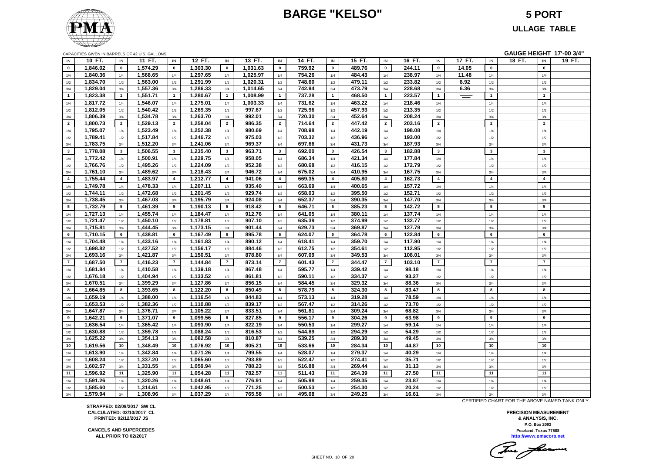### **BARGE "KELSO" 5 PORT**



**ULLAGE TABLE**

|                |          |                 | CAPACITIES GIVEN IN BARRELS OF 42 U.S. GALLONS |                 |          |                         |          |                |        |                         |        |                |        |                |        |                         |        |                 | GAUGE HEIGHT 17'-00 3/4" |
|----------------|----------|-----------------|------------------------------------------------|-----------------|----------|-------------------------|----------|----------------|--------|-------------------------|--------|----------------|--------|----------------|--------|-------------------------|--------|-----------------|--------------------------|
| IN             | 10 FT.   | IN              | 11 FT.                                         | IN              | 12 FT.   | IN                      | 13 FT.   | IN             | 14 FT. | IN                      | 15 FT. | IN             | 16 FT. | IN             | 17 FT. | IN                      | 18 FT. | IN              | 19 FT.                   |
| $\mathbf{0}$   | 1,846.02 | $\mathbf{0}$    | 1,574.29                                       | $\mathbf{0}$    | 1,303.30 | $\mathbf{0}$            | 1,031.63 | $\mathbf{0}$   | 759.92 | $\mathbf 0$             | 489.76 | $\mathbf{0}$   | 244.11 | $\mathbf 0$    | 14.05  | $\mathbf 0$             |        | $\mathbf{0}$    |                          |
| 1/4            | 1,840.36 | 1/4             | 1,568.65                                       | 1/4             | 1,297.65 | 1/4                     | 1,025.97 | $1/4$          | 754.26 | 1/4                     | 484.43 | 1/4            | 238.97 | 1/4            | 11.48  | 1/4                     |        | 1/4             |                          |
| 1/2            | 1,834.70 | $1/2\,$         | 1,563.00                                       | 1/2             | 1,291.99 | 1/2                     | 1,020.31 | $1/2$          | 748.60 | 1/2                     | 479.11 | $1/2\,$        | 233.82 | 1/2            | 8.92   | 1/2                     |        | 1/2             |                          |
| 3/4            | 1,829.04 | 3/4             | 1,557.36                                       | 3/4             | 1,286.33 | 3/4                     | 1,014.65 | 3/4            | 742.94 | 3/4                     | 473.79 | 3/4            | 228.68 | 3/4            | 6.36   | 3/4                     |        | 3/4             |                          |
| $\mathbf{1}$   | 1,823.38 | $\overline{1}$  | 1,551.71                                       | $\mathbf{1}$    | 1,280.67 | $\mathbf{1}$            | 1,008.99 | $\overline{1}$ | 737.28 | $\overline{1}$          | 468.50 | $\mathbf{1}$   | 223.57 | $\mathbf{1}$   | $=$    | $\mathbf{1}$            |        | $\mathbf{1}$    |                          |
| 1/4            | 1,817.72 | 1/4             | 1,546.07                                       | 1/4             | 1,275.01 | 1/4                     | 1,003.33 | 1/4            | 731.62 | 1/4                     | 463.22 | 1/4            | 218.46 | 1/4            |        | 1/4                     |        | $1/4\,$         |                          |
| 1/2            | 1,812.05 | $1/2\,$         | 1,540.42                                       | $1/2$           | 1,269.35 | 1/2                     | 997.67   | 1/2            | 725.96 | 1/2                     | 457.93 | 1/2            | 213.35 | 1/2            |        | $1/2$                   |        | 1/2             |                          |
| 3/4            | 1,806.39 | 3/4             | 1,534.78                                       | 3/4             | 1,263.70 | 3/4                     | 992.01   | 3/4            | 720.30 | 3/4                     | 452.64 | 3/4            | 208.24 | 3/4            |        | 3/4                     |        | 3/4             |                          |
| $\overline{2}$ | 1,800.73 | $\overline{2}$  | 1,529.13                                       | $\overline{2}$  | 1,258.04 | $\overline{2}$          | 986.35   | $\overline{2}$ | 714.64 | $\overline{\mathbf{2}}$ | 447.42 | $\overline{2}$ | 203.16 | $\overline{2}$ |        | $\overline{2}$          |        | $\overline{2}$  |                          |
| 1/4            | 1,795.07 | 1/4             | 1,523.49                                       | 1/4             | 1,252.38 | 1/4                     | 980.69   | 1/4            | 708.98 | 1/4                     | 442.19 | 1/4            | 198.08 | 1/4            |        | 1/4                     |        | 1/4             |                          |
| 1/2            | 1,789.41 | 1/2             | 1,517.84                                       | 1/2             | 1,246.72 | 1/2                     | 975.03   | 1/2            | 703.32 | 1/2                     | 436.96 | 1/2            | 193.00 | 1/2            |        | $1/2$                   |        | 1/2             |                          |
| 3/4            | 1,783.75 | 3/4             | 1,512.20                                       | 3/4             | 1,241.06 | 3/4                     | 969.37   | 3/4            | 697.66 | 3/4                     | 431.73 | 3/4            | 187.93 | 3/4            |        | 3/4                     |        | 3/4             |                          |
| $3^{\circ}$    | 1,778.08 | $\mathbf{3}$    | 1,506.55                                       | $\mathbf{3}$    | 1,235.40 | $\mathbf{3}$            | 963.71   | $\mathbf{3}$   | 692.00 | $\mathbf{3}$            | 426.54 | $\mathbf{3}$   | 182.88 | $\mathbf{3}$   |        | $\mathbf{3}$            |        | $\mathbf{3}$    |                          |
| 1/4            | 1,772.42 | 1/4             | 1,500.91                                       | 1/4             | 1,229.75 | 1/4                     | 958.05   | 1/4            | 686.34 | 1/4                     | 421.34 | 1/4            | 177.84 | 1/4            |        | 1/4                     |        | 1/4             |                          |
| 1/2            | 1,766.76 | 1/2             | 1,495.26                                       | $1/2$           | 1,224.09 | 1/2                     | 952.38   | 1/2            | 680.68 | 1/2                     | 416.15 | 1/2            | 172.79 | 1/2            |        | 1/2                     |        | 1/2             |                          |
| 3/4            | 1,761.10 | 3/4             | 1,489.62                                       | 3/4             | 1,218.43 | 3/4                     | 946.72   | 3/4            | 675.02 | 3/4                     | 410.95 | 3/4            | 167.75 | 3/4            |        | 3/4                     |        | 3/4             |                          |
| $\overline{4}$ | 1,755.44 | $\overline{4}$  | 1,483.97                                       | $\overline{4}$  | 1,212.77 | $\overline{\mathbf{4}}$ | 941.06   | $\overline{4}$ | 669.35 | $\overline{4}$          | 405.80 | $\overline{4}$ | 162.73 | $\overline{4}$ |        | $\overline{\mathbf{4}}$ |        | $\overline{4}$  |                          |
| 1/4            | 1,749.78 | 1/4             | 1,478.33                                       | 1/4             | 1,207.11 | 1/4                     | 935.40   | 1/4            | 663.69 | 1/4                     | 400.65 | 1/4            | 157.72 | 1/4            |        | 1/4                     |        | 1/4             |                          |
| 1/2            | 1,744.11 | 1/2             | 1,472.68                                       | 1/2             | 1,201.45 | 1/2                     | 929.74   | 1/2            | 658.03 | 1/2                     | 395.50 | 1/2            | 152.71 | 1/2            |        | 1/2                     |        | 1/2             |                          |
| 3/4            | 1,738.45 | 3/4             | 1,467.03                                       | 3/4             | 1,195.79 | 3/4                     | 924.08   | 3/4            | 652.37 | 3/4                     | 390.35 | 3/4            | 147.70 | 3/4            |        | 3/4                     |        | 3/4             |                          |
| $5^{\circ}$    | 1,732.79 | $5\phantom{.0}$ | 1,461.39                                       | $5\phantom{.0}$ | 1,190.13 | 5                       | 918.42   | 5              | 646.71 | 5                       | 385.23 | 5              | 142.72 | 5              |        | $5\phantom{.0}$         |        | $5\phantom{.0}$ |                          |
| 1/4            | 1,727.13 | 1/4             | 1,455.74                                       | 1/4             | 1,184.47 | 1/4                     | 912.76   | 1/4            | 641.05 | 1/4                     | 380.11 | 1/4            | 137.74 | 1/4            |        | 1/4                     |        | 1/4             |                          |
| 1/2            | 1,721.47 | 1/2             | 1,450.10                                       | 1/2             | 1,178.81 | 1/2                     | 907.10   | 1/2            | 635.39 | 1/2                     | 374.99 | 1/2            | 132.77 | 1/2            |        | $1/2$                   |        | 1/2             |                          |
| 3/4            | 1,715.81 | 3/4             | 1,444.45                                       | 3/4             | 1,173.15 | 3/4                     | 901.44   | 3/4            | 629.73 | 3/4                     | 369.87 | 3/4            | 127.79 | 3/4            |        | 3/4                     |        | 3/4             |                          |
| 6              | 1,710.15 | 6               | 1,438.81                                       | 6               | 1,167.49 | 6                       | 895.78   | 6              | 624.07 | 6                       | 364.78 | 6              | 122.84 | 6              |        | 6                       |        | 6               |                          |
| 1/4            | 1,704.48 | 1/4             | 1,433.16                                       | 1/4             | 1,161.83 | 1/4                     | 890.12   | 1/4            | 618.41 | 1/4                     | 359.70 | 1/4            | 117.90 | 1/4            |        | 1/4                     |        | 1/4             |                          |
| 1/2            | 1,698.82 | 1/2             | 1,427.52                                       | 1/2             | 1,156.17 | 1/2                     | 884.46   | 1/2            | 612.75 | 1/2                     | 354.61 | 1/2            | 112.95 | 1/2            |        | 1/2                     |        | 1/2             |                          |
| 3/4            | 1,693.16 | 3/4             | 1,421.87                                       | 3/4             | 1,150.51 | 3/4                     | 878.80   | 3/4            | 607.09 | 3/4                     | 349.53 | 3/4            | 108.01 | 3/4            |        | 3/4                     |        | 3/4             |                          |
| $\overline{7}$ | 1,687.50 | $\overline{7}$  | 1,416.23                                       | $\overline{7}$  | 1,144.84 | $\overline{7}$          | 873.14   | $\overline{7}$ | 601.43 | $\overline{7}$          | 344.47 | $\overline{7}$ | 103.10 | $\overline{7}$ |        | $\overline{7}$          |        | $\overline{7}$  |                          |
| 1/4            | 1,681.84 | 1/4             | 1,410.58                                       | 1/4             | 1,139.18 | 1/4                     | 867.48   | 1/4            | 595.77 | 1/4                     | 339.42 | 1/4            | 98.18  | 1/4            |        | 1/4                     |        | 1/4             |                          |
| 1/2            | 1,676.18 | 1/2             | 1,404.94                                       | 1/2             | 1,133.52 | 1/2                     | 861.81   | 1/2            | 590.11 | 1/2                     | 334.37 | 1/2            | 93.27  | 1/2            |        | 1/2                     |        | 1/2             |                          |
| 3/4            | 1,670.51 | 3/4             | 1,399.29                                       | 3/4             | 1,127.86 | 3/4                     | 856.15   | 3/4            | 584.45 | 3/4                     | 329.32 | 3/4            | 88.36  | 3/4            |        | 3/4                     |        | 3/4             |                          |
| 8              | 1,664.85 | 8               | 1,393.65                                       | 8               | 1,122.20 | 8                       | 850.49   | 8              | 578.79 | 8                       | 324.30 | 8              | 83.47  | 8              |        | 8                       |        | 8               |                          |
| 1/4            | 1,659.19 | 1/4             | 1,388.00                                       | 1/4             | 1,116.54 | 1/4                     | 844.83   | 1/4            | 573.13 | 1/4                     | 319.28 | 1/4            | 78.59  | 1/4            |        | 1/4                     |        | 1/4             |                          |
| 1/2            | 1,653.53 | 1/2             | 1,382.36                                       | 1/2             | 1,110.88 | 1/2                     | 839.17   | 1/2            | 567.47 | 1/2                     | 314.26 | 1/2            | 73.70  | 1/2            |        | 1/2                     |        | 1/2             |                          |
| 3/4            | 1,647.87 | 3/4             | 1,376.71                                       | 3/4             | 1,105.22 | 3/4                     | 833.51   | 3/4            | 561.81 | 3/4                     | 309.24 | 3/4            | 68.82  | 3/4            |        | 3/4                     |        | 3/4             |                          |
| 9              | 1,642.21 | 9               | 1,371.07                                       | 9               | 1,099.56 | 9                       | 827.85   | 9              | 556.17 | 9                       | 304.26 | 9              | 63.98  | 9              |        | 9                       |        | 9               |                          |
| 1/4            | 1,636.54 | 1/4             | 1,365.42                                       | 1/4             | 1,093.90 | 1/4                     | 822.19   | 1/4            | 550.53 | 1/4                     | 299.27 | 1/4            | 59.14  | 1/4            |        | 1/4                     |        | 1/4             |                          |
| 1/2            | 1,630.88 | 1/2             | 1,359.78                                       | 1/2             | 1,088.24 | 1/2                     | 816.53   | 1/2            | 544.89 | 1/2                     | 294.29 | 1/2            | 54.29  | 1/2            |        | 1/2                     |        | 1/2             |                          |
| 3/4            | 1,625.22 | 3/4             | 1,354.13                                       | 3/4             | 1,082.58 | 3/4                     | 810.87   | 3/4            | 539.25 | 3/4                     | 289.30 | 3/4            | 49.45  | 3/4            |        | 3/4                     |        | 3/4             |                          |
| 10             | 1,619.56 | 10              | 1,348.49                                       | 10              | 1,076.92 | 10                      | 805.21   | 10             | 533.66 | 10                      | 284.34 | 10             | 44.87  | 10             |        | 10 <sup>1</sup>         |        | 10 <sup>1</sup> |                          |
| 1/4            | 1,613.90 | 1/4             | 1,342.84                                       | 1/4             | 1,071.26 | 1/4                     | 799.55   | 1/4            | 528.07 | 1/4                     | 279.37 | 1/4            | 40.29  | 1/4            |        | 1/4                     |        | 1/4             |                          |
| 1/2            | 1,608.24 | 1/2             | 1,337.20                                       | 1/2             | 1,065.60 | 1/2                     | 793.89   | 1/2            | 522.47 | 1/2                     | 274.41 | 1/2            | 35.71  | 1/2            |        | 1/2                     |        | 1/2             |                          |
| 3/4            | 1,602.57 | 3/4             | 1,331.55                                       | 3/4             | 1,059.94 | 3/4                     | 788.23   | 3/4            | 516.88 | 3/4                     | 269.44 | 3/4            | 31.13  | 3/4            |        | 3/4                     |        | 3/4             |                          |
| 11             | 1,596.92 | 11              | 1,325.90                                       | 11              | 1,054.28 | 11                      | 782.57   | 11             | 511.43 | 11                      | 264.39 | 11             | 27.50  | 11             |        | 11                      |        | 11              |                          |
| 1/4            | 1,591.26 | 1/4             | 1,320.26                                       | 1/4             | 1,048.61 | 1/4                     | 776.91   | 1/4            | 505.98 | 1/4                     | 259.35 | 1/4            | 23.87  | 1/4            |        | 1/4                     |        | 1/4             |                          |
| $1/2$          | 1,585.60 | 1/2             | 1,314.61                                       | 1/2             | 1,042.95 | 1/2                     | 771.25   | 1/2            | 500.53 | 1/2                     | 254.30 | 1/2            | 20.24  | 1/2            |        | 1/2                     |        | 1/2             |                          |
| 3/4            | 1,579.94 | 3/4             | 1,308.96                                       | 3/4             | 1,037.29 | 3/4                     | 765.58   | 3/4            | 495.08 | 3/4                     | 249.25 | 3/4            | 16.61  | 3/4            |        | 3/4                     |        | 3/4             |                          |

CERTIFIED CHART FOR THE ABOVE NAMED TANK ONLY.

**http://www.pmacorp.net Pearland, Texas 77588 PRECISION MEASUREMENT & ANALYSIS, INC. P.O. Box 2092**

Tomas faceron

**STRAPPED: 02/09/2017 SW CL CALCULATED: 02/10/2017 CL PRINTED: 02/12/2017 JS**

**CANCELS AND SUPERCEDES ALL PRIOR TO 02/2017**

SHEET NO. 18 OF 20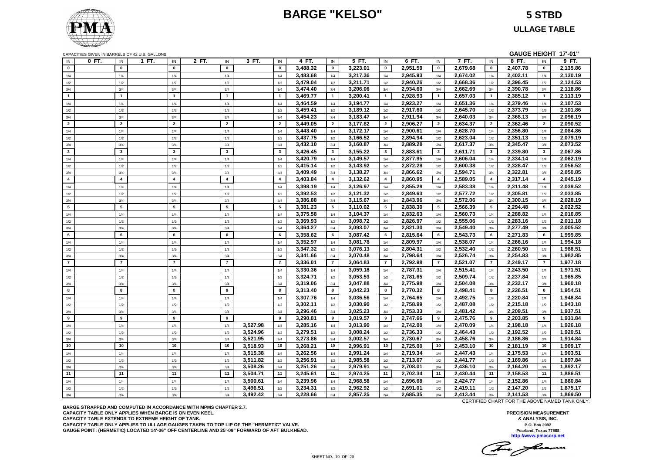## **BARGE "KELSO" 5 STBD**

**ULLAGE TABLE**

| GAUGE HEIGHT 17'-01"<br>CAPACITIES GIVEN IN BARRELS OF 42 U.S. GALLONS |       |                |       |                         |                       |          |                       |          |                |          |                |          |                |          |                         |          |                       |          |
|------------------------------------------------------------------------|-------|----------------|-------|-------------------------|-----------------------|----------|-----------------------|----------|----------------|----------|----------------|----------|----------------|----------|-------------------------|----------|-----------------------|----------|
| IN                                                                     | 0 FT. | IN             | 1 FT. | IN                      | 2 FT.<br>IN           | 3 FT.    | IN                    | 4 FT.    | IN             | 5 FT.    | IN             | 6 FT.    | IN             | 7 FT.    | IN                      | 8 FT.    | IN                    | 9 FT.    |
| $\mathbf 0$                                                            |       | $\mathbf 0$    |       | $\mathbf 0$             | $\mathbf{0}$          |          | $\mathbf{0}$          | 3,488.32 | $\mathbf 0$    | 3,223.01 | $\pmb{0}$      | 2,951.59 | $\mathbf 0$    | 2,679.68 | $\pmb{0}$               | 2,407.78 | $\mathbf 0$           | 2,135.86 |
| 1/4                                                                    |       | 1/4            |       | 1/4                     | 1/4                   |          | 1/4                   | 3,483.68 | 1/4            | 3,217.36 | 1/4            | 2,945.93 | 1/4            | 2,674.02 | 1/4                     | 2,402.11 | 1/4                   | 2,130.19 |
| $1/2$                                                                  |       | $1/2$          |       | 1/2                     | 1/2                   |          | 1/2                   | 3,479.04 | 1/2            | 3,211.71 | 1/2            | 2,940.26 | 1/2            | 2,668.36 | 1/2                     | 2,396.45 | 1/2                   | 2,124.53 |
| 3/4                                                                    |       | 3/4            |       | 3/4                     | 3/4                   |          | 3/4                   | 3,474.40 | 3/4            | 3,206.06 | 3/4            | 2,934.60 | 3/4            | 2,662.69 | 3/4                     | 2,390.78 | 3/4                   | 2,118.86 |
| $\overline{1}$                                                         |       | $\mathbf{1}$   |       | $\overline{1}$          | $\overline{1}$        |          | $\overline{1}$        | 3,469.77 | $\overline{1}$ | 3,200.41 | $\mathbf{1}$   | 2,928.93 | $\mathbf{1}$   | 2,657.03 | $\overline{1}$          | 2,385.12 | $\mathbf{1}$          | 2,113.19 |
| 1/4                                                                    |       | 1/4            |       | 1/4                     | 1/4                   |          | 1/4                   | 3,464.59 | 1/4            | 3,194.77 | 1/4            | 2,923.27 | 1/4            | 2,651.36 | 1/4                     | 2,379.46 | 1/4                   | 2,107.53 |
| 1/2                                                                    |       | 1/2            |       | 1/2                     | 1/2                   |          | 1/2                   | 3,459.41 | 1/2            | 3,189.12 | 1/2            | 2,917.60 | 1/2            | 2,645.70 | 1/2                     | 2,373.79 | 1/2                   | 2,101.86 |
| 3/4                                                                    |       | 3/4            |       | 3/4                     | 3/4                   |          | 3/4                   | 3,454.23 | 3/4            | 3,183.47 | 3/4            | 2,911.94 | 3/4            | 2,640.03 | 3/4                     | 2,368.13 | 3/4                   | 2,096.19 |
| $\overline{2}$                                                         |       | $\overline{2}$ |       | $\overline{2}$          | $\overline{2}$        |          | $\overline{2}$        | 3,449.05 | $\overline{2}$ | 3,177.82 | $\overline{2}$ | 2.906.27 | $\overline{2}$ | 2,634.37 | $\overline{2}$          | 2,362.46 | $\overline{2}$        | 2,090.52 |
| 1/4                                                                    |       | 1/4            |       | 1/4                     | 1/4                   |          | 1/4                   | 3,443.40 | 1/4            | 3,172.17 | 1/4            | 2,900.61 | 1/4            | 2,628.70 | 1/4                     | 2,356.80 | 1/4                   | 2,084.86 |
| $1/2\,$                                                                |       | 1/2            |       | 1/2                     | 1/2                   |          | 1/2                   | 3,437.75 | 1/2            | 3,166.52 | 1/2            | 2,894.94 | 1/2            | 2,623.04 | 1/2                     | 2,351.13 | 1/2                   | 2,079.19 |
| 3/4                                                                    |       | 3/4            |       | 3/4                     | 3/4                   |          | 3/4                   | 3,432.10 | 3/4            | 3,160.87 | 3/4            | 2,889.28 | 3/4            | 2,617.37 | 3/4                     | 2,345.47 | 3/4                   | 2,073.52 |
| $\mathbf{3}$                                                           |       | $\mathbf{3}$   |       | $\mathbf{3}$            | $\mathbf{3}$          |          | $\mathbf{3}$          | 3,426.45 | $\mathbf{3}$   | 3,155.22 | 3              | 2,883.61 | $\mathbf{3}$   | 2,611.71 | $\mathbf{3}$            | 2,339.80 | 3                     | 2,067.86 |
| 1/4                                                                    |       | 1/4            |       | 1/4                     | 1/4                   |          | 1/4                   | 3,420.79 | 1/4            | 3,149.57 | 1/4            | 2,877.95 | 1/4            | 2,606.04 | 1/4                     | 2,334.14 | 1/4                   | 2,062.19 |
| $1/2$                                                                  |       | 1/2            |       | 1/2                     | 1/2                   |          | 1/2                   | 3,415.14 | 1/2            | 3,143.92 | 1/2            | 2,872.28 | 1/2            | 2,600.38 | 1/2                     | 2,328.47 | 1/2                   | 2,056.52 |
| 3/4                                                                    |       | 3/4            |       | 3/4                     | 3/4                   |          | 3/4                   | 3,409.49 | 3/4            | 3,138.27 | 3/4            | 2,866.62 | 3/4            | 2,594.71 | 3/4                     | 2,322.81 | 3/4                   | 2,050.85 |
| $\overline{\mathbf{4}}$                                                |       | $\overline{4}$ |       | $\overline{\mathbf{4}}$ | $\overline{4}$        |          | $\overline{4}$        | 3,403.84 | $\overline{4}$ | 3,132.62 | $\overline{4}$ | 2,860.95 | $\overline{4}$ | 2,589.05 | $\overline{\mathbf{4}}$ | 2,317.14 | $\overline{4}$        | 2,045.19 |
| 1/4                                                                    |       | 1/4            |       | 1/4                     | 1/4                   |          | 1/4                   | 3,398.19 | 1/4            | 3,126.97 | 1/4            | 2,855.29 | 1/4            | 2,583.38 | 1/4                     | 2,311.48 | 1/4                   | 2,039.52 |
| 1/2                                                                    |       | 1/2            |       | 1/2                     | 1/2                   |          | 1/2                   | 3.392.53 | 1/2            | 3,121.32 | 1/2            | 2,849.63 | 1/2            | 2,577.72 | 1/2                     | 2,305.81 | 1/2                   | 2,033.85 |
| 3/4                                                                    |       | 3/4            |       | 3/4                     | 3/4                   |          | 3/4                   | 3,386.88 | 3/4            | 3,115.67 | 3/4            | 2,843.96 | 3/4            | 2,572.06 | 3/4                     | 2,300.15 | 3/4                   | 2,028.19 |
| 5                                                                      |       | 5              |       | 5                       | 5                     |          | 5                     | 3,381.23 | 5              | 3,110.02 | 5              | 2,838.30 | 5              | 2,566.39 | $5\overline{5}$         | 2,294.48 | $5\overline{5}$       | 2,022.52 |
| 1/4                                                                    |       | 1/4            |       | 1/4                     | 1/4                   |          | 1/4                   | 3,375.58 | 1/4            | 3,104.37 | 1/4            | 2,832.63 | 1/4            | 2,560.73 | 1/4                     | 2,288.82 | 1/4                   | 2,016.85 |
|                                                                        |       |                |       | 1/2                     | 1/2                   |          | 1/2                   | 3,369.93 | 1/2            | 3,098.72 |                | 2,826.97 |                | 2,555.06 | 1/2                     | 2,283.16 |                       | 2,011.18 |
| 1/2<br>3/4                                                             |       | 1/2<br>3/4     |       | 3/4                     | 3/4                   |          | 3/4                   | 3,364.27 | 3/4            | 3,093.07 | 1/2<br>3/4     | 2,821.30 | 1/2<br>3/4     | 2,549.40 | 3/4                     | 2,277.49 | 1/2<br>3/4            | 2,005.52 |
| 6                                                                      |       | 6              |       | 6                       | 6                     |          | 6                     | 3,358.62 | 6              | 3,087.42 | 6              | 2,815.64 | 6              | 2,543.73 | 6                       | 2,271.83 | 6                     | 1,999.85 |
|                                                                        |       |                |       |                         |                       |          |                       |          |                |          |                |          |                |          |                         |          |                       |          |
| 1/4                                                                    |       | 1/4            |       | 1/4                     | 1/4                   |          | 1/4                   | 3,352.97 | 1/4            | 3,081.78 | 1/4            | 2,809.97 | 1/4            | 2,538.07 | 1/4                     | 2,266.16 | 1/4                   | 1,994.18 |
| 1/2                                                                    |       | 1/2            |       | 1/2                     | 1/2                   |          | 1/2                   | 3,347.32 | 1/2            | 3,076.13 | 1/2            | 2,804.31 | 1/2            | 2,532.40 | 1/2                     | 2,260.50 | 1/2                   | 1,988.51 |
| 3/4                                                                    |       | 3/4            |       | 3/4<br>$\overline{7}$   | 3/4<br>$\overline{7}$ |          | 3/4<br>$\overline{7}$ | 3,341.66 | 3/4            | 3,070.48 | 3/4            | 2,798.64 | 3/4            | 2,526.74 | 3/4                     | 2,254.83 | 3/4<br>$\overline{7}$ | 1,982.85 |
| $\overline{7}$                                                         |       | $\overline{7}$ |       |                         |                       |          |                       | 3.336.01 | $\overline{7}$ | 3,064.83 | $\overline{7}$ | 2,792.98 | $\overline{7}$ | 2,521.07 | $\overline{7}$          | 2.249.17 |                       | 1.977.18 |
| 1/4                                                                    |       | 1/4            |       | 1/4                     | 1/4                   |          | 1/4                   | 3,330.36 | 1/4            | 3,059.18 | 1/4            | 2,787.31 | 1/4            | 2,515.41 | 1/4                     | 2,243.50 | 1/4                   | 1,971.51 |
| 1/2                                                                    |       | 1/2            |       | 1/2                     | 1/2                   |          | 1/2                   | 3,324.71 | 1/2            | 3,053.53 | 1/2            | 2,781.65 | 1/2            | 2,509.74 | 1/2                     | 2,237.84 | 1/2                   | 1,965.85 |
| $3/4$                                                                  |       | 3/4            |       | 3/4                     | 3/4                   |          | 3/4                   | 3,319.06 | 3/4            | 3,047.88 | 3/4            | 2,775.98 | 3/4            | 2,504.08 | 3/4                     | 2,232.17 | 3/4                   | 1,960.18 |
| 8                                                                      |       | 8              |       | 8                       | 8                     |          | 8                     | 3,313.40 | 8              | 3,042.23 | 8              | 2,770.32 | 8              | 2,498.41 | 8                       | 2,226.51 | 8                     | 1,954.51 |
| 1/4                                                                    |       | 1/4            |       | 1/4                     | 1/4                   |          | 1/4                   | 3.307.76 | 1/4            | 3.036.56 | 1/4            | 2,764.65 | 1/4            | 2,492.75 | 1/4                     | 2,220.84 | 1/4                   | 1,948.84 |
| 1/2                                                                    |       | 1/2            |       | 1/2                     | 1/2                   |          | 1/2                   | 3,302.11 | 1/2            | 3,030.90 | 1/2            | 2,758.99 | 1/2            | 2,487.08 | 1/2                     | 2,215.18 | 1/2                   | 1,943.18 |
| 3/4                                                                    |       | 3/4            |       | 3/4                     | 3/4                   |          | 3/4                   | 3,296.46 | 3/4            | 3,025.23 | 3/4            | 2,753.33 | 3/4            | 2,481.42 | 3/4                     | 2,209.51 | 3/4                   | 1,937.51 |
| 9                                                                      |       | 9              |       | 9                       | 9                     |          | 9                     | 3,290.81 | 9              | 3,019.57 | 9              | 2,747.66 | 9              | 2,475.76 | 9                       | 2,203.85 | 9                     | 1,931.84 |
| 1/4                                                                    |       | 1/4            |       | 1/4                     | 1/4                   | 3,527.98 | 1/4                   | 3,285.16 | 1/4            | 3,013.90 | 1/4            | 2,742.00 | 1/4            | 2,470.09 | 1/4                     | 2,198.18 | 1/4                   | 1,926.18 |
| 1/2                                                                    |       | 1/2            |       | 1/2                     | 1/2                   | 3.524.96 | 1/2                   | 3.279.51 | 1/2            | 3.008.24 | 1/2            | 2,736.33 | 1/2            | 2.464.43 | 1/2                     | 2.192.52 | 1/2                   | 1,920.51 |
| 3/4                                                                    |       | 3/4            |       | 3/4                     | 3/4                   | 3,521.95 | 3/4                   | 3,273.86 | 3/4            | 3,002.57 | 3/4            | 2,730.67 | 3/4            | 2,458.76 | 3/4                     | 2,186.86 | 3/4                   | 1,914.84 |
| 10                                                                     |       | 10             |       | 10                      | 10                    | 3,518.93 | 10                    | 3,268.21 | 10             | 2,996.91 | 10             | 2,725.00 | 10             | 2,453.10 | 10                      | 2,181.19 | 10                    | 1,909.17 |
| 1/4                                                                    |       | 1/4            |       | 1/4                     | 1/4                   | 3,515.38 | 1/4                   | 3,262.56 | 1/4            | 2,991.24 | 1/4            | 2,719.34 | 1/4            | 2,447.43 | 1/4                     | 2,175.53 | 1/4                   | 1,903.51 |
| 1/2                                                                    |       | 1/2            |       | 1/2                     | 1/2                   | 3,511.82 | 1/2                   | 3,256.91 | 1/2            | 2,985.58 | 1/2            | 2,713.67 | 1/2            | 2,441.77 | 1/2                     | 2,169.86 | 1/2                   | 1,897.84 |
| 3/4                                                                    |       | 3/4            |       | 3/4                     | 3/4                   | 3,508.26 | 3/4                   | 3,251.26 | 3/4            | 2,979.91 | 3/4            | 2,708.01 | 3/4            | 2,436.10 | 3/4                     | 2,164.20 | 3/4                   | 1,892.17 |
| 11                                                                     |       | 11             |       | 11                      | 11                    | 3,504.71 | 11                    | 3,245.61 | 11             | 2,974.25 | 11             | 2,702.34 | 11             | 2,430.44 | 11                      | 2,158.53 | 11                    | 1,886.51 |
| 1/4                                                                    |       | 1/4            |       | 1/4                     | 1/4                   | 3,500.61 | 1/4                   | 3,239.96 | 1/4            | 2,968.58 | 1/4            | 2,696.68 | 1/4            | 2,424.77 | 1/4                     | 2,152.86 | 1/4                   | 1,880.84 |
| 1/2                                                                    |       | 1/2            |       | 1/2                     | 1/2                   | 3,496.51 | 1/2                   | 3,234.31 | 1/2            | 2,962.92 | 1/2            | 2,691.01 | 1/2            | 2,419.11 | 1/2                     | 2,147.20 | 1/2                   | 1,875.17 |
| 3/4                                                                    |       | 3/4            |       | 3/4                     | 3/4                   | 3,492.42 | 3/4                   | 3,228.66 | 3/4            | 2,957.25 | 3/4            | 2,685.35 | 3/4            | 2,413.44 | 3/4                     | 2,141.53 | 3/4                   | 1,869.50 |

**BARGE STRAPPED AND COMPUTED IN ACCORDANCE WITH MPMS CHAPTER 2.7. CAPACITY TABLE ONLY APPLIES WHEN BARGE IS ON EVEN KEEL. CAPACITY TABLE EXTENDS TO EXTREME HEIGHT OF TANK. CAPACITY TABLE ONLY APPLIES TO ULLAGE GAUGES TAKEN TO TOP LIP OF THE "HERMETIC" VALVE. GAUGE POINT: (HERMETIC) LOCATED 14'-06" OFF CENTERLINE AND 25'-09" FORWARD OF AFT BULKHEAD.** CERTIFIED CHART FOR THE ABOVE NAMED TANK ONLY.

**PRECISION MEASUREMENT & ANALYSIS, INC. P.O. Box 2092 Pearland, Texas 77588 http://www.pmacorp.net**

The fame